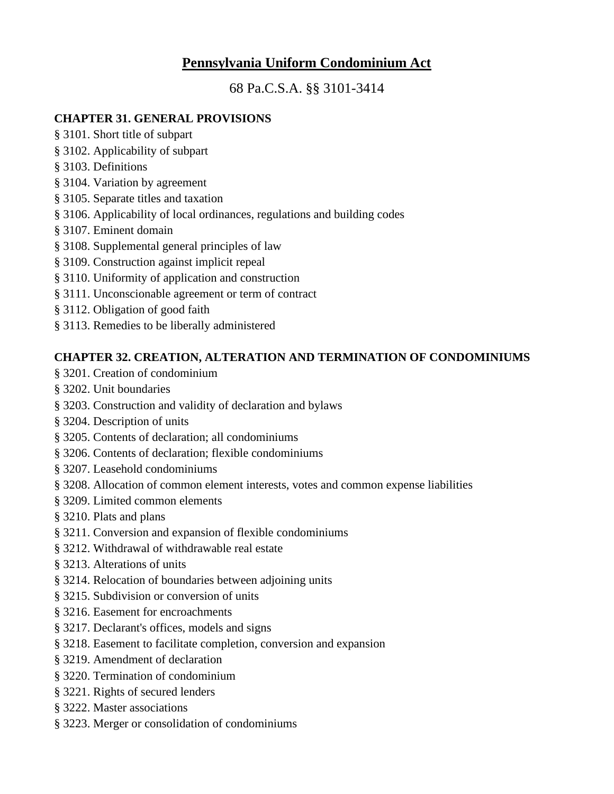# **Pennsylvania Uniform Condominium Act**

68 Pa.C.S.A. §§ 3101-3414

#### **CHAPTER 31. GENERAL PROVISIONS**

- § 3101. Short title of subpart
- § 3102. Applicability of subpart
- § 3103. Definitions
- § 3104. Variation by agreement
- § 3105. Separate titles and taxation
- § 3106. Applicability of local ordinances, regulations and building codes
- § 3107. Eminent domain
- § 3108. Supplemental general principles of law
- § 3109. Construction against implicit repeal
- § 3110. Uniformity of application and construction
- § 3111. Unconscionable agreement or term of contract
- § 3112. Obligation of good faith
- § 3113. Remedies to be liberally administered

### **CHAPTER 32. CREATION, ALTERATION AND TERMINATION OF CONDOMINIUMS**

- § 3201. Creation of condominium
- § 3202. Unit boundaries
- § 3203. Construction and validity of declaration and bylaws
- § 3204. Description of units
- § 3205. Contents of declaration; all condominiums
- § 3206. Contents of declaration; flexible condominiums
- § 3207. Leasehold condominiums
- § 3208. Allocation of common element interests, votes and common expense liabilities
- § 3209. Limited common elements
- § 3210. Plats and plans
- § 3211. Conversion and expansion of flexible condominiums
- § 3212. Withdrawal of withdrawable real estate
- § 3213. Alterations of units
- § 3214. Relocation of boundaries between adjoining units
- § 3215. Subdivision or conversion of units
- § 3216. Easement for encroachments
- § 3217. Declarant's offices, models and signs
- § 3218. Easement to facilitate completion, conversion and expansion
- § 3219. Amendment of declaration
- § 3220. Termination of condominium
- § 3221. Rights of secured lenders
- § 3222. Master associations
- § 3223. Merger or consolidation of condominiums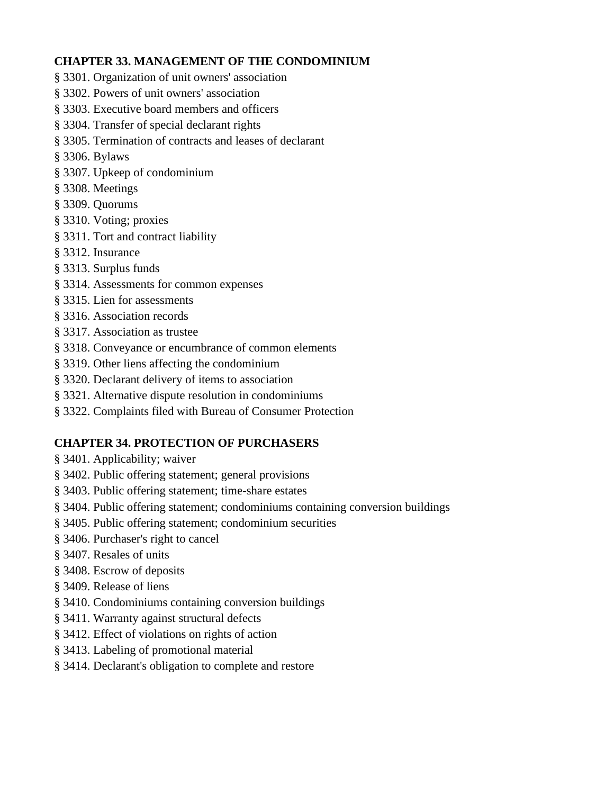### **CHAPTER 33. MANAGEMENT OF THE CONDOMINIUM**

- § 3301. Organization of unit owners' association
- § 3302. Powers of unit owners' association
- § 3303. Executive board members and officers
- § 3304. Transfer of special declarant rights
- § 3305. Termination of contracts and leases of declarant
- § 3306. Bylaws
- § 3307. Upkeep of condominium
- § 3308. Meetings
- § 3309. Quorums
- § 3310. Voting; proxies
- § 3311. Tort and contract liability
- § 3312. Insurance
- § 3313. Surplus funds
- § 3314. Assessments for common expenses
- § 3315. Lien for assessments
- § 3316. Association records
- § 3317. Association as trustee
- § 3318. Conveyance or encumbrance of common elements
- § 3319. Other liens affecting the condominium
- § 3320. Declarant delivery of items to association
- § 3321. Alternative dispute resolution in condominiums
- § 3322. Complaints filed with Bureau of Consumer Protection

## **CHAPTER 34. PROTECTION OF PURCHASERS**

- § 3401. Applicability; waiver
- § 3402. Public offering statement; general provisions
- § 3403. Public offering statement; time-share estates
- § 3404. Public offering statement; condominiums containing conversion buildings
- § 3405. Public offering statement; condominium securities
- § 3406. Purchaser's right to cancel
- § 3407. Resales of units
- § 3408. Escrow of deposits
- § 3409. Release of liens
- § 3410. Condominiums containing conversion buildings
- § 3411. Warranty against structural defects
- § 3412. Effect of violations on rights of action
- § 3413. Labeling of promotional material
- § 3414. Declarant's obligation to complete and restore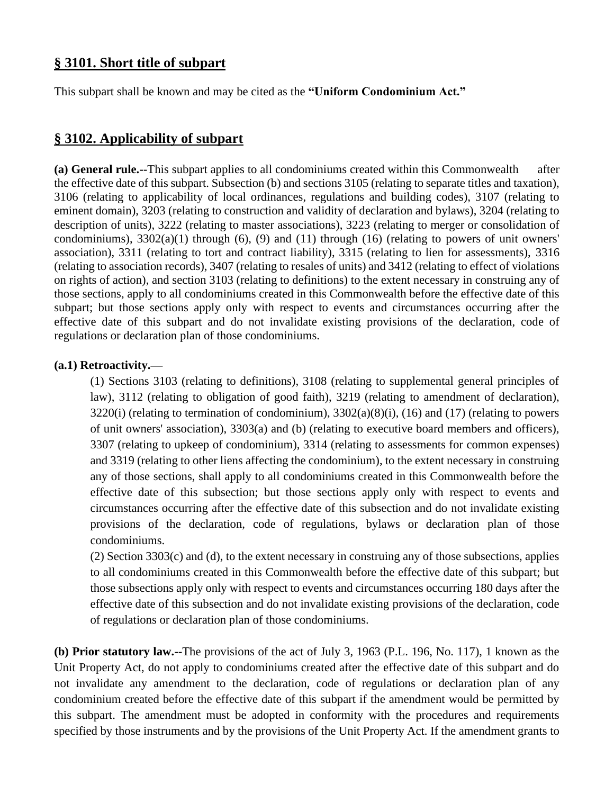## **§ 3101. Short title of subpart**

This subpart shall be known and may be cited as the **"Uniform Condominium Act."**

### **§ 3102. Applicability of subpart**

**(a) General rule.--**This subpart applies to all condominiums created within this Commonwealth after the effective date of this subpart. Subsection (b) and sections 3105 (relating to separate titles and taxation), 3106 (relating to applicability of local ordinances, regulations and building codes), 3107 (relating to eminent domain), 3203 (relating to construction and validity of declaration and bylaws), 3204 (relating to description of units), 3222 (relating to master associations), 3223 (relating to merger or consolidation of condominiums),  $3302(a)(1)$  through (6), (9) and (11) through (16) (relating to powers of unit owners' association), 3311 (relating to tort and contract liability), 3315 (relating to lien for assessments), 3316 (relating to association records), 3407 (relating to resales of units) and 3412 (relating to effect of violations on rights of action), and section 3103 (relating to definitions) to the extent necessary in construing any of those sections, apply to all condominiums created in this Commonwealth before the effective date of this subpart; but those sections apply only with respect to events and circumstances occurring after the effective date of this subpart and do not invalidate existing provisions of the declaration, code of regulations or declaration plan of those condominiums.

#### **(a.1) Retroactivity.—**

(1) Sections 3103 (relating to definitions), 3108 (relating to supplemental general principles of law), 3112 (relating to obligation of good faith), 3219 (relating to amendment of declaration),  $3220(i)$  (relating to termination of condominium),  $3302(a)(8)(i)$ ,  $(16)$  and  $(17)$  (relating to powers of unit owners' association), 3303(a) and (b) (relating to executive board members and officers), 3307 (relating to upkeep of condominium), 3314 (relating to assessments for common expenses) and 3319 (relating to other liens affecting the condominium), to the extent necessary in construing any of those sections, shall apply to all condominiums created in this Commonwealth before the effective date of this subsection; but those sections apply only with respect to events and circumstances occurring after the effective date of this subsection and do not invalidate existing provisions of the declaration, code of regulations, bylaws or declaration plan of those condominiums.

(2) Section 3303(c) and (d), to the extent necessary in construing any of those subsections, applies to all condominiums created in this Commonwealth before the effective date of this subpart; but those subsections apply only with respect to events and circumstances occurring 180 days after the effective date of this subsection and do not invalidate existing provisions of the declaration, code of regulations or declaration plan of those condominiums.

**(b) Prior statutory law.--**The provisions of the act of July 3, 1963 (P.L. 196, No. 117), 1 known as the Unit Property Act, do not apply to condominiums created after the effective date of this subpart and do not invalidate any amendment to the declaration, code of regulations or declaration plan of any condominium created before the effective date of this subpart if the amendment would be permitted by this subpart. The amendment must be adopted in conformity with the procedures and requirements specified by those instruments and by the provisions of the Unit Property Act. If the amendment grants to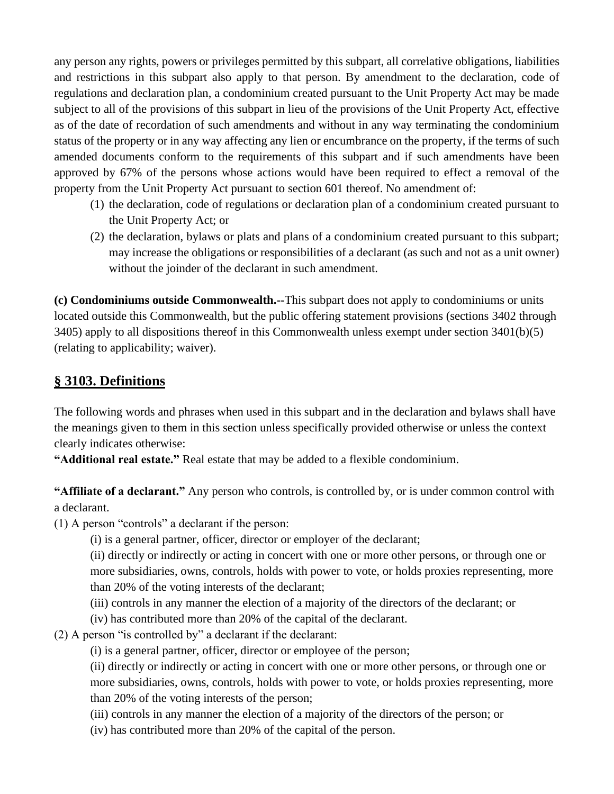any person any rights, powers or privileges permitted by this subpart, all correlative obligations, liabilities and restrictions in this subpart also apply to that person. By amendment to the declaration, code of regulations and declaration plan, a condominium created pursuant to the Unit Property Act may be made subject to all of the provisions of this subpart in lieu of the provisions of the Unit Property Act, effective as of the date of recordation of such amendments and without in any way terminating the condominium status of the property or in any way affecting any lien or encumbrance on the property, if the terms of such amended documents conform to the requirements of this subpart and if such amendments have been approved by 67% of the persons whose actions would have been required to effect a removal of the property from the Unit Property Act pursuant to section 601 thereof. No amendment of:

- (1) the declaration, code of regulations or declaration plan of a condominium created pursuant to the Unit Property Act; or
- (2) the declaration, bylaws or plats and plans of a condominium created pursuant to this subpart; may increase the obligations or responsibilities of a declarant (as such and not as a unit owner) without the joinder of the declarant in such amendment.

**(c) Condominiums outside Commonwealth.--**This subpart does not apply to condominiums or units located outside this Commonwealth, but the public offering statement provisions (sections 3402 through 3405) apply to all dispositions thereof in this Commonwealth unless exempt under section 3401(b)(5) (relating to applicability; waiver).

## **§ 3103. Definitions**

The following words and phrases when used in this subpart and in the declaration and bylaws shall have the meanings given to them in this section unless specifically provided otherwise or unless the context clearly indicates otherwise:

**"Additional real estate."** Real estate that may be added to a flexible condominium.

**"Affiliate of a declarant."** Any person who controls, is controlled by, or is under common control with a declarant.

(1) A person "controls" a declarant if the person:

(i) is a general partner, officer, director or employer of the declarant;

(ii) directly or indirectly or acting in concert with one or more other persons, or through one or more subsidiaries, owns, controls, holds with power to vote, or holds proxies representing, more than 20% of the voting interests of the declarant;

(iii) controls in any manner the election of a majority of the directors of the declarant; or

- (iv) has contributed more than 20% of the capital of the declarant.
- (2) A person "is controlled by" a declarant if the declarant:
	- (i) is a general partner, officer, director or employee of the person;

(ii) directly or indirectly or acting in concert with one or more other persons, or through one or more subsidiaries, owns, controls, holds with power to vote, or holds proxies representing, more than 20% of the voting interests of the person;

- (iii) controls in any manner the election of a majority of the directors of the person; or
- (iv) has contributed more than 20% of the capital of the person.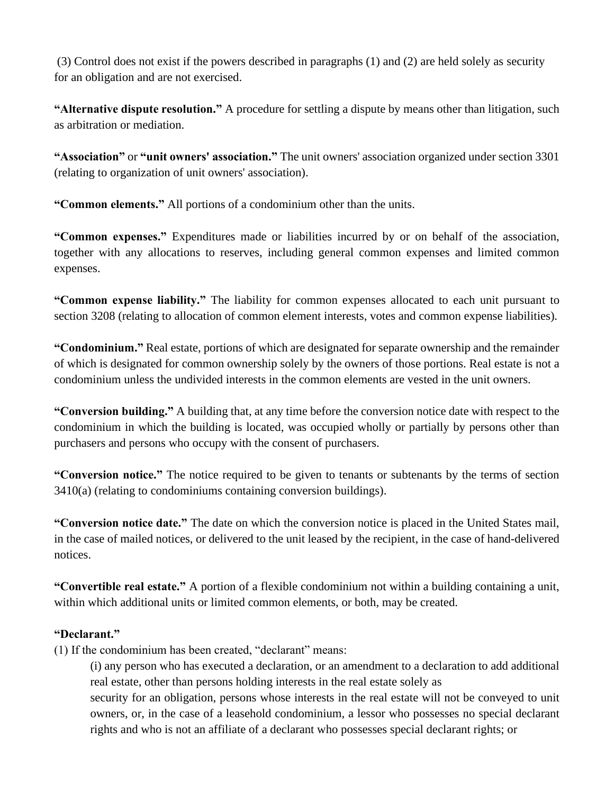(3) Control does not exist if the powers described in paragraphs (1) and (2) are held solely as security for an obligation and are not exercised.

**"Alternative dispute resolution."** A procedure for settling a dispute by means other than litigation, such as arbitration or mediation.

**"Association"** or **"unit owners' association."** The unit owners' association organized under section 3301 (relating to organization of unit owners' association).

**"Common elements."** All portions of a condominium other than the units.

**"Common expenses."** Expenditures made or liabilities incurred by or on behalf of the association, together with any allocations to reserves, including general common expenses and limited common expenses.

**"Common expense liability."** The liability for common expenses allocated to each unit pursuant to section 3208 (relating to allocation of common element interests, votes and common expense liabilities).

**"Condominium."** Real estate, portions of which are designated for separate ownership and the remainder of which is designated for common ownership solely by the owners of those portions. Real estate is not a condominium unless the undivided interests in the common elements are vested in the unit owners.

**"Conversion building."** A building that, at any time before the conversion notice date with respect to the condominium in which the building is located, was occupied wholly or partially by persons other than purchasers and persons who occupy with the consent of purchasers.

**"Conversion notice."** The notice required to be given to tenants or subtenants by the terms of section 3410(a) (relating to condominiums containing conversion buildings).

**"Conversion notice date."** The date on which the conversion notice is placed in the United States mail, in the case of mailed notices, or delivered to the unit leased by the recipient, in the case of hand-delivered notices.

**"Convertible real estate."** A portion of a flexible condominium not within a building containing a unit, within which additional units or limited common elements, or both, may be created.

### **"Declarant."**

(1) If the condominium has been created, "declarant" means:

(i) any person who has executed a declaration, or an amendment to a declaration to add additional real estate, other than persons holding interests in the real estate solely as

security for an obligation, persons whose interests in the real estate will not be conveyed to unit owners, or, in the case of a leasehold condominium, a lessor who possesses no special declarant rights and who is not an affiliate of a declarant who possesses special declarant rights; or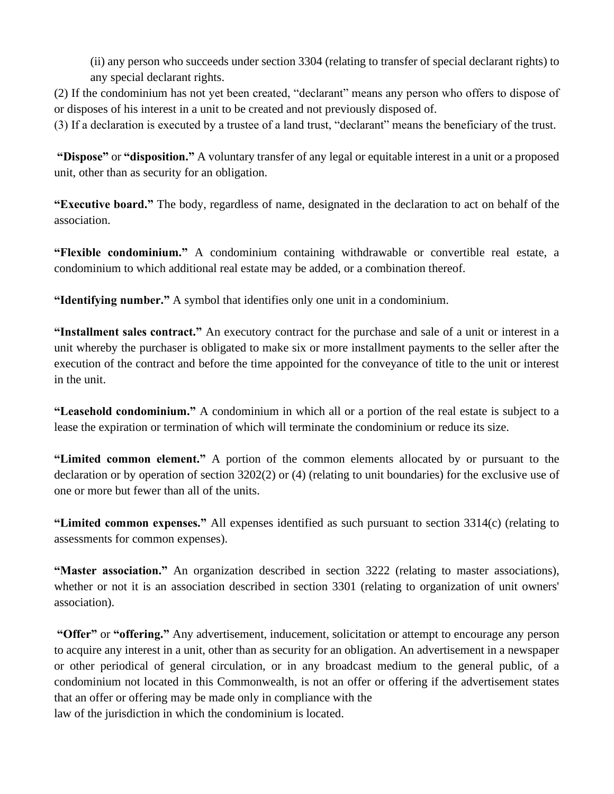(ii) any person who succeeds under section 3304 (relating to transfer of special declarant rights) to any special declarant rights.

(2) If the condominium has not yet been created, "declarant" means any person who offers to dispose of or disposes of his interest in a unit to be created and not previously disposed of.

(3) If a declaration is executed by a trustee of a land trust, "declarant" means the beneficiary of the trust.

**"Dispose"** or **"disposition."** A voluntary transfer of any legal or equitable interest in a unit or a proposed unit, other than as security for an obligation.

**"Executive board."** The body, regardless of name, designated in the declaration to act on behalf of the association.

**"Flexible condominium."** A condominium containing withdrawable or convertible real estate, a condominium to which additional real estate may be added, or a combination thereof.

**"Identifying number."** A symbol that identifies only one unit in a condominium.

**"Installment sales contract."** An executory contract for the purchase and sale of a unit or interest in a unit whereby the purchaser is obligated to make six or more installment payments to the seller after the execution of the contract and before the time appointed for the conveyance of title to the unit or interest in the unit.

**"Leasehold condominium."** A condominium in which all or a portion of the real estate is subject to a lease the expiration or termination of which will terminate the condominium or reduce its size.

**"Limited common element."** A portion of the common elements allocated by or pursuant to the declaration or by operation of section 3202(2) or (4) (relating to unit boundaries) for the exclusive use of one or more but fewer than all of the units.

**"Limited common expenses."** All expenses identified as such pursuant to section 3314(c) (relating to assessments for common expenses).

**"Master association."** An organization described in section 3222 (relating to master associations), whether or not it is an association described in section 3301 (relating to organization of unit owners' association).

**"Offer"** or **"offering."** Any advertisement, inducement, solicitation or attempt to encourage any person to acquire any interest in a unit, other than as security for an obligation. An advertisement in a newspaper or other periodical of general circulation, or in any broadcast medium to the general public, of a condominium not located in this Commonwealth, is not an offer or offering if the advertisement states that an offer or offering may be made only in compliance with the law of the jurisdiction in which the condominium is located.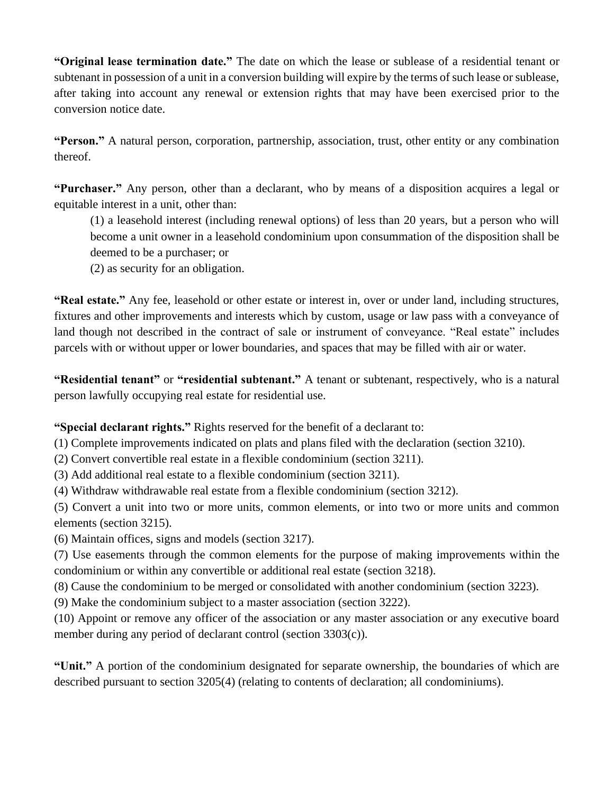**"Original lease termination date."** The date on which the lease or sublease of a residential tenant or subtenant in possession of a unit in a conversion building will expire by the terms of such lease or sublease, after taking into account any renewal or extension rights that may have been exercised prior to the conversion notice date.

**"Person."** A natural person, corporation, partnership, association, trust, other entity or any combination thereof.

**"Purchaser."** Any person, other than a declarant, who by means of a disposition acquires a legal or equitable interest in a unit, other than:

(1) a leasehold interest (including renewal options) of less than 20 years, but a person who will become a unit owner in a leasehold condominium upon consummation of the disposition shall be deemed to be a purchaser; or

(2) as security for an obligation.

**"Real estate."** Any fee, leasehold or other estate or interest in, over or under land, including structures, fixtures and other improvements and interests which by custom, usage or law pass with a conveyance of land though not described in the contract of sale or instrument of conveyance. "Real estate" includes parcels with or without upper or lower boundaries, and spaces that may be filled with air or water.

**"Residential tenant"** or **"residential subtenant."** A tenant or subtenant, respectively, who is a natural person lawfully occupying real estate for residential use.

**"Special declarant rights."** Rights reserved for the benefit of a declarant to:

(1) Complete improvements indicated on plats and plans filed with the declaration (section 3210).

(2) Convert convertible real estate in a flexible condominium (section 3211).

(3) Add additional real estate to a flexible condominium (section 3211).

(4) Withdraw withdrawable real estate from a flexible condominium (section 3212).

(5) Convert a unit into two or more units, common elements, or into two or more units and common elements (section 3215).

(6) Maintain offices, signs and models (section 3217).

(7) Use easements through the common elements for the purpose of making improvements within the condominium or within any convertible or additional real estate (section 3218).

(8) Cause the condominium to be merged or consolidated with another condominium (section 3223).

(9) Make the condominium subject to a master association (section 3222).

(10) Appoint or remove any officer of the association or any master association or any executive board member during any period of declarant control (section 3303(c)).

**"Unit."** A portion of the condominium designated for separate ownership, the boundaries of which are described pursuant to section 3205(4) (relating to contents of declaration; all condominiums).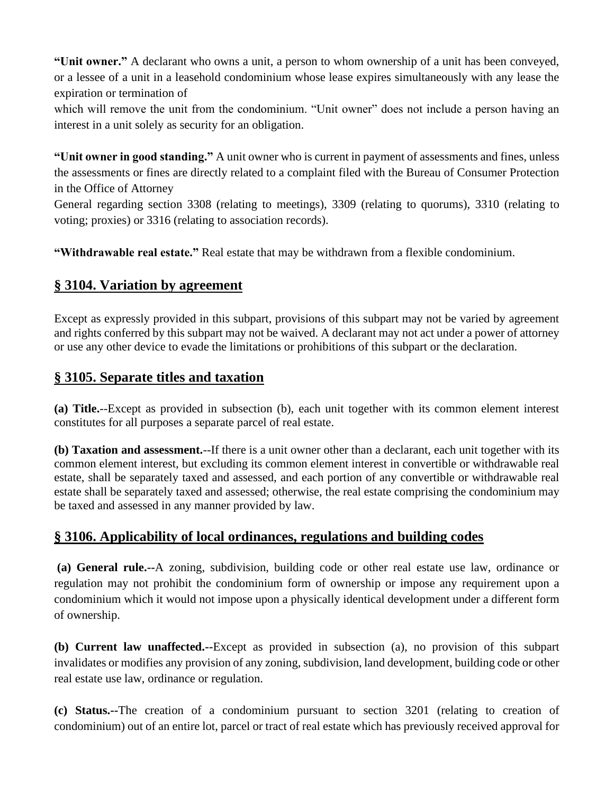**"Unit owner."** A declarant who owns a unit, a person to whom ownership of a unit has been conveyed, or a lessee of a unit in a leasehold condominium whose lease expires simultaneously with any lease the expiration or termination of

which will remove the unit from the condominium. "Unit owner" does not include a person having an interest in a unit solely as security for an obligation.

**"Unit owner in good standing."** A unit owner who is current in payment of assessments and fines, unless the assessments or fines are directly related to a complaint filed with the Bureau of Consumer Protection in the Office of Attorney

General regarding section 3308 (relating to meetings), 3309 (relating to quorums), 3310 (relating to voting; proxies) or 3316 (relating to association records).

**"Withdrawable real estate."** Real estate that may be withdrawn from a flexible condominium.

## **§ 3104. Variation by agreement**

Except as expressly provided in this subpart, provisions of this subpart may not be varied by agreement and rights conferred by this subpart may not be waived. A declarant may not act under a power of attorney or use any other device to evade the limitations or prohibitions of this subpart or the declaration.

## **§ 3105. Separate titles and taxation**

**(a) Title.**--Except as provided in subsection (b), each unit together with its common element interest constitutes for all purposes a separate parcel of real estate.

**(b) Taxation and assessment.**--If there is a unit owner other than a declarant, each unit together with its common element interest, but excluding its common element interest in convertible or withdrawable real estate, shall be separately taxed and assessed, and each portion of any convertible or withdrawable real estate shall be separately taxed and assessed; otherwise, the real estate comprising the condominium may be taxed and assessed in any manner provided by law.

# **§ 3106. Applicability of local ordinances, regulations and building codes**

**(a) General rule.--**A zoning, subdivision, building code or other real estate use law, ordinance or regulation may not prohibit the condominium form of ownership or impose any requirement upon a condominium which it would not impose upon a physically identical development under a different form of ownership.

**(b) Current law unaffected.--**Except as provided in subsection (a), no provision of this subpart invalidates or modifies any provision of any zoning, subdivision, land development, building code or other real estate use law, ordinance or regulation.

**(c) Status.--**The creation of a condominium pursuant to section 3201 (relating to creation of condominium) out of an entire lot, parcel or tract of real estate which has previously received approval for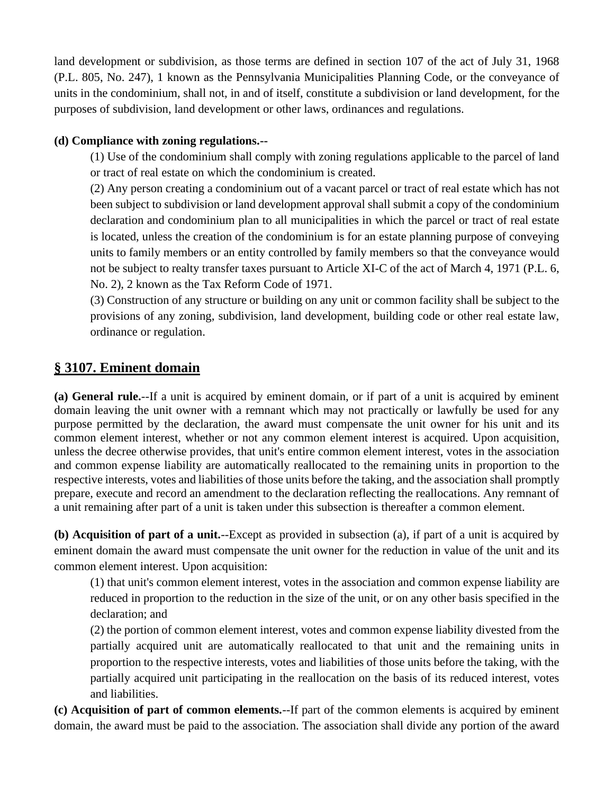land development or subdivision, as those terms are defined in section 107 of the act of July 31, 1968 (P.L. 805, No. 247), 1 known as the Pennsylvania Municipalities Planning Code, or the conveyance of units in the condominium, shall not, in and of itself, constitute a subdivision or land development, for the purposes of subdivision, land development or other laws, ordinances and regulations.

#### **(d) Compliance with zoning regulations.--**

(1) Use of the condominium shall comply with zoning regulations applicable to the parcel of land or tract of real estate on which the condominium is created.

(2) Any person creating a condominium out of a vacant parcel or tract of real estate which has not been subject to subdivision or land development approval shall submit a copy of the condominium declaration and condominium plan to all municipalities in which the parcel or tract of real estate is located, unless the creation of the condominium is for an estate planning purpose of conveying units to family members or an entity controlled by family members so that the conveyance would not be subject to realty transfer taxes pursuant to Article XI-C of the act of March 4, 1971 (P.L. 6, No. 2), 2 known as the Tax Reform Code of 1971.

(3) Construction of any structure or building on any unit or common facility shall be subject to the provisions of any zoning, subdivision, land development, building code or other real estate law, ordinance or regulation.

## **§ 3107. Eminent domain**

**(a) General rule.**--If a unit is acquired by eminent domain, or if part of a unit is acquired by eminent domain leaving the unit owner with a remnant which may not practically or lawfully be used for any purpose permitted by the declaration, the award must compensate the unit owner for his unit and its common element interest, whether or not any common element interest is acquired. Upon acquisition, unless the decree otherwise provides, that unit's entire common element interest, votes in the association and common expense liability are automatically reallocated to the remaining units in proportion to the respective interests, votes and liabilities of those units before the taking, and the association shall promptly prepare, execute and record an amendment to the declaration reflecting the reallocations. Any remnant of a unit remaining after part of a unit is taken under this subsection is thereafter a common element.

**(b) Acquisition of part of a unit.**--Except as provided in subsection (a), if part of a unit is acquired by eminent domain the award must compensate the unit owner for the reduction in value of the unit and its common element interest. Upon acquisition:

(1) that unit's common element interest, votes in the association and common expense liability are reduced in proportion to the reduction in the size of the unit, or on any other basis specified in the declaration; and

(2) the portion of common element interest, votes and common expense liability divested from the partially acquired unit are automatically reallocated to that unit and the remaining units in proportion to the respective interests, votes and liabilities of those units before the taking, with the partially acquired unit participating in the reallocation on the basis of its reduced interest, votes and liabilities.

**(c) Acquisition of part of common elements.**--If part of the common elements is acquired by eminent domain, the award must be paid to the association. The association shall divide any portion of the award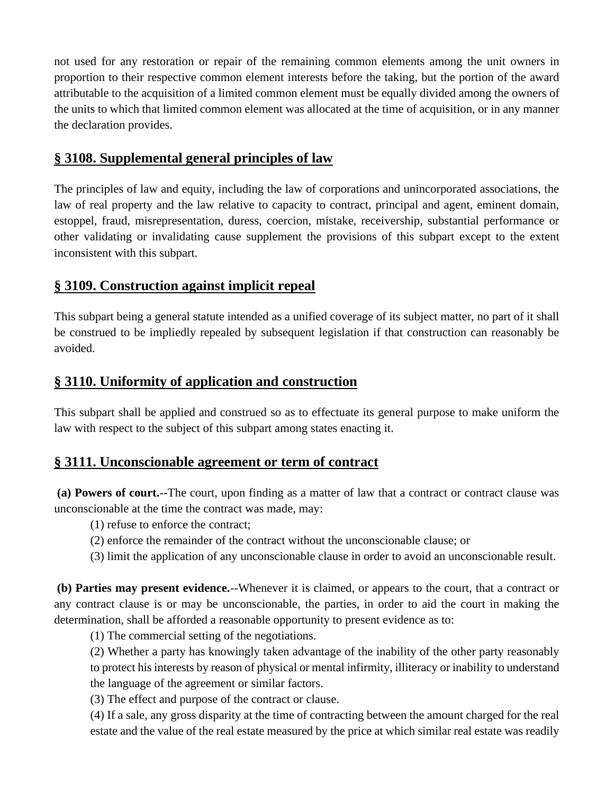not used for any restoration or repair of the remaining common elements among the unit owners in proportion to their respective common element interests before the taking, but the portion of the award attributable to the acquisition of a limited common element must be equally divided among the owners of the units to which that limited common element was allocated at the time of acquisition, or in any manner the declaration provides.

## **§ 3108. Supplemental general principles of law**

The principles of law and equity, including the law of corporations and unincorporated associations, the law of real property and the law relative to capacity to contract, principal and agent, eminent domain, estoppel, fraud, misrepresentation, duress, coercion, mistake, receivership, substantial performance or other validating or invalidating cause supplement the provisions of this subpart except to the extent inconsistent with this subpart.

## **§ 3109. Construction against implicit repeal**

This subpart being a general statute intended as a unified coverage of its subject matter, no part of it shall be construed to be impliedly repealed by subsequent legislation if that construction can reasonably be avoided.

## **§ 3110. Uniformity of application and construction**

This subpart shall be applied and construed so as to effectuate its general purpose to make uniform the law with respect to the subject of this subpart among states enacting it.

## **§ 3111. Unconscionable agreement or term of contract**

**(a) Powers of court.**--The court, upon finding as a matter of law that a contract or contract clause was unconscionable at the time the contract was made, may:

- (1) refuse to enforce the contract;
- (2) enforce the remainder of the contract without the unconscionable clause; or
- (3) limit the application of any unconscionable clause in order to avoid an unconscionable result.

**(b) Parties may present evidence.**--Whenever it is claimed, or appears to the court, that a contract or any contract clause is or may be unconscionable, the parties, in order to aid the court in making the determination, shall be afforded a reasonable opportunity to present evidence as to:

(1) The commercial setting of the negotiations.

(2) Whether a party has knowingly taken advantage of the inability of the other party reasonably to protect his interests by reason of physical or mental infirmity, illiteracy or inability to understand the language of the agreement or similar factors.

(3) The effect and purpose of the contract or clause.

(4) If a sale, any gross disparity at the time of contracting between the amount charged for the real estate and the value of the real estate measured by the price at which similar real estate was readily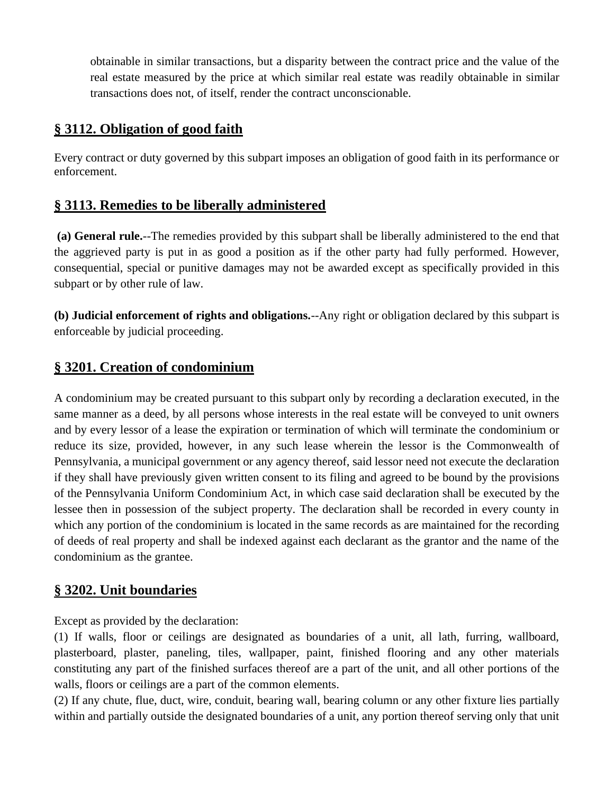obtainable in similar transactions, but a disparity between the contract price and the value of the real estate measured by the price at which similar real estate was readily obtainable in similar transactions does not, of itself, render the contract unconscionable.

## **§ 3112. Obligation of good faith**

Every contract or duty governed by this subpart imposes an obligation of good faith in its performance or enforcement.

# **§ 3113. Remedies to be liberally administered**

**(a) General rule.**--The remedies provided by this subpart shall be liberally administered to the end that the aggrieved party is put in as good a position as if the other party had fully performed. However, consequential, special or punitive damages may not be awarded except as specifically provided in this subpart or by other rule of law.

**(b) Judicial enforcement of rights and obligations.**--Any right or obligation declared by this subpart is enforceable by judicial proceeding.

## **§ 3201. Creation of condominium**

A condominium may be created pursuant to this subpart only by recording a declaration executed, in the same manner as a deed, by all persons whose interests in the real estate will be conveyed to unit owners and by every lessor of a lease the expiration or termination of which will terminate the condominium or reduce its size, provided, however, in any such lease wherein the lessor is the Commonwealth of Pennsylvania, a municipal government or any agency thereof, said lessor need not execute the declaration if they shall have previously given written consent to its filing and agreed to be bound by the provisions of the Pennsylvania Uniform Condominium Act, in which case said declaration shall be executed by the lessee then in possession of the subject property. The declaration shall be recorded in every county in which any portion of the condominium is located in the same records as are maintained for the recording of deeds of real property and shall be indexed against each declarant as the grantor and the name of the condominium as the grantee.

## **§ 3202. Unit boundaries**

Except as provided by the declaration:

(1) If walls, floor or ceilings are designated as boundaries of a unit, all lath, furring, wallboard, plasterboard, plaster, paneling, tiles, wallpaper, paint, finished flooring and any other materials constituting any part of the finished surfaces thereof are a part of the unit, and all other portions of the walls, floors or ceilings are a part of the common elements.

(2) If any chute, flue, duct, wire, conduit, bearing wall, bearing column or any other fixture lies partially within and partially outside the designated boundaries of a unit, any portion thereof serving only that unit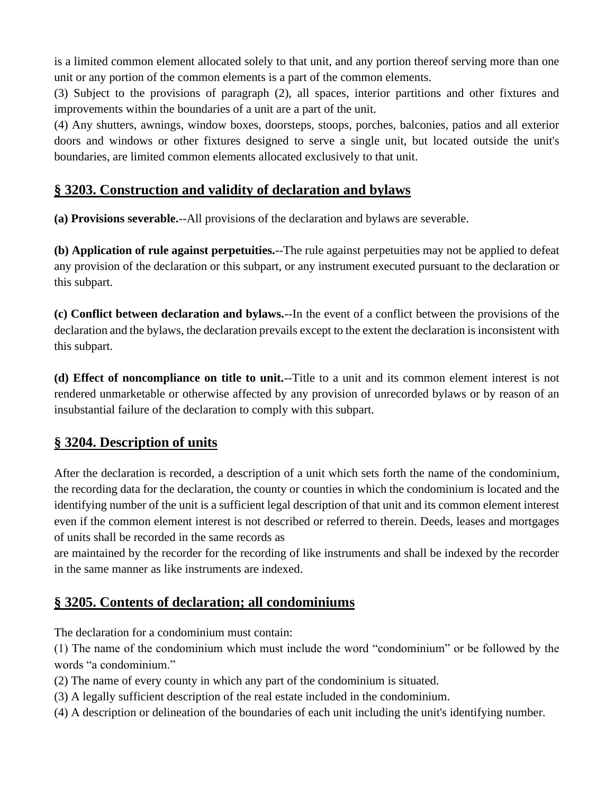is a limited common element allocated solely to that unit, and any portion thereof serving more than one unit or any portion of the common elements is a part of the common elements.

(3) Subject to the provisions of paragraph (2), all spaces, interior partitions and other fixtures and improvements within the boundaries of a unit are a part of the unit.

(4) Any shutters, awnings, window boxes, doorsteps, stoops, porches, balconies, patios and all exterior doors and windows or other fixtures designed to serve a single unit, but located outside the unit's boundaries, are limited common elements allocated exclusively to that unit.

## **§ 3203. Construction and validity of declaration and bylaws**

**(a) Provisions severable.**--All provisions of the declaration and bylaws are severable.

**(b) Application of rule against perpetuities.**--The rule against perpetuities may not be applied to defeat any provision of the declaration or this subpart, or any instrument executed pursuant to the declaration or this subpart.

**(c) Conflict between declaration and bylaws.**--In the event of a conflict between the provisions of the declaration and the bylaws, the declaration prevails except to the extent the declaration is inconsistent with this subpart.

**(d) Effect of noncompliance on title to unit.**--Title to a unit and its common element interest is not rendered unmarketable or otherwise affected by any provision of unrecorded bylaws or by reason of an insubstantial failure of the declaration to comply with this subpart.

# **§ 3204. Description of units**

After the declaration is recorded, a description of a unit which sets forth the name of the condominium, the recording data for the declaration, the county or counties in which the condominium is located and the identifying number of the unit is a sufficient legal description of that unit and its common element interest even if the common element interest is not described or referred to therein. Deeds, leases and mortgages of units shall be recorded in the same records as

are maintained by the recorder for the recording of like instruments and shall be indexed by the recorder in the same manner as like instruments are indexed.

# **§ 3205. Contents of declaration; all condominiums**

The declaration for a condominium must contain:

(1) The name of the condominium which must include the word "condominium" or be followed by the words "a condominium."

- (2) The name of every county in which any part of the condominium is situated.
- (3) A legally sufficient description of the real estate included in the condominium.
- (4) A description or delineation of the boundaries of each unit including the unit's identifying number.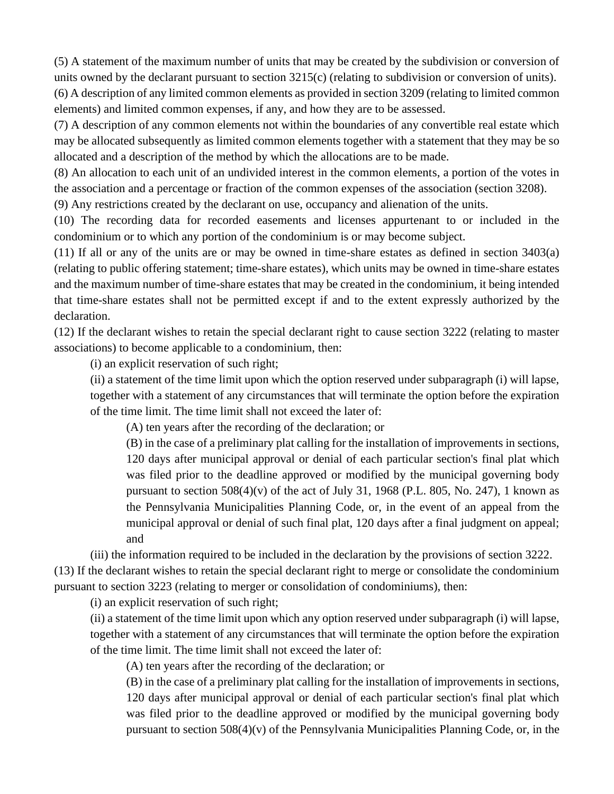(5) A statement of the maximum number of units that may be created by the subdivision or conversion of units owned by the declarant pursuant to section 3215(c) (relating to subdivision or conversion of units). (6) A description of any limited common elements as provided in section 3209 (relating to limited common elements) and limited common expenses, if any, and how they are to be assessed.

(7) A description of any common elements not within the boundaries of any convertible real estate which may be allocated subsequently as limited common elements together with a statement that they may be so allocated and a description of the method by which the allocations are to be made.

(8) An allocation to each unit of an undivided interest in the common elements, a portion of the votes in the association and a percentage or fraction of the common expenses of the association (section 3208).

(9) Any restrictions created by the declarant on use, occupancy and alienation of the units.

(10) The recording data for recorded easements and licenses appurtenant to or included in the condominium or to which any portion of the condominium is or may become subject.

(11) If all or any of the units are or may be owned in time-share estates as defined in section 3403(a) (relating to public offering statement; time-share estates), which units may be owned in time-share estates and the maximum number of time-share estates that may be created in the condominium, it being intended that time-share estates shall not be permitted except if and to the extent expressly authorized by the declaration.

(12) If the declarant wishes to retain the special declarant right to cause section 3222 (relating to master associations) to become applicable to a condominium, then:

(i) an explicit reservation of such right;

(ii) a statement of the time limit upon which the option reserved under subparagraph (i) will lapse, together with a statement of any circumstances that will terminate the option before the expiration of the time limit. The time limit shall not exceed the later of:

(A) ten years after the recording of the declaration; or

(B) in the case of a preliminary plat calling for the installation of improvements in sections, 120 days after municipal approval or denial of each particular section's final plat which was filed prior to the deadline approved or modified by the municipal governing body pursuant to section  $508(4)(v)$  of the act of July 31, 1968 (P.L. 805, No. 247), 1 known as the Pennsylvania Municipalities Planning Code, or, in the event of an appeal from the municipal approval or denial of such final plat, 120 days after a final judgment on appeal; and

(iii) the information required to be included in the declaration by the provisions of section 3222.

(13) If the declarant wishes to retain the special declarant right to merge or consolidate the condominium pursuant to section 3223 (relating to merger or consolidation of condominiums), then:

(i) an explicit reservation of such right;

(ii) a statement of the time limit upon which any option reserved under subparagraph (i) will lapse, together with a statement of any circumstances that will terminate the option before the expiration of the time limit. The time limit shall not exceed the later of:

(A) ten years after the recording of the declaration; or

(B) in the case of a preliminary plat calling for the installation of improvements in sections, 120 days after municipal approval or denial of each particular section's final plat which was filed prior to the deadline approved or modified by the municipal governing body pursuant to section 508(4)(v) of the Pennsylvania Municipalities Planning Code, or, in the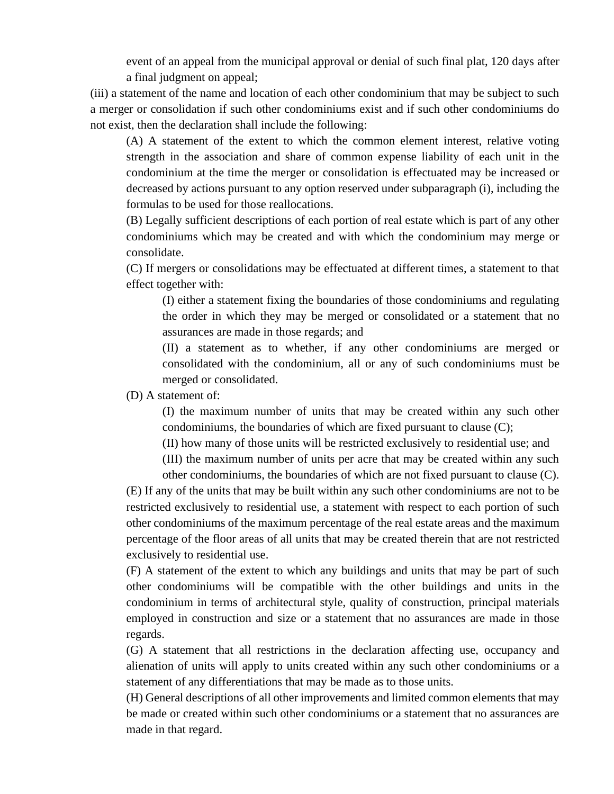event of an appeal from the municipal approval or denial of such final plat, 120 days after a final judgment on appeal;

(iii) a statement of the name and location of each other condominium that may be subject to such a merger or consolidation if such other condominiums exist and if such other condominiums do not exist, then the declaration shall include the following:

(A) A statement of the extent to which the common element interest, relative voting strength in the association and share of common expense liability of each unit in the condominium at the time the merger or consolidation is effectuated may be increased or decreased by actions pursuant to any option reserved under subparagraph (i), including the formulas to be used for those reallocations.

(B) Legally sufficient descriptions of each portion of real estate which is part of any other condominiums which may be created and with which the condominium may merge or consolidate.

(C) If mergers or consolidations may be effectuated at different times, a statement to that effect together with:

(I) either a statement fixing the boundaries of those condominiums and regulating the order in which they may be merged or consolidated or a statement that no assurances are made in those regards; and

(II) a statement as to whether, if any other condominiums are merged or consolidated with the condominium, all or any of such condominiums must be merged or consolidated.

(D) A statement of:

(I) the maximum number of units that may be created within any such other condominiums, the boundaries of which are fixed pursuant to clause (C);

(II) how many of those units will be restricted exclusively to residential use; and (III) the maximum number of units per acre that may be created within any such

other condominiums, the boundaries of which are not fixed pursuant to clause (C). (E) If any of the units that may be built within any such other condominiums are not to be restricted exclusively to residential use, a statement with respect to each portion of such other condominiums of the maximum percentage of the real estate areas and the maximum percentage of the floor areas of all units that may be created therein that are not restricted exclusively to residential use.

(F) A statement of the extent to which any buildings and units that may be part of such other condominiums will be compatible with the other buildings and units in the condominium in terms of architectural style, quality of construction, principal materials employed in construction and size or a statement that no assurances are made in those regards.

(G) A statement that all restrictions in the declaration affecting use, occupancy and alienation of units will apply to units created within any such other condominiums or a statement of any differentiations that may be made as to those units.

(H) General descriptions of all other improvements and limited common elements that may be made or created within such other condominiums or a statement that no assurances are made in that regard.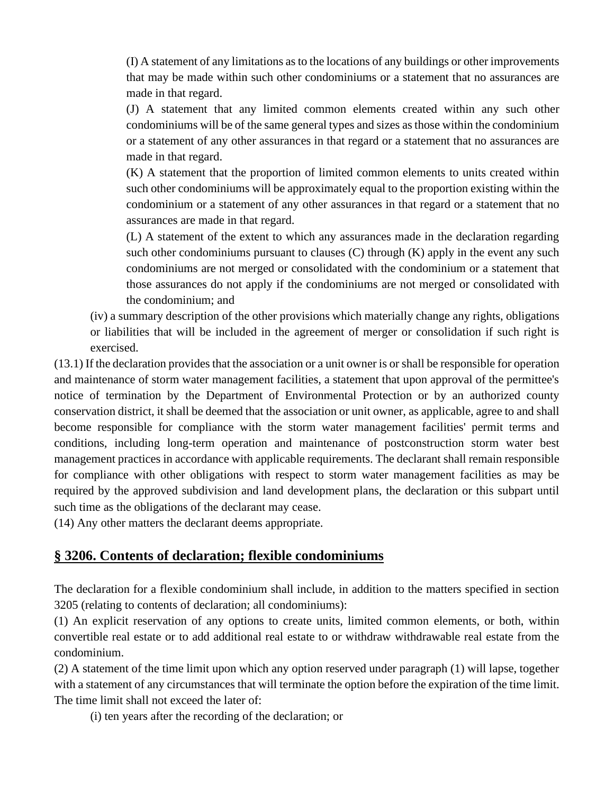(I) A statement of any limitations as to the locations of any buildings or other improvements that may be made within such other condominiums or a statement that no assurances are made in that regard.

(J) A statement that any limited common elements created within any such other condominiums will be of the same general types and sizes as those within the condominium or a statement of any other assurances in that regard or a statement that no assurances are made in that regard.

(K) A statement that the proportion of limited common elements to units created within such other condominiums will be approximately equal to the proportion existing within the condominium or a statement of any other assurances in that regard or a statement that no assurances are made in that regard.

(L) A statement of the extent to which any assurances made in the declaration regarding such other condominiums pursuant to clauses  $(C)$  through  $(K)$  apply in the event any such condominiums are not merged or consolidated with the condominium or a statement that those assurances do not apply if the condominiums are not merged or consolidated with the condominium; and

(iv) a summary description of the other provisions which materially change any rights, obligations or liabilities that will be included in the agreement of merger or consolidation if such right is exercised.

(13.1) If the declaration provides that the association or a unit owner is or shall be responsible for operation and maintenance of storm water management facilities, a statement that upon approval of the permittee's notice of termination by the Department of Environmental Protection or by an authorized county conservation district, it shall be deemed that the association or unit owner, as applicable, agree to and shall become responsible for compliance with the storm water management facilities' permit terms and conditions, including long-term operation and maintenance of postconstruction storm water best management practices in accordance with applicable requirements. The declarant shall remain responsible for compliance with other obligations with respect to storm water management facilities as may be required by the approved subdivision and land development plans, the declaration or this subpart until such time as the obligations of the declarant may cease.

(14) Any other matters the declarant deems appropriate.

## **§ 3206. Contents of declaration; flexible condominiums**

The declaration for a flexible condominium shall include, in addition to the matters specified in section 3205 (relating to contents of declaration; all condominiums):

(1) An explicit reservation of any options to create units, limited common elements, or both, within convertible real estate or to add additional real estate to or withdraw withdrawable real estate from the condominium.

(2) A statement of the time limit upon which any option reserved under paragraph (1) will lapse, together with a statement of any circumstances that will terminate the option before the expiration of the time limit. The time limit shall not exceed the later of:

(i) ten years after the recording of the declaration; or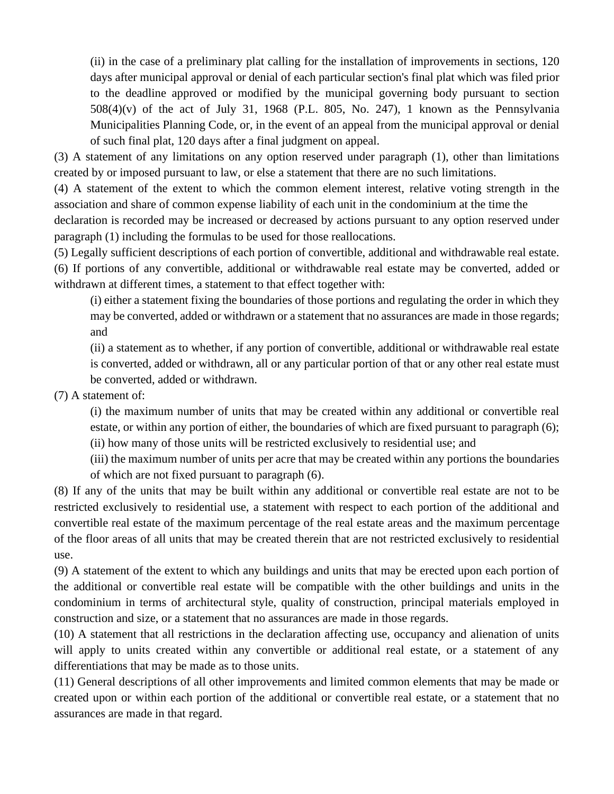(ii) in the case of a preliminary plat calling for the installation of improvements in sections, 120 days after municipal approval or denial of each particular section's final plat which was filed prior to the deadline approved or modified by the municipal governing body pursuant to section  $508(4)(v)$  of the act of July 31, 1968 (P.L. 805, No. 247), 1 known as the Pennsylvania Municipalities Planning Code, or, in the event of an appeal from the municipal approval or denial of such final plat, 120 days after a final judgment on appeal.

(3) A statement of any limitations on any option reserved under paragraph (1), other than limitations created by or imposed pursuant to law, or else a statement that there are no such limitations.

(4) A statement of the extent to which the common element interest, relative voting strength in the association and share of common expense liability of each unit in the condominium at the time the declaration is recorded may be increased or decreased by actions pursuant to any option reserved under

paragraph (1) including the formulas to be used for those reallocations.

(5) Legally sufficient descriptions of each portion of convertible, additional and withdrawable real estate. (6) If portions of any convertible, additional or withdrawable real estate may be converted, added or withdrawn at different times, a statement to that effect together with:

(i) either a statement fixing the boundaries of those portions and regulating the order in which they may be converted, added or withdrawn or a statement that no assurances are made in those regards; and

(ii) a statement as to whether, if any portion of convertible, additional or withdrawable real estate is converted, added or withdrawn, all or any particular portion of that or any other real estate must be converted, added or withdrawn.

(7) A statement of:

(i) the maximum number of units that may be created within any additional or convertible real estate, or within any portion of either, the boundaries of which are fixed pursuant to paragraph (6); (ii) how many of those units will be restricted exclusively to residential use; and

(iii) the maximum number of units per acre that may be created within any portions the boundaries of which are not fixed pursuant to paragraph (6).

(8) If any of the units that may be built within any additional or convertible real estate are not to be restricted exclusively to residential use, a statement with respect to each portion of the additional and convertible real estate of the maximum percentage of the real estate areas and the maximum percentage of the floor areas of all units that may be created therein that are not restricted exclusively to residential use.

(9) A statement of the extent to which any buildings and units that may be erected upon each portion of the additional or convertible real estate will be compatible with the other buildings and units in the condominium in terms of architectural style, quality of construction, principal materials employed in construction and size, or a statement that no assurances are made in those regards.

(10) A statement that all restrictions in the declaration affecting use, occupancy and alienation of units will apply to units created within any convertible or additional real estate, or a statement of any differentiations that may be made as to those units.

(11) General descriptions of all other improvements and limited common elements that may be made or created upon or within each portion of the additional or convertible real estate, or a statement that no assurances are made in that regard.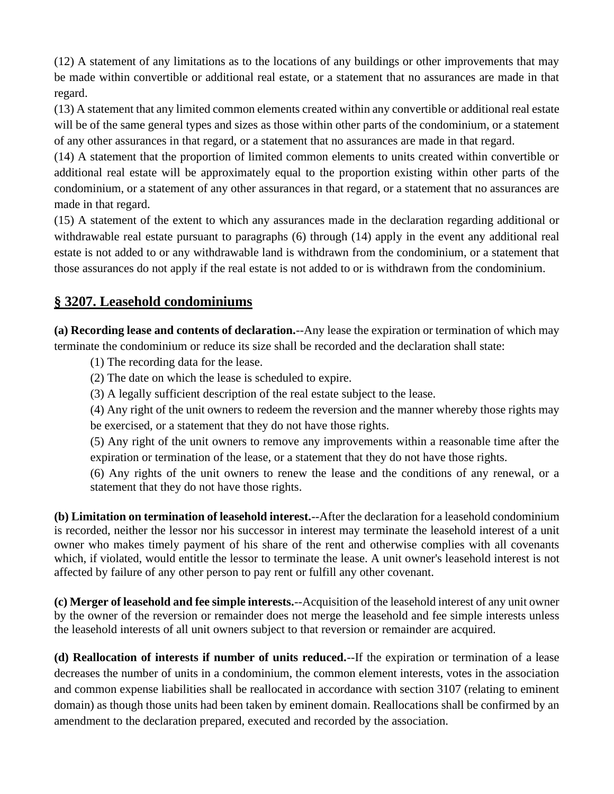(12) A statement of any limitations as to the locations of any buildings or other improvements that may be made within convertible or additional real estate, or a statement that no assurances are made in that regard.

(13) A statement that any limited common elements created within any convertible or additional real estate will be of the same general types and sizes as those within other parts of the condominium, or a statement of any other assurances in that regard, or a statement that no assurances are made in that regard.

(14) A statement that the proportion of limited common elements to units created within convertible or additional real estate will be approximately equal to the proportion existing within other parts of the condominium, or a statement of any other assurances in that regard, or a statement that no assurances are made in that regard.

(15) A statement of the extent to which any assurances made in the declaration regarding additional or withdrawable real estate pursuant to paragraphs (6) through (14) apply in the event any additional real estate is not added to or any withdrawable land is withdrawn from the condominium, or a statement that those assurances do not apply if the real estate is not added to or is withdrawn from the condominium.

# **§ 3207. Leasehold condominiums**

**(a) Recording lease and contents of declaration.**--Any lease the expiration or termination of which may terminate the condominium or reduce its size shall be recorded and the declaration shall state:

(1) The recording data for the lease.

(2) The date on which the lease is scheduled to expire.

(3) A legally sufficient description of the real estate subject to the lease.

(4) Any right of the unit owners to redeem the reversion and the manner whereby those rights may be exercised, or a statement that they do not have those rights.

(5) Any right of the unit owners to remove any improvements within a reasonable time after the expiration or termination of the lease, or a statement that they do not have those rights.

(6) Any rights of the unit owners to renew the lease and the conditions of any renewal, or a statement that they do not have those rights.

**(b) Limitation on termination of leasehold interest.**--After the declaration for a leasehold condominium is recorded, neither the lessor nor his successor in interest may terminate the leasehold interest of a unit owner who makes timely payment of his share of the rent and otherwise complies with all covenants which, if violated, would entitle the lessor to terminate the lease. A unit owner's leasehold interest is not affected by failure of any other person to pay rent or fulfill any other covenant.

**(c) Merger of leasehold and fee simple interests.**--Acquisition of the leasehold interest of any unit owner by the owner of the reversion or remainder does not merge the leasehold and fee simple interests unless the leasehold interests of all unit owners subject to that reversion or remainder are acquired.

**(d) Reallocation of interests if number of units reduced.**--If the expiration or termination of a lease decreases the number of units in a condominium, the common element interests, votes in the association and common expense liabilities shall be reallocated in accordance with section 3107 (relating to eminent domain) as though those units had been taken by eminent domain. Reallocations shall be confirmed by an amendment to the declaration prepared, executed and recorded by the association.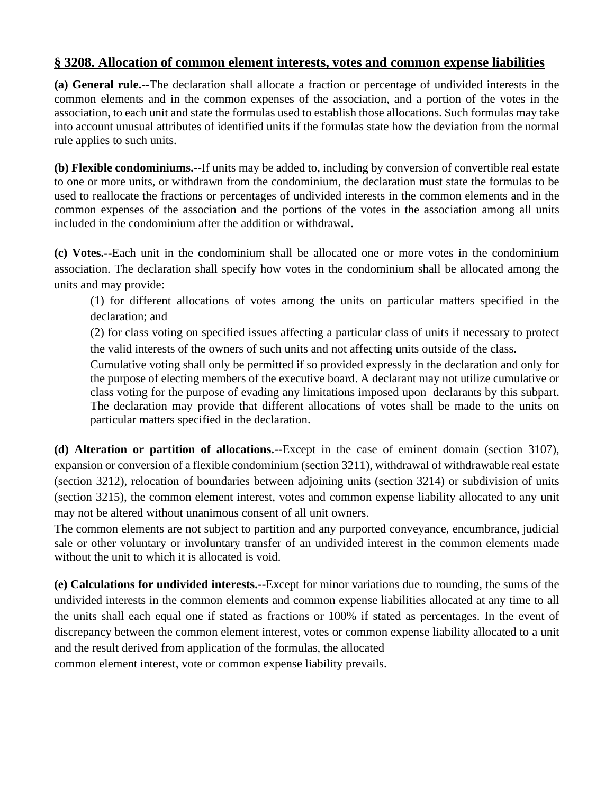### **§ 3208. Allocation of common element interests, votes and common expense liabilities**

**(a) General rule.--**The declaration shall allocate a fraction or percentage of undivided interests in the common elements and in the common expenses of the association, and a portion of the votes in the association, to each unit and state the formulas used to establish those allocations. Such formulas may take into account unusual attributes of identified units if the formulas state how the deviation from the normal rule applies to such units.

**(b) Flexible condominiums.--**If units may be added to, including by conversion of convertible real estate to one or more units, or withdrawn from the condominium, the declaration must state the formulas to be used to reallocate the fractions or percentages of undivided interests in the common elements and in the common expenses of the association and the portions of the votes in the association among all units included in the condominium after the addition or withdrawal.

**(c) Votes.--**Each unit in the condominium shall be allocated one or more votes in the condominium association. The declaration shall specify how votes in the condominium shall be allocated among the units and may provide:

(1) for different allocations of votes among the units on particular matters specified in the declaration; and

(2) for class voting on specified issues affecting a particular class of units if necessary to protect the valid interests of the owners of such units and not affecting units outside of the class.

Cumulative voting shall only be permitted if so provided expressly in the declaration and only for the purpose of electing members of the executive board. A declarant may not utilize cumulative or class voting for the purpose of evading any limitations imposed upon declarants by this subpart. The declaration may provide that different allocations of votes shall be made to the units on particular matters specified in the declaration.

**(d) Alteration or partition of allocations.--**Except in the case of eminent domain (section 3107), expansion or conversion of a flexible condominium (section 3211), withdrawal of withdrawable real estate (section 3212), relocation of boundaries between adjoining units (section 3214) or subdivision of units (section 3215), the common element interest, votes and common expense liability allocated to any unit may not be altered without unanimous consent of all unit owners.

The common elements are not subject to partition and any purported conveyance, encumbrance, judicial sale or other voluntary or involuntary transfer of an undivided interest in the common elements made without the unit to which it is allocated is void.

**(e) Calculations for undivided interests.--**Except for minor variations due to rounding, the sums of the undivided interests in the common elements and common expense liabilities allocated at any time to all the units shall each equal one if stated as fractions or 100% if stated as percentages. In the event of discrepancy between the common element interest, votes or common expense liability allocated to a unit and the result derived from application of the formulas, the allocated common element interest, vote or common expense liability prevails.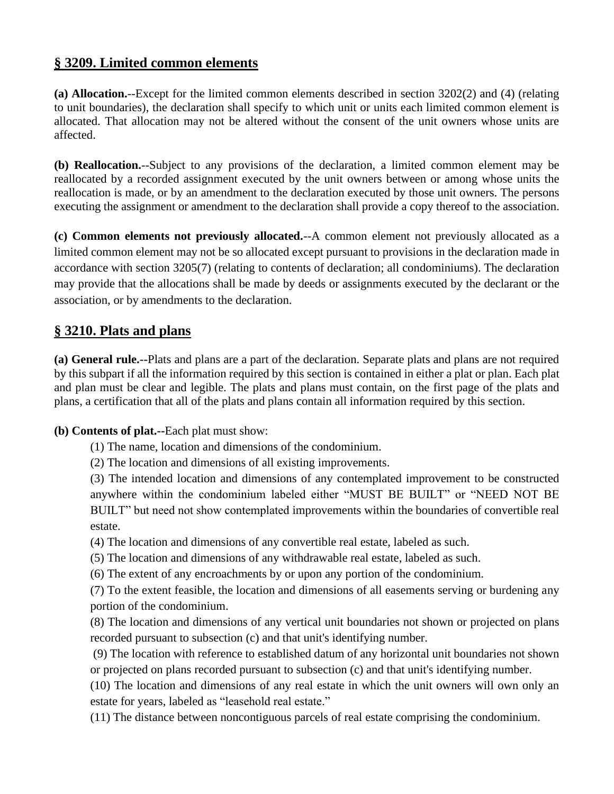## **§ 3209. Limited common elements**

**(a) Allocation.**--Except for the limited common elements described in section 3202(2) and (4) (relating to unit boundaries), the declaration shall specify to which unit or units each limited common element is allocated. That allocation may not be altered without the consent of the unit owners whose units are affected.

**(b) Reallocation.**--Subject to any provisions of the declaration, a limited common element may be reallocated by a recorded assignment executed by the unit owners between or among whose units the reallocation is made, or by an amendment to the declaration executed by those unit owners. The persons executing the assignment or amendment to the declaration shall provide a copy thereof to the association.

**(c) Common elements not previously allocated.**--A common element not previously allocated as a limited common element may not be so allocated except pursuant to provisions in the declaration made in accordance with section 3205(7) (relating to contents of declaration; all condominiums). The declaration may provide that the allocations shall be made by deeds or assignments executed by the declarant or the association, or by amendments to the declaration.

### **§ 3210. Plats and plans**

**(a) General rule.--**Plats and plans are a part of the declaration. Separate plats and plans are not required by this subpart if all the information required by this section is contained in either a plat or plan. Each plat and plan must be clear and legible. The plats and plans must contain, on the first page of the plats and plans, a certification that all of the plats and plans contain all information required by this section.

#### **(b) Contents of plat.--**Each plat must show:

- (1) The name, location and dimensions of the condominium.
- (2) The location and dimensions of all existing improvements.

(3) The intended location and dimensions of any contemplated improvement to be constructed anywhere within the condominium labeled either "MUST BE BUILT" or "NEED NOT BE BUILT" but need not show contemplated improvements within the boundaries of convertible real estate.

(4) The location and dimensions of any convertible real estate, labeled as such.

(5) The location and dimensions of any withdrawable real estate, labeled as such.

(6) The extent of any encroachments by or upon any portion of the condominium.

(7) To the extent feasible, the location and dimensions of all easements serving or burdening any portion of the condominium.

(8) The location and dimensions of any vertical unit boundaries not shown or projected on plans recorded pursuant to subsection (c) and that unit's identifying number.

(9) The location with reference to established datum of any horizontal unit boundaries not shown or projected on plans recorded pursuant to subsection (c) and that unit's identifying number.

(10) The location and dimensions of any real estate in which the unit owners will own only an estate for years, labeled as "leasehold real estate."

(11) The distance between noncontiguous parcels of real estate comprising the condominium.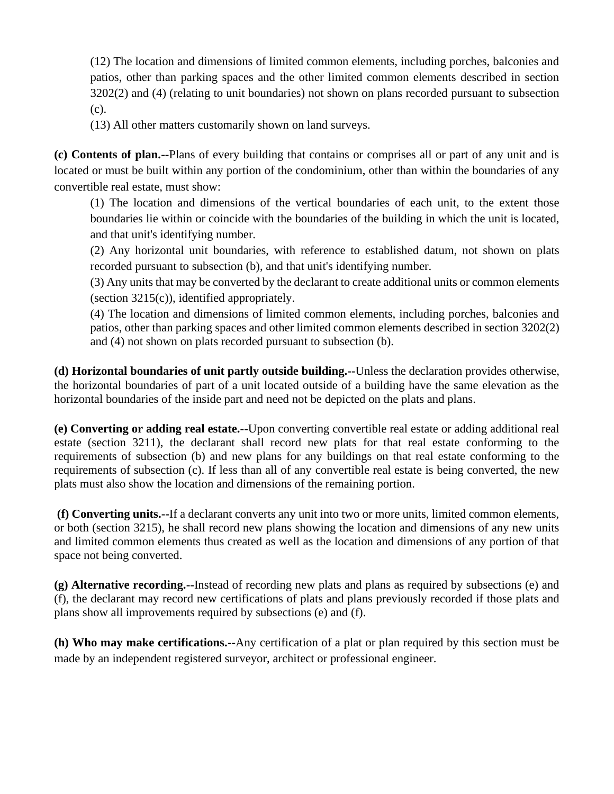(12) The location and dimensions of limited common elements, including porches, balconies and patios, other than parking spaces and the other limited common elements described in section 3202(2) and (4) (relating to unit boundaries) not shown on plans recorded pursuant to subsection (c).

(13) All other matters customarily shown on land surveys.

**(c) Contents of plan.--**Plans of every building that contains or comprises all or part of any unit and is located or must be built within any portion of the condominium, other than within the boundaries of any convertible real estate, must show:

(1) The location and dimensions of the vertical boundaries of each unit, to the extent those boundaries lie within or coincide with the boundaries of the building in which the unit is located, and that unit's identifying number.

(2) Any horizontal unit boundaries, with reference to established datum, not shown on plats recorded pursuant to subsection (b), and that unit's identifying number.

(3) Any units that may be converted by the declarant to create additional units or common elements (section 3215(c)), identified appropriately.

(4) The location and dimensions of limited common elements, including porches, balconies and patios, other than parking spaces and other limited common elements described in section 3202(2) and (4) not shown on plats recorded pursuant to subsection (b).

**(d) Horizontal boundaries of unit partly outside building.--**Unless the declaration provides otherwise, the horizontal boundaries of part of a unit located outside of a building have the same elevation as the horizontal boundaries of the inside part and need not be depicted on the plats and plans.

**(e) Converting or adding real estate.--**Upon converting convertible real estate or adding additional real estate (section 3211), the declarant shall record new plats for that real estate conforming to the requirements of subsection (b) and new plans for any buildings on that real estate conforming to the requirements of subsection (c). If less than all of any convertible real estate is being converted, the new plats must also show the location and dimensions of the remaining portion.

**(f) Converting units.--**If a declarant converts any unit into two or more units, limited common elements, or both (section 3215), he shall record new plans showing the location and dimensions of any new units and limited common elements thus created as well as the location and dimensions of any portion of that space not being converted.

**(g) Alternative recording.--**Instead of recording new plats and plans as required by subsections (e) and (f), the declarant may record new certifications of plats and plans previously recorded if those plats and plans show all improvements required by subsections (e) and (f).

**(h) Who may make certifications.--**Any certification of a plat or plan required by this section must be made by an independent registered surveyor, architect or professional engineer.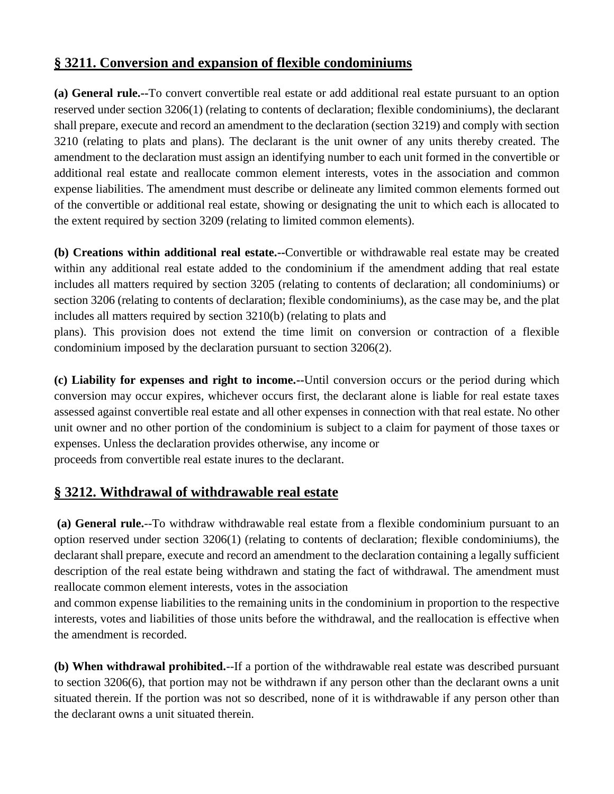# **§ 3211. Conversion and expansion of flexible condominiums**

**(a) General rule.--**To convert convertible real estate or add additional real estate pursuant to an option reserved under section 3206(1) (relating to contents of declaration; flexible condominiums), the declarant shall prepare, execute and record an amendment to the declaration (section 3219) and comply with section 3210 (relating to plats and plans). The declarant is the unit owner of any units thereby created. The amendment to the declaration must assign an identifying number to each unit formed in the convertible or additional real estate and reallocate common element interests, votes in the association and common expense liabilities. The amendment must describe or delineate any limited common elements formed out of the convertible or additional real estate, showing or designating the unit to which each is allocated to the extent required by section 3209 (relating to limited common elements).

**(b) Creations within additional real estate.--**Convertible or withdrawable real estate may be created within any additional real estate added to the condominium if the amendment adding that real estate includes all matters required by section 3205 (relating to contents of declaration; all condominiums) or section 3206 (relating to contents of declaration; flexible condominiums), as the case may be, and the plat includes all matters required by section 3210(b) (relating to plats and

plans). This provision does not extend the time limit on conversion or contraction of a flexible condominium imposed by the declaration pursuant to section 3206(2).

**(c) Liability for expenses and right to income.--**Until conversion occurs or the period during which conversion may occur expires, whichever occurs first, the declarant alone is liable for real estate taxes assessed against convertible real estate and all other expenses in connection with that real estate. No other unit owner and no other portion of the condominium is subject to a claim for payment of those taxes or expenses. Unless the declaration provides otherwise, any income or proceeds from convertible real estate inures to the declarant.

# **§ 3212. Withdrawal of withdrawable real estate**

**(a) General rule.**--To withdraw withdrawable real estate from a flexible condominium pursuant to an option reserved under section 3206(1) (relating to contents of declaration; flexible condominiums), the declarant shall prepare, execute and record an amendment to the declaration containing a legally sufficient description of the real estate being withdrawn and stating the fact of withdrawal. The amendment must reallocate common element interests, votes in the association

and common expense liabilities to the remaining units in the condominium in proportion to the respective interests, votes and liabilities of those units before the withdrawal, and the reallocation is effective when the amendment is recorded.

**(b) When withdrawal prohibited.**--If a portion of the withdrawable real estate was described pursuant to section 3206(6), that portion may not be withdrawn if any person other than the declarant owns a unit situated therein. If the portion was not so described, none of it is withdrawable if any person other than the declarant owns a unit situated therein.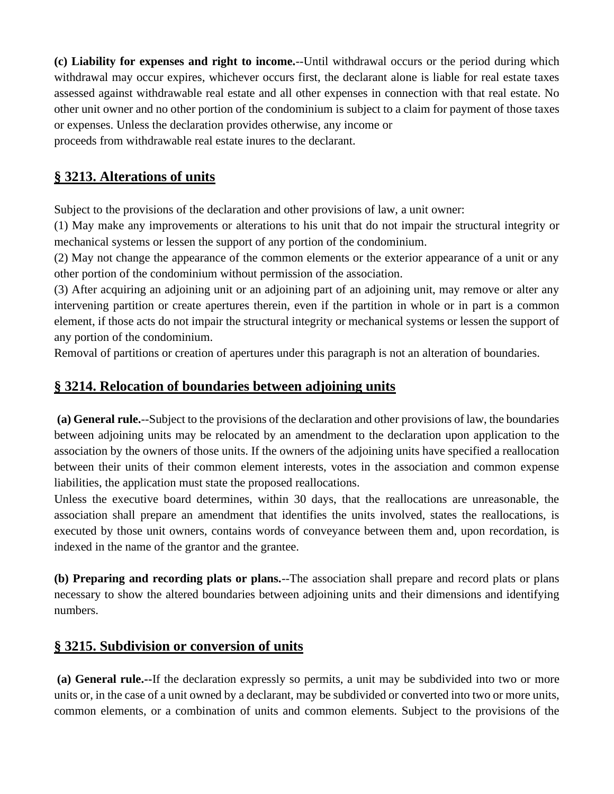**(c) Liability for expenses and right to income.**--Until withdrawal occurs or the period during which withdrawal may occur expires, whichever occurs first, the declarant alone is liable for real estate taxes assessed against withdrawable real estate and all other expenses in connection with that real estate. No other unit owner and no other portion of the condominium is subject to a claim for payment of those taxes or expenses. Unless the declaration provides otherwise, any income or proceeds from withdrawable real estate inures to the declarant.

## **§ 3213. Alterations of units**

Subject to the provisions of the declaration and other provisions of law, a unit owner:

(1) May make any improvements or alterations to his unit that do not impair the structural integrity or mechanical systems or lessen the support of any portion of the condominium.

(2) May not change the appearance of the common elements or the exterior appearance of a unit or any other portion of the condominium without permission of the association.

(3) After acquiring an adjoining unit or an adjoining part of an adjoining unit, may remove or alter any intervening partition or create apertures therein, even if the partition in whole or in part is a common element, if those acts do not impair the structural integrity or mechanical systems or lessen the support of any portion of the condominium.

Removal of partitions or creation of apertures under this paragraph is not an alteration of boundaries.

## **§ 3214. Relocation of boundaries between adjoining units**

**(a) General rule.**--Subject to the provisions of the declaration and other provisions of law, the boundaries between adjoining units may be relocated by an amendment to the declaration upon application to the association by the owners of those units. If the owners of the adjoining units have specified a reallocation between their units of their common element interests, votes in the association and common expense liabilities, the application must state the proposed reallocations.

Unless the executive board determines, within 30 days, that the reallocations are unreasonable, the association shall prepare an amendment that identifies the units involved, states the reallocations, is executed by those unit owners, contains words of conveyance between them and, upon recordation, is indexed in the name of the grantor and the grantee.

**(b) Preparing and recording plats or plans.**--The association shall prepare and record plats or plans necessary to show the altered boundaries between adjoining units and their dimensions and identifying numbers.

## **§ 3215. Subdivision or conversion of units**

**(a) General rule.--**If the declaration expressly so permits, a unit may be subdivided into two or more units or, in the case of a unit owned by a declarant, may be subdivided or converted into two or more units, common elements, or a combination of units and common elements. Subject to the provisions of the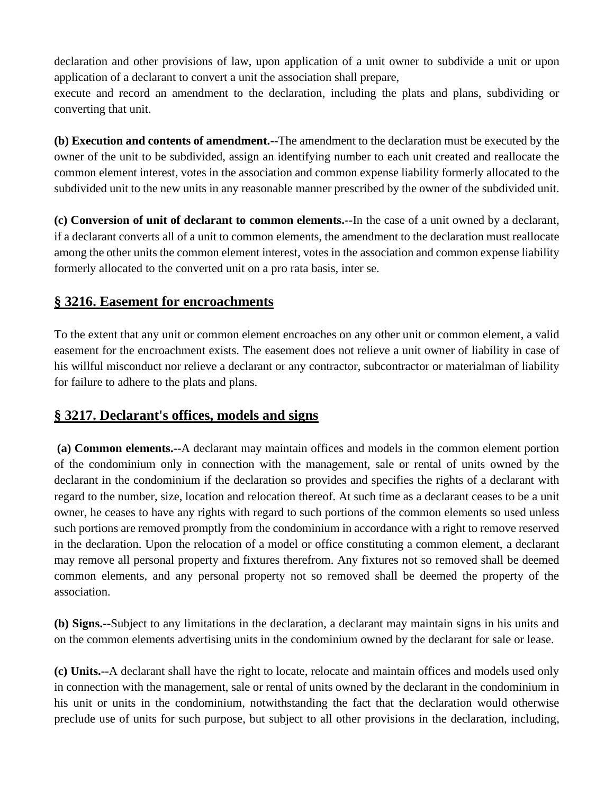declaration and other provisions of law, upon application of a unit owner to subdivide a unit or upon application of a declarant to convert a unit the association shall prepare,

execute and record an amendment to the declaration, including the plats and plans, subdividing or converting that unit.

**(b) Execution and contents of amendment.--**The amendment to the declaration must be executed by the owner of the unit to be subdivided, assign an identifying number to each unit created and reallocate the common element interest, votes in the association and common expense liability formerly allocated to the subdivided unit to the new units in any reasonable manner prescribed by the owner of the subdivided unit.

**(c) Conversion of unit of declarant to common elements.--**In the case of a unit owned by a declarant, if a declarant converts all of a unit to common elements, the amendment to the declaration must reallocate among the other units the common element interest, votes in the association and common expense liability formerly allocated to the converted unit on a pro rata basis, inter se.

## **§ 3216. Easement for encroachments**

To the extent that any unit or common element encroaches on any other unit or common element, a valid easement for the encroachment exists. The easement does not relieve a unit owner of liability in case of his willful misconduct nor relieve a declarant or any contractor, subcontractor or materialman of liability for failure to adhere to the plats and plans.

# **§ 3217. Declarant's offices, models and signs**

**(a) Common elements.--**A declarant may maintain offices and models in the common element portion of the condominium only in connection with the management, sale or rental of units owned by the declarant in the condominium if the declaration so provides and specifies the rights of a declarant with regard to the number, size, location and relocation thereof. At such time as a declarant ceases to be a unit owner, he ceases to have any rights with regard to such portions of the common elements so used unless such portions are removed promptly from the condominium in accordance with a right to remove reserved in the declaration. Upon the relocation of a model or office constituting a common element, a declarant may remove all personal property and fixtures therefrom. Any fixtures not so removed shall be deemed common elements, and any personal property not so removed shall be deemed the property of the association.

**(b) Signs.--**Subject to any limitations in the declaration, a declarant may maintain signs in his units and on the common elements advertising units in the condominium owned by the declarant for sale or lease.

**(c) Units.--**A declarant shall have the right to locate, relocate and maintain offices and models used only in connection with the management, sale or rental of units owned by the declarant in the condominium in his unit or units in the condominium, notwithstanding the fact that the declaration would otherwise preclude use of units for such purpose, but subject to all other provisions in the declaration, including,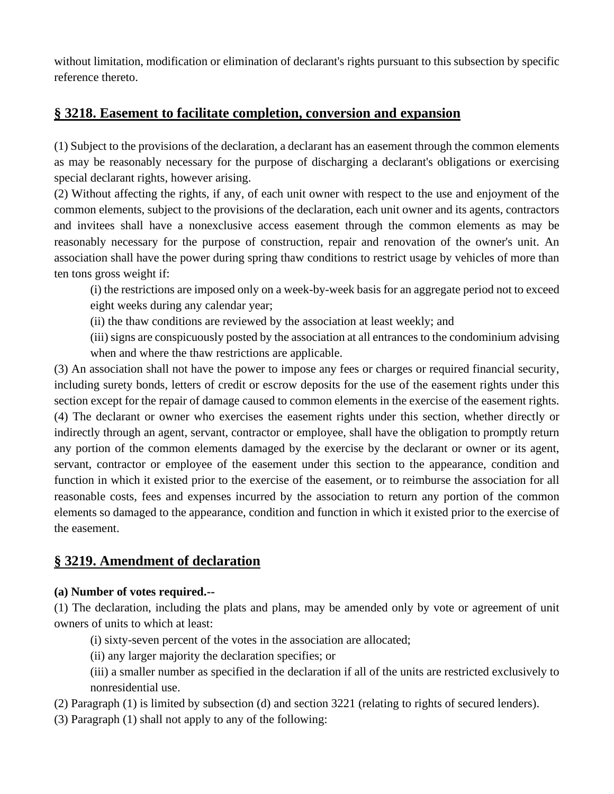without limitation, modification or elimination of declarant's rights pursuant to this subsection by specific reference thereto.

### **§ 3218. Easement to facilitate completion, conversion and expansion**

(1) Subject to the provisions of the declaration, a declarant has an easement through the common elements as may be reasonably necessary for the purpose of discharging a declarant's obligations or exercising special declarant rights, however arising.

(2) Without affecting the rights, if any, of each unit owner with respect to the use and enjoyment of the common elements, subject to the provisions of the declaration, each unit owner and its agents, contractors and invitees shall have a nonexclusive access easement through the common elements as may be reasonably necessary for the purpose of construction, repair and renovation of the owner's unit. An association shall have the power during spring thaw conditions to restrict usage by vehicles of more than ten tons gross weight if:

(i) the restrictions are imposed only on a week-by-week basis for an aggregate period not to exceed eight weeks during any calendar year;

- (ii) the thaw conditions are reviewed by the association at least weekly; and
- (iii) signs are conspicuously posted by the association at all entrances to the condominium advising when and where the thaw restrictions are applicable.

(3) An association shall not have the power to impose any fees or charges or required financial security, including surety bonds, letters of credit or escrow deposits for the use of the easement rights under this section except for the repair of damage caused to common elements in the exercise of the easement rights. (4) The declarant or owner who exercises the easement rights under this section, whether directly or indirectly through an agent, servant, contractor or employee, shall have the obligation to promptly return any portion of the common elements damaged by the exercise by the declarant or owner or its agent, servant, contractor or employee of the easement under this section to the appearance, condition and function in which it existed prior to the exercise of the easement, or to reimburse the association for all reasonable costs, fees and expenses incurred by the association to return any portion of the common elements so damaged to the appearance, condition and function in which it existed prior to the exercise of the easement.

# **§ 3219. Amendment of declaration**

#### **(a) Number of votes required.--**

(1) The declaration, including the plats and plans, may be amended only by vote or agreement of unit owners of units to which at least:

- (i) sixty-seven percent of the votes in the association are allocated;
- (ii) any larger majority the declaration specifies; or
- (iii) a smaller number as specified in the declaration if all of the units are restricted exclusively to nonresidential use.
- (2) Paragraph (1) is limited by subsection (d) and section 3221 (relating to rights of secured lenders).
- (3) Paragraph (1) shall not apply to any of the following: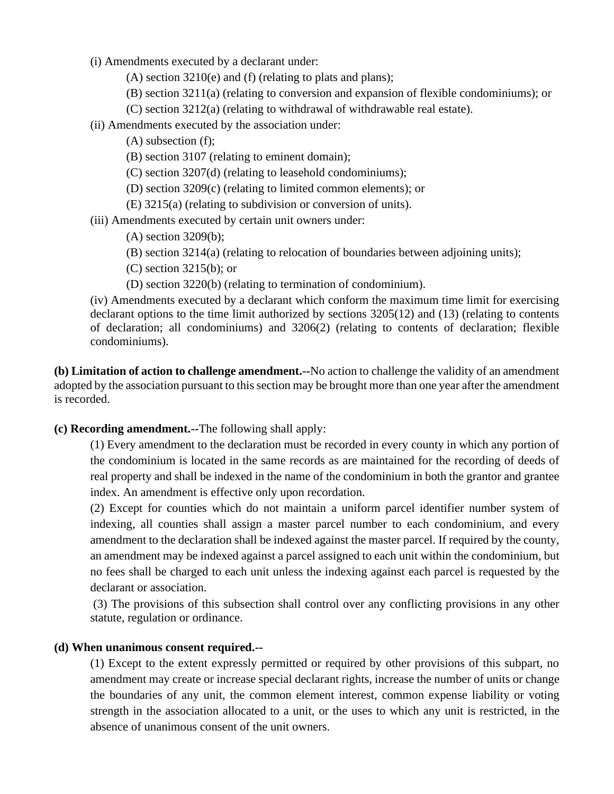- (i) Amendments executed by a declarant under:
	- (A) section 3210(e) and (f) (relating to plats and plans);
	- (B) section 3211(a) (relating to conversion and expansion of flexible condominiums); or
		- (C) section 3212(a) (relating to withdrawal of withdrawable real estate).
- (ii) Amendments executed by the association under:
	- (A) subsection (f);
	- (B) section 3107 (relating to eminent domain);
	- (C) section 3207(d) (relating to leasehold condominiums);
	- (D) section 3209(c) (relating to limited common elements); or
	- (E) 3215(a) (relating to subdivision or conversion of units).

(iii) Amendments executed by certain unit owners under:

- (A) section 3209(b);
- (B) section 3214(a) (relating to relocation of boundaries between adjoining units);
- (C) section 3215(b); or
- (D) section 3220(b) (relating to termination of condominium).

(iv) Amendments executed by a declarant which conform the maximum time limit for exercising declarant options to the time limit authorized by sections 3205(12) and (13) (relating to contents of declaration; all condominiums) and 3206(2) (relating to contents of declaration; flexible condominiums).

**(b) Limitation of action to challenge amendment.--**No action to challenge the validity of an amendment adopted by the association pursuant to this section may be brought more than one year after the amendment is recorded.

#### **(c) Recording amendment.--**The following shall apply:

(1) Every amendment to the declaration must be recorded in every county in which any portion of the condominium is located in the same records as are maintained for the recording of deeds of real property and shall be indexed in the name of the condominium in both the grantor and grantee index. An amendment is effective only upon recordation.

(2) Except for counties which do not maintain a uniform parcel identifier number system of indexing, all counties shall assign a master parcel number to each condominium, and every amendment to the declaration shall be indexed against the master parcel. If required by the county, an amendment may be indexed against a parcel assigned to each unit within the condominium, but no fees shall be charged to each unit unless the indexing against each parcel is requested by the declarant or association.

(3) The provisions of this subsection shall control over any conflicting provisions in any other statute, regulation or ordinance.

#### **(d) When unanimous consent required.--**

(1) Except to the extent expressly permitted or required by other provisions of this subpart, no amendment may create or increase special declarant rights, increase the number of units or change the boundaries of any unit, the common element interest, common expense liability or voting strength in the association allocated to a unit, or the uses to which any unit is restricted, in the absence of unanimous consent of the unit owners.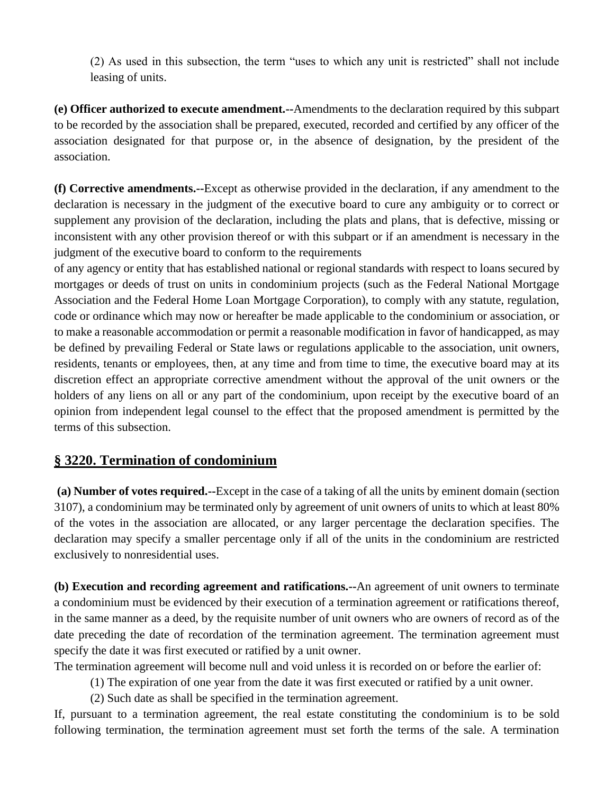(2) As used in this subsection, the term "uses to which any unit is restricted" shall not include leasing of units.

**(e) Officer authorized to execute amendment.--**Amendments to the declaration required by this subpart to be recorded by the association shall be prepared, executed, recorded and certified by any officer of the association designated for that purpose or, in the absence of designation, by the president of the association.

**(f) Corrective amendments.--**Except as otherwise provided in the declaration, if any amendment to the declaration is necessary in the judgment of the executive board to cure any ambiguity or to correct or supplement any provision of the declaration, including the plats and plans, that is defective, missing or inconsistent with any other provision thereof or with this subpart or if an amendment is necessary in the judgment of the executive board to conform to the requirements

of any agency or entity that has established national or regional standards with respect to loans secured by mortgages or deeds of trust on units in condominium projects (such as the Federal National Mortgage Association and the Federal Home Loan Mortgage Corporation), to comply with any statute, regulation, code or ordinance which may now or hereafter be made applicable to the condominium or association, or to make a reasonable accommodation or permit a reasonable modification in favor of handicapped, as may be defined by prevailing Federal or State laws or regulations applicable to the association, unit owners, residents, tenants or employees, then, at any time and from time to time, the executive board may at its discretion effect an appropriate corrective amendment without the approval of the unit owners or the holders of any liens on all or any part of the condominium, upon receipt by the executive board of an opinion from independent legal counsel to the effect that the proposed amendment is permitted by the terms of this subsection.

## **§ 3220. Termination of condominium**

**(a) Number of votes required.--**Except in the case of a taking of all the units by eminent domain (section 3107), a condominium may be terminated only by agreement of unit owners of units to which at least 80% of the votes in the association are allocated, or any larger percentage the declaration specifies. The declaration may specify a smaller percentage only if all of the units in the condominium are restricted exclusively to nonresidential uses.

**(b) Execution and recording agreement and ratifications.--**An agreement of unit owners to terminate a condominium must be evidenced by their execution of a termination agreement or ratifications thereof, in the same manner as a deed, by the requisite number of unit owners who are owners of record as of the date preceding the date of recordation of the termination agreement. The termination agreement must specify the date it was first executed or ratified by a unit owner.

The termination agreement will become null and void unless it is recorded on or before the earlier of:

(1) The expiration of one year from the date it was first executed or ratified by a unit owner.

(2) Such date as shall be specified in the termination agreement.

If, pursuant to a termination agreement, the real estate constituting the condominium is to be sold following termination, the termination agreement must set forth the terms of the sale. A termination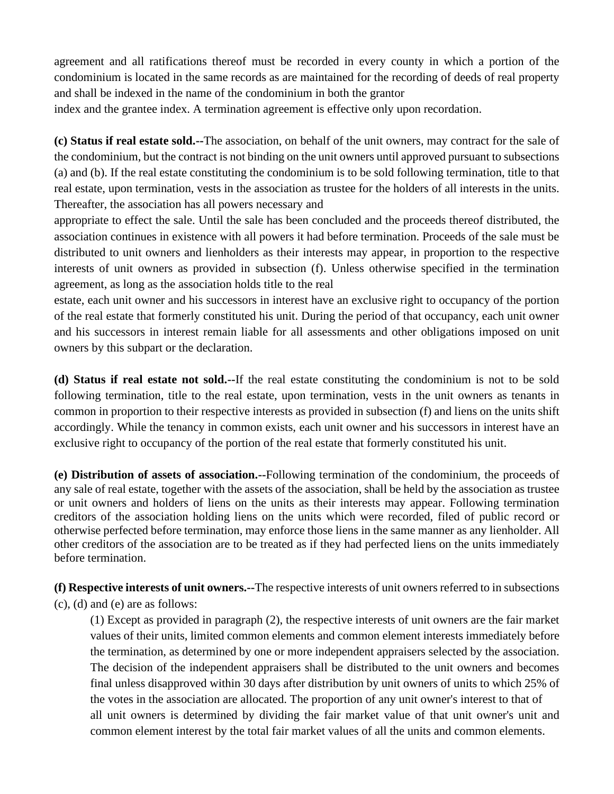agreement and all ratifications thereof must be recorded in every county in which a portion of the condominium is located in the same records as are maintained for the recording of deeds of real property and shall be indexed in the name of the condominium in both the grantor

index and the grantee index. A termination agreement is effective only upon recordation.

**(c) Status if real estate sold.--**The association, on behalf of the unit owners, may contract for the sale of the condominium, but the contract is not binding on the unit owners until approved pursuant to subsections (a) and (b). If the real estate constituting the condominium is to be sold following termination, title to that real estate, upon termination, vests in the association as trustee for the holders of all interests in the units. Thereafter, the association has all powers necessary and

appropriate to effect the sale. Until the sale has been concluded and the proceeds thereof distributed, the association continues in existence with all powers it had before termination. Proceeds of the sale must be distributed to unit owners and lienholders as their interests may appear, in proportion to the respective interests of unit owners as provided in subsection (f). Unless otherwise specified in the termination agreement, as long as the association holds title to the real

estate, each unit owner and his successors in interest have an exclusive right to occupancy of the portion of the real estate that formerly constituted his unit. During the period of that occupancy, each unit owner and his successors in interest remain liable for all assessments and other obligations imposed on unit owners by this subpart or the declaration.

**(d) Status if real estate not sold.--**If the real estate constituting the condominium is not to be sold following termination, title to the real estate, upon termination, vests in the unit owners as tenants in common in proportion to their respective interests as provided in subsection (f) and liens on the units shift accordingly. While the tenancy in common exists, each unit owner and his successors in interest have an exclusive right to occupancy of the portion of the real estate that formerly constituted his unit.

**(e) Distribution of assets of association.--**Following termination of the condominium, the proceeds of any sale of real estate, together with the assets of the association, shall be held by the association as trustee or unit owners and holders of liens on the units as their interests may appear. Following termination creditors of the association holding liens on the units which were recorded, filed of public record or otherwise perfected before termination, may enforce those liens in the same manner as any lienholder. All other creditors of the association are to be treated as if they had perfected liens on the units immediately before termination.

**(f) Respective interests of unit owners.--**The respective interests of unit owners referred to in subsections (c), (d) and (e) are as follows:

(1) Except as provided in paragraph (2), the respective interests of unit owners are the fair market values of their units, limited common elements and common element interests immediately before the termination, as determined by one or more independent appraisers selected by the association. The decision of the independent appraisers shall be distributed to the unit owners and becomes final unless disapproved within 30 days after distribution by unit owners of units to which 25% of the votes in the association are allocated. The proportion of any unit owner's interest to that of all unit owners is determined by dividing the fair market value of that unit owner's unit and common element interest by the total fair market values of all the units and common elements.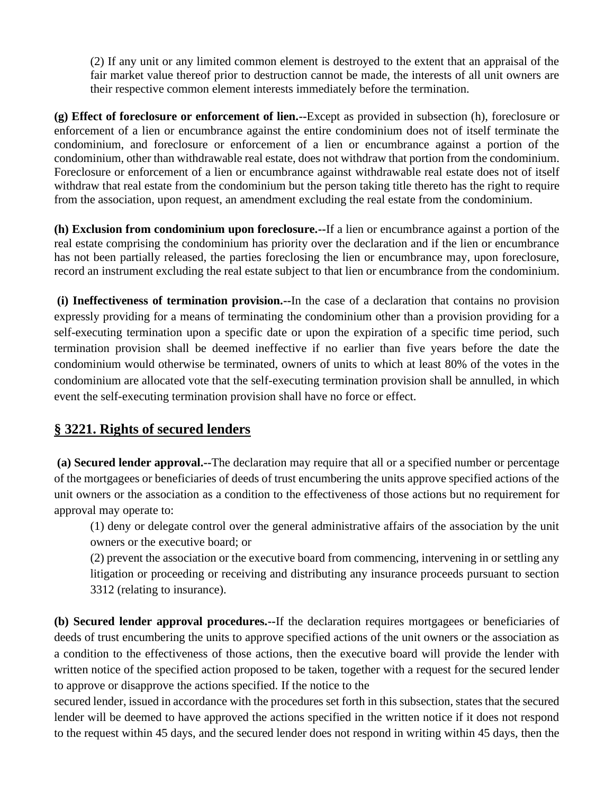(2) If any unit or any limited common element is destroyed to the extent that an appraisal of the fair market value thereof prior to destruction cannot be made, the interests of all unit owners are their respective common element interests immediately before the termination.

**(g) Effect of foreclosure or enforcement of lien.--**Except as provided in subsection (h), foreclosure or enforcement of a lien or encumbrance against the entire condominium does not of itself terminate the condominium, and foreclosure or enforcement of a lien or encumbrance against a portion of the condominium, other than withdrawable real estate, does not withdraw that portion from the condominium. Foreclosure or enforcement of a lien or encumbrance against withdrawable real estate does not of itself withdraw that real estate from the condominium but the person taking title thereto has the right to require from the association, upon request, an amendment excluding the real estate from the condominium.

**(h) Exclusion from condominium upon foreclosure.--**If a lien or encumbrance against a portion of the real estate comprising the condominium has priority over the declaration and if the lien or encumbrance has not been partially released, the parties foreclosing the lien or encumbrance may, upon foreclosure, record an instrument excluding the real estate subject to that lien or encumbrance from the condominium.

**(i) Ineffectiveness of termination provision.--**In the case of a declaration that contains no provision expressly providing for a means of terminating the condominium other than a provision providing for a self-executing termination upon a specific date or upon the expiration of a specific time period, such termination provision shall be deemed ineffective if no earlier than five years before the date the condominium would otherwise be terminated, owners of units to which at least 80% of the votes in the condominium are allocated vote that the self-executing termination provision shall be annulled, in which event the self-executing termination provision shall have no force or effect.

# **§ 3221. Rights of secured lenders**

**(a) Secured lender approval.--**The declaration may require that all or a specified number or percentage of the mortgagees or beneficiaries of deeds of trust encumbering the units approve specified actions of the unit owners or the association as a condition to the effectiveness of those actions but no requirement for approval may operate to:

(1) deny or delegate control over the general administrative affairs of the association by the unit owners or the executive board; or

(2) prevent the association or the executive board from commencing, intervening in or settling any litigation or proceeding or receiving and distributing any insurance proceeds pursuant to section 3312 (relating to insurance).

**(b) Secured lender approval procedures.--**If the declaration requires mortgagees or beneficiaries of deeds of trust encumbering the units to approve specified actions of the unit owners or the association as a condition to the effectiveness of those actions, then the executive board will provide the lender with written notice of the specified action proposed to be taken, together with a request for the secured lender to approve or disapprove the actions specified. If the notice to the

secured lender, issued in accordance with the procedures set forth in this subsection, states that the secured lender will be deemed to have approved the actions specified in the written notice if it does not respond to the request within 45 days, and the secured lender does not respond in writing within 45 days, then the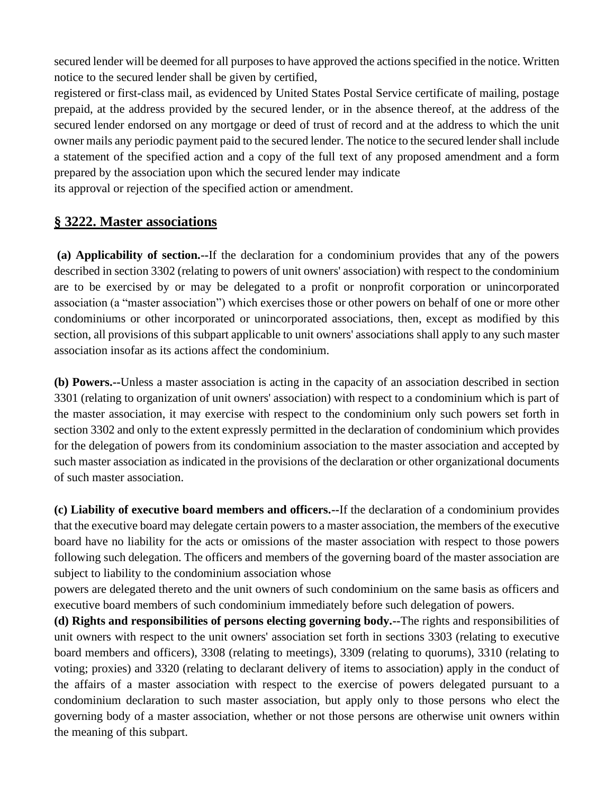secured lender will be deemed for all purposes to have approved the actions specified in the notice. Written notice to the secured lender shall be given by certified,

registered or first-class mail, as evidenced by United States Postal Service certificate of mailing, postage prepaid, at the address provided by the secured lender, or in the absence thereof, at the address of the secured lender endorsed on any mortgage or deed of trust of record and at the address to which the unit owner mails any periodic payment paid to the secured lender. The notice to the secured lender shall include a statement of the specified action and a copy of the full text of any proposed amendment and a form prepared by the association upon which the secured lender may indicate its approval or rejection of the specified action or amendment.

## **§ 3222. Master associations**

**(a) Applicability of section.--**If the declaration for a condominium provides that any of the powers described in section 3302 (relating to powers of unit owners' association) with respect to the condominium are to be exercised by or may be delegated to a profit or nonprofit corporation or unincorporated association (a "master association") which exercises those or other powers on behalf of one or more other condominiums or other incorporated or unincorporated associations, then, except as modified by this section, all provisions of this subpart applicable to unit owners' associations shall apply to any such master association insofar as its actions affect the condominium.

**(b) Powers.--**Unless a master association is acting in the capacity of an association described in section 3301 (relating to organization of unit owners' association) with respect to a condominium which is part of the master association, it may exercise with respect to the condominium only such powers set forth in section 3302 and only to the extent expressly permitted in the declaration of condominium which provides for the delegation of powers from its condominium association to the master association and accepted by such master association as indicated in the provisions of the declaration or other organizational documents of such master association.

**(c) Liability of executive board members and officers.--**If the declaration of a condominium provides that the executive board may delegate certain powers to a master association, the members of the executive board have no liability for the acts or omissions of the master association with respect to those powers following such delegation. The officers and members of the governing board of the master association are subject to liability to the condominium association whose

powers are delegated thereto and the unit owners of such condominium on the same basis as officers and executive board members of such condominium immediately before such delegation of powers.

**(d) Rights and responsibilities of persons electing governing body.--**The rights and responsibilities of unit owners with respect to the unit owners' association set forth in sections 3303 (relating to executive board members and officers), 3308 (relating to meetings), 3309 (relating to quorums), 3310 (relating to voting; proxies) and 3320 (relating to declarant delivery of items to association) apply in the conduct of the affairs of a master association with respect to the exercise of powers delegated pursuant to a condominium declaration to such master association, but apply only to those persons who elect the governing body of a master association, whether or not those persons are otherwise unit owners within the meaning of this subpart.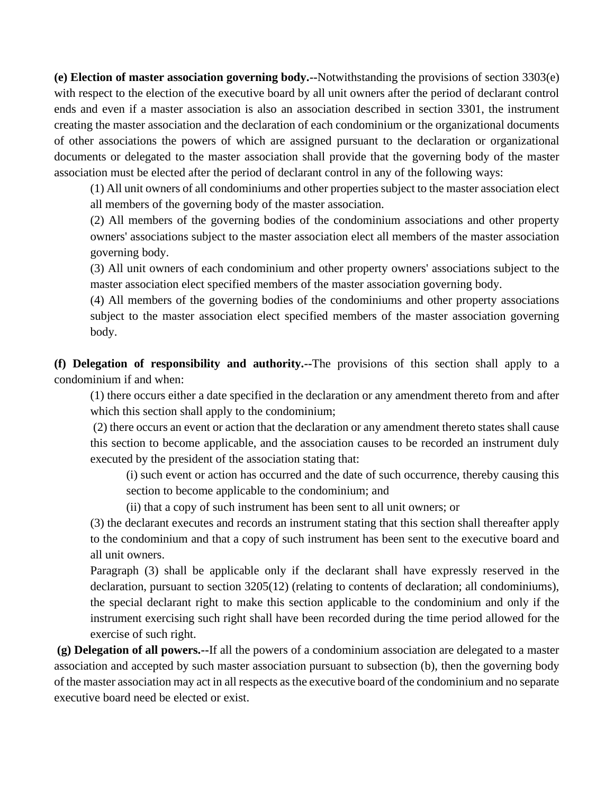**(e) Election of master association governing body.--**Notwithstanding the provisions of section 3303(e) with respect to the election of the executive board by all unit owners after the period of declarant control ends and even if a master association is also an association described in section 3301, the instrument creating the master association and the declaration of each condominium or the organizational documents of other associations the powers of which are assigned pursuant to the declaration or organizational documents or delegated to the master association shall provide that the governing body of the master association must be elected after the period of declarant control in any of the following ways:

(1) All unit owners of all condominiums and other properties subject to the master association elect all members of the governing body of the master association.

(2) All members of the governing bodies of the condominium associations and other property owners' associations subject to the master association elect all members of the master association governing body.

(3) All unit owners of each condominium and other property owners' associations subject to the master association elect specified members of the master association governing body.

(4) All members of the governing bodies of the condominiums and other property associations subject to the master association elect specified members of the master association governing body.

**(f) Delegation of responsibility and authority.--**The provisions of this section shall apply to a condominium if and when:

(1) there occurs either a date specified in the declaration or any amendment thereto from and after which this section shall apply to the condominium;

(2) there occurs an event or action that the declaration or any amendment thereto states shall cause this section to become applicable, and the association causes to be recorded an instrument duly executed by the president of the association stating that:

(i) such event or action has occurred and the date of such occurrence, thereby causing this section to become applicable to the condominium; and

(ii) that a copy of such instrument has been sent to all unit owners; or

(3) the declarant executes and records an instrument stating that this section shall thereafter apply to the condominium and that a copy of such instrument has been sent to the executive board and all unit owners.

Paragraph (3) shall be applicable only if the declarant shall have expressly reserved in the declaration, pursuant to section 3205(12) (relating to contents of declaration; all condominiums), the special declarant right to make this section applicable to the condominium and only if the instrument exercising such right shall have been recorded during the time period allowed for the exercise of such right.

**(g) Delegation of all powers.--**If all the powers of a condominium association are delegated to a master association and accepted by such master association pursuant to subsection (b), then the governing body of the master association may act in all respects as the executive board of the condominium and no separate executive board need be elected or exist.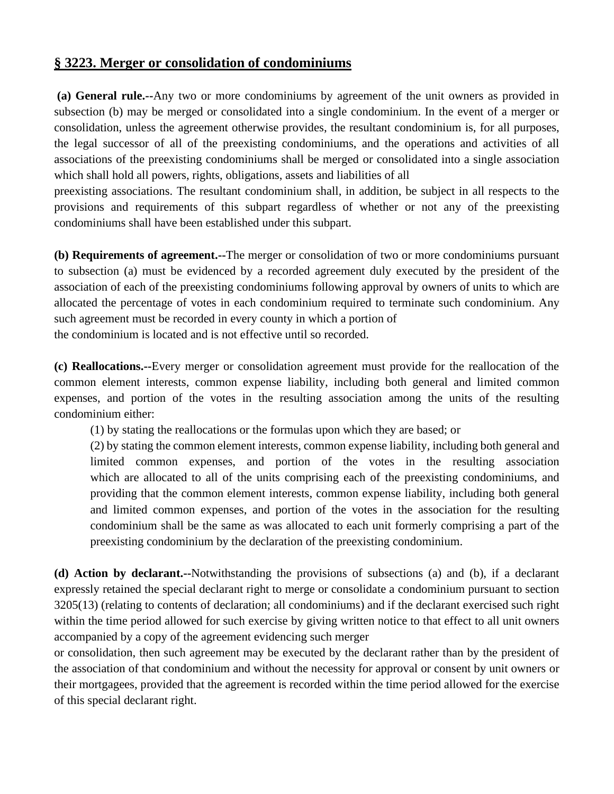## **§ 3223. Merger or consolidation of condominiums**

**(a) General rule.--**Any two or more condominiums by agreement of the unit owners as provided in subsection (b) may be merged or consolidated into a single condominium. In the event of a merger or consolidation, unless the agreement otherwise provides, the resultant condominium is, for all purposes, the legal successor of all of the preexisting condominiums, and the operations and activities of all associations of the preexisting condominiums shall be merged or consolidated into a single association which shall hold all powers, rights, obligations, assets and liabilities of all

preexisting associations. The resultant condominium shall, in addition, be subject in all respects to the provisions and requirements of this subpart regardless of whether or not any of the preexisting condominiums shall have been established under this subpart.

**(b) Requirements of agreement.--**The merger or consolidation of two or more condominiums pursuant to subsection (a) must be evidenced by a recorded agreement duly executed by the president of the association of each of the preexisting condominiums following approval by owners of units to which are allocated the percentage of votes in each condominium required to terminate such condominium. Any such agreement must be recorded in every county in which a portion of the condominium is located and is not effective until so recorded.

**(c) Reallocations.--**Every merger or consolidation agreement must provide for the reallocation of the common element interests, common expense liability, including both general and limited common expenses, and portion of the votes in the resulting association among the units of the resulting condominium either:

(1) by stating the reallocations or the formulas upon which they are based; or

(2) by stating the common element interests, common expense liability, including both general and limited common expenses, and portion of the votes in the resulting association which are allocated to all of the units comprising each of the preexisting condominiums, and providing that the common element interests, common expense liability, including both general and limited common expenses, and portion of the votes in the association for the resulting condominium shall be the same as was allocated to each unit formerly comprising a part of the preexisting condominium by the declaration of the preexisting condominium.

**(d) Action by declarant.--**Notwithstanding the provisions of subsections (a) and (b), if a declarant expressly retained the special declarant right to merge or consolidate a condominium pursuant to section 3205(13) (relating to contents of declaration; all condominiums) and if the declarant exercised such right within the time period allowed for such exercise by giving written notice to that effect to all unit owners accompanied by a copy of the agreement evidencing such merger

or consolidation, then such agreement may be executed by the declarant rather than by the president of the association of that condominium and without the necessity for approval or consent by unit owners or their mortgagees, provided that the agreement is recorded within the time period allowed for the exercise of this special declarant right.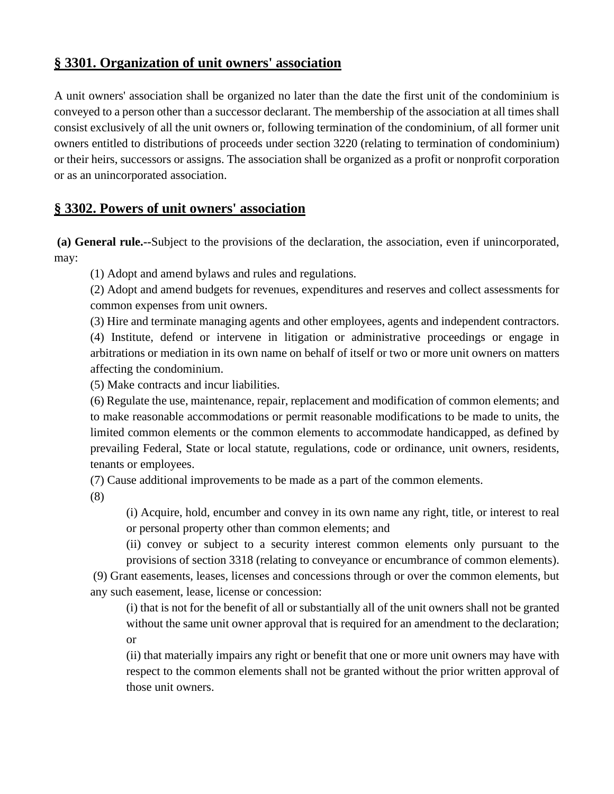## **§ 3301. Organization of unit owners' association**

A unit owners' association shall be organized no later than the date the first unit of the condominium is conveyed to a person other than a successor declarant. The membership of the association at all times shall consist exclusively of all the unit owners or, following termination of the condominium, of all former unit owners entitled to distributions of proceeds under section 3220 (relating to termination of condominium) or their heirs, successors or assigns. The association shall be organized as a profit or nonprofit corporation or as an unincorporated association.

## **§ 3302. Powers of unit owners' association**

**(a) General rule.--**Subject to the provisions of the declaration, the association, even if unincorporated, may:

(1) Adopt and amend bylaws and rules and regulations.

(2) Adopt and amend budgets for revenues, expenditures and reserves and collect assessments for common expenses from unit owners.

(3) Hire and terminate managing agents and other employees, agents and independent contractors. (4) Institute, defend or intervene in litigation or administrative proceedings or engage in arbitrations or mediation in its own name on behalf of itself or two or more unit owners on matters affecting the condominium.

(5) Make contracts and incur liabilities.

(6) Regulate the use, maintenance, repair, replacement and modification of common elements; and to make reasonable accommodations or permit reasonable modifications to be made to units, the limited common elements or the common elements to accommodate handicapped, as defined by prevailing Federal, State or local statute, regulations, code or ordinance, unit owners, residents, tenants or employees.

(7) Cause additional improvements to be made as a part of the common elements.

(8)

(i) Acquire, hold, encumber and convey in its own name any right, title, or interest to real or personal property other than common elements; and

(ii) convey or subject to a security interest common elements only pursuant to the

provisions of section 3318 (relating to conveyance or encumbrance of common elements). (9) Grant easements, leases, licenses and concessions through or over the common elements, but any such easement, lease, license or concession:

(i) that is not for the benefit of all or substantially all of the unit owners shall not be granted without the same unit owner approval that is required for an amendment to the declaration; or

(ii) that materially impairs any right or benefit that one or more unit owners may have with respect to the common elements shall not be granted without the prior written approval of those unit owners.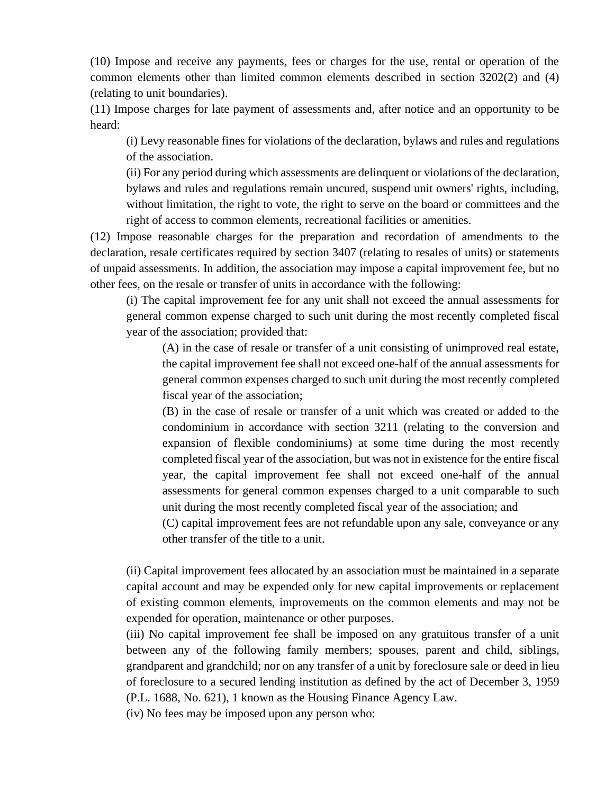(10) Impose and receive any payments, fees or charges for the use, rental or operation of the common elements other than limited common elements described in section 3202(2) and (4) (relating to unit boundaries).

(11) Impose charges for late payment of assessments and, after notice and an opportunity to be heard:

(i) Levy reasonable fines for violations of the declaration, bylaws and rules and regulations of the association.

(ii) For any period during which assessments are delinquent or violations of the declaration, bylaws and rules and regulations remain uncured, suspend unit owners' rights, including, without limitation, the right to vote, the right to serve on the board or committees and the right of access to common elements, recreational facilities or amenities.

(12) Impose reasonable charges for the preparation and recordation of amendments to the declaration, resale certificates required by section 3407 (relating to resales of units) or statements of unpaid assessments. In addition, the association may impose a capital improvement fee, but no other fees, on the resale or transfer of units in accordance with the following:

(i) The capital improvement fee for any unit shall not exceed the annual assessments for general common expense charged to such unit during the most recently completed fiscal year of the association; provided that:

(A) in the case of resale or transfer of a unit consisting of unimproved real estate, the capital improvement fee shall not exceed one-half of the annual assessments for general common expenses charged to such unit during the most recently completed fiscal year of the association;

(B) in the case of resale or transfer of a unit which was created or added to the condominium in accordance with section 3211 (relating to the conversion and expansion of flexible condominiums) at some time during the most recently completed fiscal year of the association, but was not in existence for the entire fiscal year, the capital improvement fee shall not exceed one-half of the annual assessments for general common expenses charged to a unit comparable to such unit during the most recently completed fiscal year of the association; and

(C) capital improvement fees are not refundable upon any sale, conveyance or any other transfer of the title to a unit.

(ii) Capital improvement fees allocated by an association must be maintained in a separate capital account and may be expended only for new capital improvements or replacement of existing common elements, improvements on the common elements and may not be expended for operation, maintenance or other purposes.

(iii) No capital improvement fee shall be imposed on any gratuitous transfer of a unit between any of the following family members; spouses, parent and child, siblings, grandparent and grandchild; nor on any transfer of a unit by foreclosure sale or deed in lieu of foreclosure to a secured lending institution as defined by the act of December 3, 1959 (P.L. 1688, No. 621), 1 known as the Housing Finance Agency Law.

(iv) No fees may be imposed upon any person who: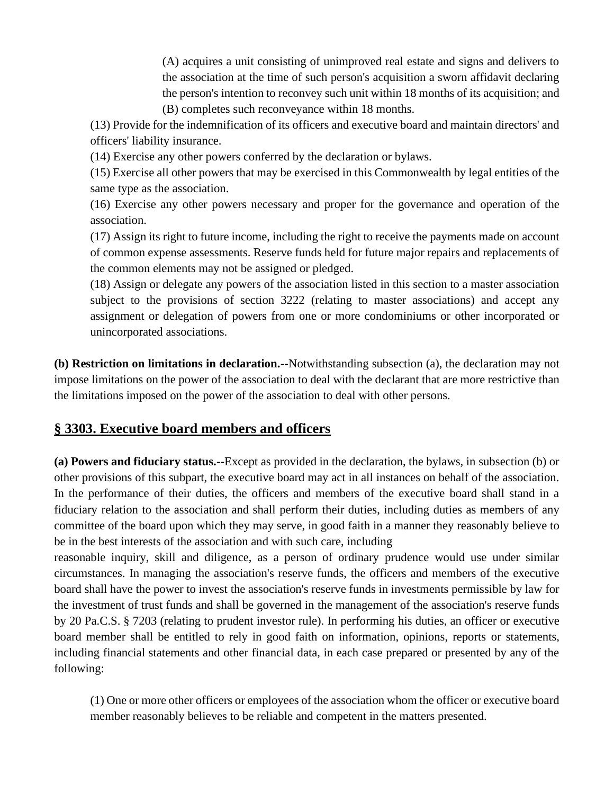(A) acquires a unit consisting of unimproved real estate and signs and delivers to the association at the time of such person's acquisition a sworn affidavit declaring the person's intention to reconvey such unit within 18 months of its acquisition; and (B) completes such reconveyance within 18 months.

(13) Provide for the indemnification of its officers and executive board and maintain directors' and officers' liability insurance.

(14) Exercise any other powers conferred by the declaration or bylaws.

(15) Exercise all other powers that may be exercised in this Commonwealth by legal entities of the same type as the association.

(16) Exercise any other powers necessary and proper for the governance and operation of the association.

(17) Assign its right to future income, including the right to receive the payments made on account of common expense assessments. Reserve funds held for future major repairs and replacements of the common elements may not be assigned or pledged.

(18) Assign or delegate any powers of the association listed in this section to a master association subject to the provisions of section 3222 (relating to master associations) and accept any assignment or delegation of powers from one or more condominiums or other incorporated or unincorporated associations.

**(b) Restriction on limitations in declaration.--**Notwithstanding subsection (a), the declaration may not impose limitations on the power of the association to deal with the declarant that are more restrictive than the limitations imposed on the power of the association to deal with other persons.

# **§ 3303. Executive board members and officers**

**(a) Powers and fiduciary status.--**Except as provided in the declaration, the bylaws, in subsection (b) or other provisions of this subpart, the executive board may act in all instances on behalf of the association. In the performance of their duties, the officers and members of the executive board shall stand in a fiduciary relation to the association and shall perform their duties, including duties as members of any committee of the board upon which they may serve, in good faith in a manner they reasonably believe to be in the best interests of the association and with such care, including

reasonable inquiry, skill and diligence, as a person of ordinary prudence would use under similar circumstances. In managing the association's reserve funds, the officers and members of the executive board shall have the power to invest the association's reserve funds in investments permissible by law for the investment of trust funds and shall be governed in the management of the association's reserve funds by 20 Pa.C.S. § 7203 (relating to prudent investor rule). In performing his duties, an officer or executive board member shall be entitled to rely in good faith on information, opinions, reports or statements, including financial statements and other financial data, in each case prepared or presented by any of the following:

(1) One or more other officers or employees of the association whom the officer or executive board member reasonably believes to be reliable and competent in the matters presented.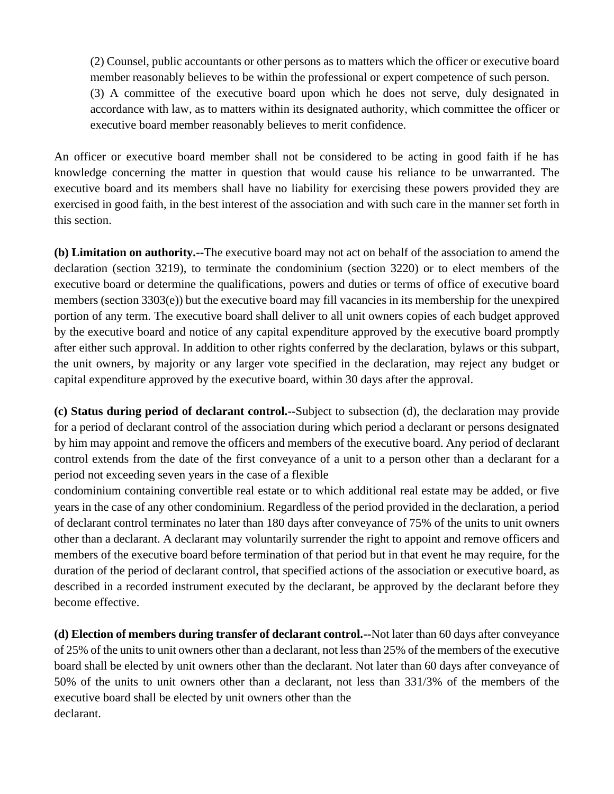(2) Counsel, public accountants or other persons as to matters which the officer or executive board member reasonably believes to be within the professional or expert competence of such person. (3) A committee of the executive board upon which he does not serve, duly designated in accordance with law, as to matters within its designated authority, which committee the officer or executive board member reasonably believes to merit confidence.

An officer or executive board member shall not be considered to be acting in good faith if he has knowledge concerning the matter in question that would cause his reliance to be unwarranted. The executive board and its members shall have no liability for exercising these powers provided they are exercised in good faith, in the best interest of the association and with such care in the manner set forth in this section.

**(b) Limitation on authority.--**The executive board may not act on behalf of the association to amend the declaration (section 3219), to terminate the condominium (section 3220) or to elect members of the executive board or determine the qualifications, powers and duties or terms of office of executive board members (section 3303(e)) but the executive board may fill vacancies in its membership for the unexpired portion of any term. The executive board shall deliver to all unit owners copies of each budget approved by the executive board and notice of any capital expenditure approved by the executive board promptly after either such approval. In addition to other rights conferred by the declaration, bylaws or this subpart, the unit owners, by majority or any larger vote specified in the declaration, may reject any budget or capital expenditure approved by the executive board, within 30 days after the approval.

**(c) Status during period of declarant control.--**Subject to subsection (d), the declaration may provide for a period of declarant control of the association during which period a declarant or persons designated by him may appoint and remove the officers and members of the executive board. Any period of declarant control extends from the date of the first conveyance of a unit to a person other than a declarant for a period not exceeding seven years in the case of a flexible

condominium containing convertible real estate or to which additional real estate may be added, or five years in the case of any other condominium. Regardless of the period provided in the declaration, a period of declarant control terminates no later than 180 days after conveyance of 75% of the units to unit owners other than a declarant. A declarant may voluntarily surrender the right to appoint and remove officers and members of the executive board before termination of that period but in that event he may require, for the duration of the period of declarant control, that specified actions of the association or executive board, as described in a recorded instrument executed by the declarant, be approved by the declarant before they become effective.

**(d) Election of members during transfer of declarant control.--**Not later than 60 days after conveyance of 25% of the units to unit owners other than a declarant, not less than 25% of the members of the executive board shall be elected by unit owners other than the declarant. Not later than 60 days after conveyance of 50% of the units to unit owners other than a declarant, not less than 331/3% of the members of the executive board shall be elected by unit owners other than the declarant.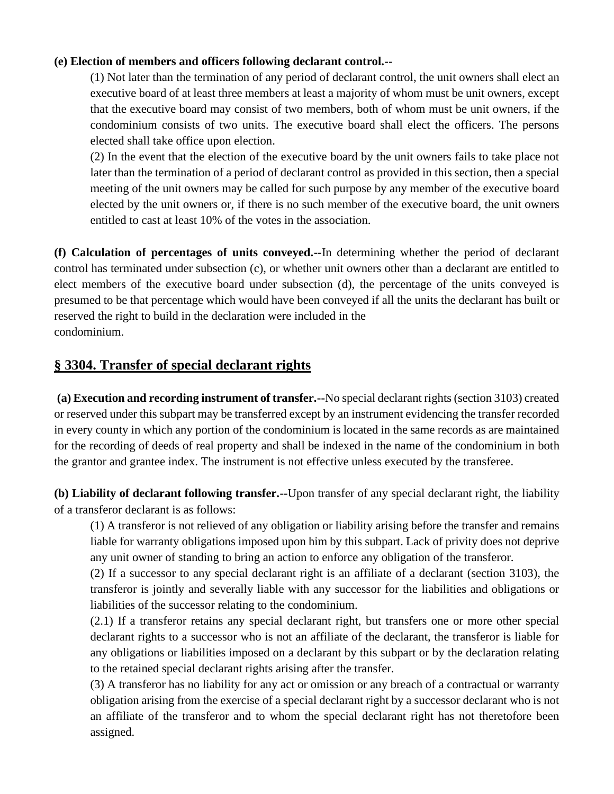#### **(e) Election of members and officers following declarant control.--**

(1) Not later than the termination of any period of declarant control, the unit owners shall elect an executive board of at least three members at least a majority of whom must be unit owners, except that the executive board may consist of two members, both of whom must be unit owners, if the condominium consists of two units. The executive board shall elect the officers. The persons elected shall take office upon election.

(2) In the event that the election of the executive board by the unit owners fails to take place not later than the termination of a period of declarant control as provided in this section, then a special meeting of the unit owners may be called for such purpose by any member of the executive board elected by the unit owners or, if there is no such member of the executive board, the unit owners entitled to cast at least 10% of the votes in the association.

**(f) Calculation of percentages of units conveyed.--**In determining whether the period of declarant control has terminated under subsection (c), or whether unit owners other than a declarant are entitled to elect members of the executive board under subsection (d), the percentage of the units conveyed is presumed to be that percentage which would have been conveyed if all the units the declarant has built or reserved the right to build in the declaration were included in the condominium.

### **§ 3304. Transfer of special declarant rights**

**(a) Execution and recording instrument of transfer.--**No special declarant rights (section 3103) created or reserved under this subpart may be transferred except by an instrument evidencing the transfer recorded in every county in which any portion of the condominium is located in the same records as are maintained for the recording of deeds of real property and shall be indexed in the name of the condominium in both the grantor and grantee index. The instrument is not effective unless executed by the transferee.

**(b) Liability of declarant following transfer.--**Upon transfer of any special declarant right, the liability of a transferor declarant is as follows:

(1) A transferor is not relieved of any obligation or liability arising before the transfer and remains liable for warranty obligations imposed upon him by this subpart. Lack of privity does not deprive any unit owner of standing to bring an action to enforce any obligation of the transferor.

(2) If a successor to any special declarant right is an affiliate of a declarant (section 3103), the transferor is jointly and severally liable with any successor for the liabilities and obligations or liabilities of the successor relating to the condominium.

(2.1) If a transferor retains any special declarant right, but transfers one or more other special declarant rights to a successor who is not an affiliate of the declarant, the transferor is liable for any obligations or liabilities imposed on a declarant by this subpart or by the declaration relating to the retained special declarant rights arising after the transfer.

(3) A transferor has no liability for any act or omission or any breach of a contractual or warranty obligation arising from the exercise of a special declarant right by a successor declarant who is not an affiliate of the transferor and to whom the special declarant right has not theretofore been assigned.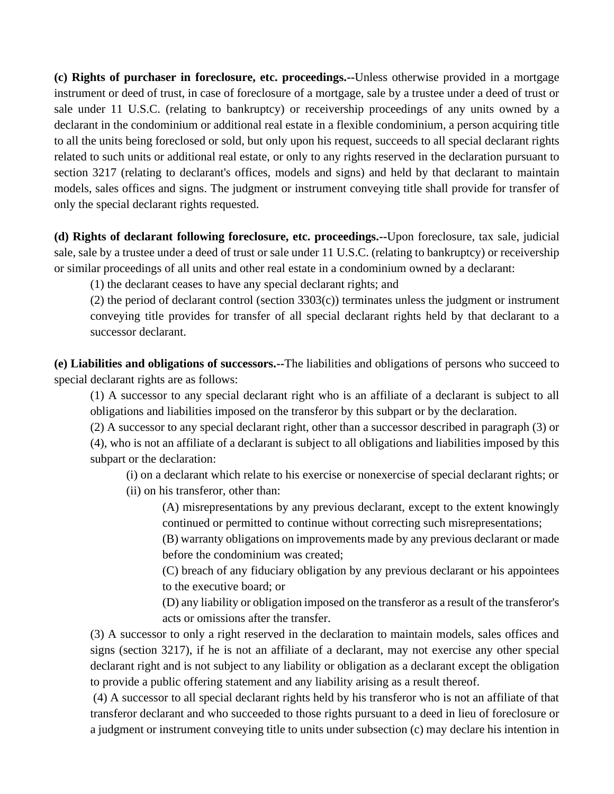**(c) Rights of purchaser in foreclosure, etc. proceedings.--**Unless otherwise provided in a mortgage instrument or deed of trust, in case of foreclosure of a mortgage, sale by a trustee under a deed of trust or sale under 11 U.S.C. (relating to bankruptcy) or receivership proceedings of any units owned by a declarant in the condominium or additional real estate in a flexible condominium, a person acquiring title to all the units being foreclosed or sold, but only upon his request, succeeds to all special declarant rights related to such units or additional real estate, or only to any rights reserved in the declaration pursuant to section 3217 (relating to declarant's offices, models and signs) and held by that declarant to maintain models, sales offices and signs. The judgment or instrument conveying title shall provide for transfer of only the special declarant rights requested.

**(d) Rights of declarant following foreclosure, etc. proceedings.--**Upon foreclosure, tax sale, judicial sale, sale by a trustee under a deed of trust or sale under 11 U.S.C. (relating to bankruptcy) or receivership or similar proceedings of all units and other real estate in a condominium owned by a declarant:

(1) the declarant ceases to have any special declarant rights; and

(2) the period of declarant control (section 3303(c)) terminates unless the judgment or instrument conveying title provides for transfer of all special declarant rights held by that declarant to a successor declarant.

**(e) Liabilities and obligations of successors.--**The liabilities and obligations of persons who succeed to special declarant rights are as follows:

(1) A successor to any special declarant right who is an affiliate of a declarant is subject to all obligations and liabilities imposed on the transferor by this subpart or by the declaration.

(2) A successor to any special declarant right, other than a successor described in paragraph (3) or

(4), who is not an affiliate of a declarant is subject to all obligations and liabilities imposed by this subpart or the declaration:

(i) on a declarant which relate to his exercise or nonexercise of special declarant rights; or

(ii) on his transferor, other than:

(A) misrepresentations by any previous declarant, except to the extent knowingly continued or permitted to continue without correcting such misrepresentations;

(B) warranty obligations on improvements made by any previous declarant or made before the condominium was created;

(C) breach of any fiduciary obligation by any previous declarant or his appointees to the executive board; or

(D) any liability or obligation imposed on the transferor as a result of the transferor's acts or omissions after the transfer.

(3) A successor to only a right reserved in the declaration to maintain models, sales offices and signs (section 3217), if he is not an affiliate of a declarant, may not exercise any other special declarant right and is not subject to any liability or obligation as a declarant except the obligation to provide a public offering statement and any liability arising as a result thereof.

(4) A successor to all special declarant rights held by his transferor who is not an affiliate of that transferor declarant and who succeeded to those rights pursuant to a deed in lieu of foreclosure or a judgment or instrument conveying title to units under subsection (c) may declare his intention in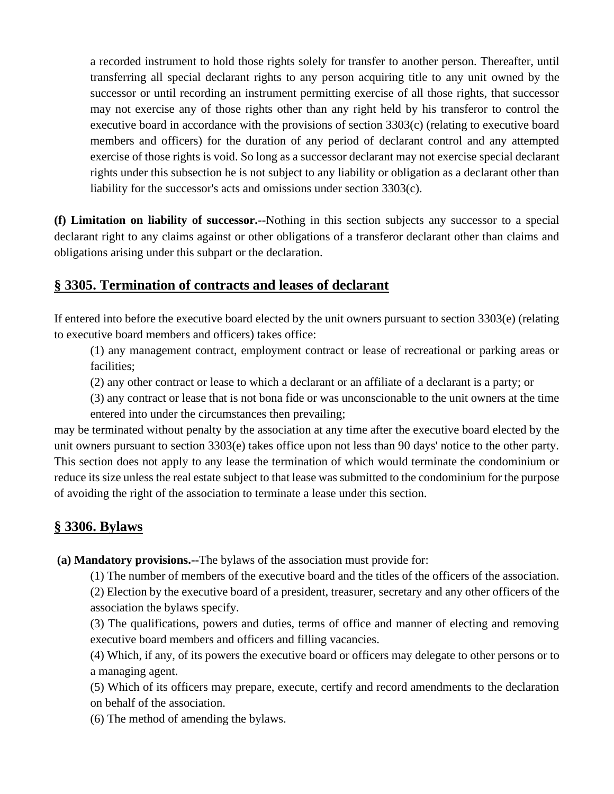a recorded instrument to hold those rights solely for transfer to another person. Thereafter, until transferring all special declarant rights to any person acquiring title to any unit owned by the successor or until recording an instrument permitting exercise of all those rights, that successor may not exercise any of those rights other than any right held by his transferor to control the executive board in accordance with the provisions of section 3303(c) (relating to executive board members and officers) for the duration of any period of declarant control and any attempted exercise of those rights is void. So long as a successor declarant may not exercise special declarant rights under this subsection he is not subject to any liability or obligation as a declarant other than liability for the successor's acts and omissions under section 3303(c).

**(f) Limitation on liability of successor.--**Nothing in this section subjects any successor to a special declarant right to any claims against or other obligations of a transferor declarant other than claims and obligations arising under this subpart or the declaration.

## **§ 3305. Termination of contracts and leases of declarant**

If entered into before the executive board elected by the unit owners pursuant to section 3303(e) (relating to executive board members and officers) takes office:

(1) any management contract, employment contract or lease of recreational or parking areas or facilities;

(2) any other contract or lease to which a declarant or an affiliate of a declarant is a party; or

(3) any contract or lease that is not bona fide or was unconscionable to the unit owners at the time entered into under the circumstances then prevailing;

may be terminated without penalty by the association at any time after the executive board elected by the unit owners pursuant to section 3303(e) takes office upon not less than 90 days' notice to the other party. This section does not apply to any lease the termination of which would terminate the condominium or reduce its size unless the real estate subject to that lease was submitted to the condominium for the purpose of avoiding the right of the association to terminate a lease under this section.

## **§ 3306. Bylaws**

**(a) Mandatory provisions.--**The bylaws of the association must provide for:

(1) The number of members of the executive board and the titles of the officers of the association.

(2) Election by the executive board of a president, treasurer, secretary and any other officers of the association the bylaws specify.

(3) The qualifications, powers and duties, terms of office and manner of electing and removing executive board members and officers and filling vacancies.

(4) Which, if any, of its powers the executive board or officers may delegate to other persons or to a managing agent.

(5) Which of its officers may prepare, execute, certify and record amendments to the declaration on behalf of the association.

(6) The method of amending the bylaws.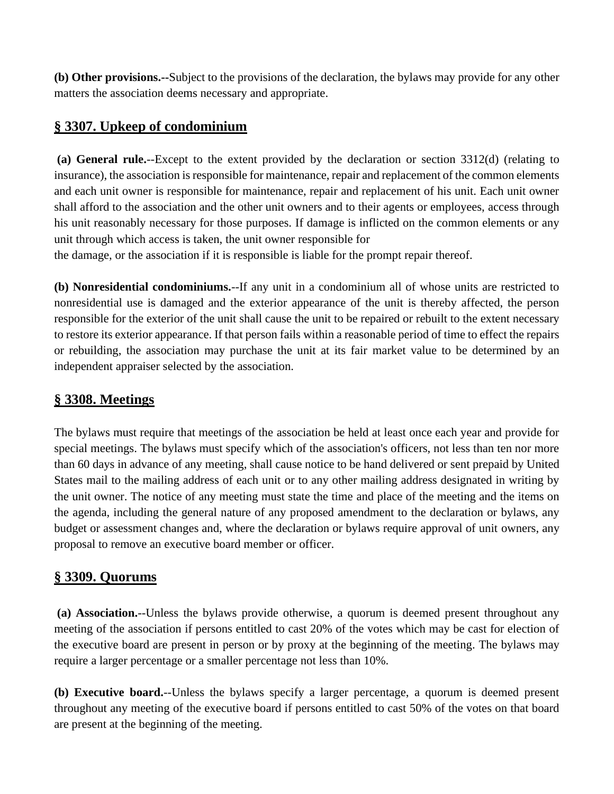**(b) Other provisions.--**Subject to the provisions of the declaration, the bylaws may provide for any other matters the association deems necessary and appropriate.

# **§ 3307. Upkeep of condominium**

**(a) General rule.**--Except to the extent provided by the declaration or section 3312(d) (relating to insurance), the association is responsible for maintenance, repair and replacement of the common elements and each unit owner is responsible for maintenance, repair and replacement of his unit. Each unit owner shall afford to the association and the other unit owners and to their agents or employees, access through his unit reasonably necessary for those purposes. If damage is inflicted on the common elements or any unit through which access is taken, the unit owner responsible for

the damage, or the association if it is responsible is liable for the prompt repair thereof.

**(b) Nonresidential condominiums.**--If any unit in a condominium all of whose units are restricted to nonresidential use is damaged and the exterior appearance of the unit is thereby affected, the person responsible for the exterior of the unit shall cause the unit to be repaired or rebuilt to the extent necessary to restore its exterior appearance. If that person fails within a reasonable period of time to effect the repairs or rebuilding, the association may purchase the unit at its fair market value to be determined by an independent appraiser selected by the association.

## **§ 3308. Meetings**

The bylaws must require that meetings of the association be held at least once each year and provide for special meetings. The bylaws must specify which of the association's officers, not less than ten nor more than 60 days in advance of any meeting, shall cause notice to be hand delivered or sent prepaid by United States mail to the mailing address of each unit or to any other mailing address designated in writing by the unit owner. The notice of any meeting must state the time and place of the meeting and the items on the agenda, including the general nature of any proposed amendment to the declaration or bylaws, any budget or assessment changes and, where the declaration or bylaws require approval of unit owners, any proposal to remove an executive board member or officer.

## **§ 3309. Quorums**

**(a) Association.**--Unless the bylaws provide otherwise, a quorum is deemed present throughout any meeting of the association if persons entitled to cast 20% of the votes which may be cast for election of the executive board are present in person or by proxy at the beginning of the meeting. The bylaws may require a larger percentage or a smaller percentage not less than 10%.

**(b) Executive board.**--Unless the bylaws specify a larger percentage, a quorum is deemed present throughout any meeting of the executive board if persons entitled to cast 50% of the votes on that board are present at the beginning of the meeting.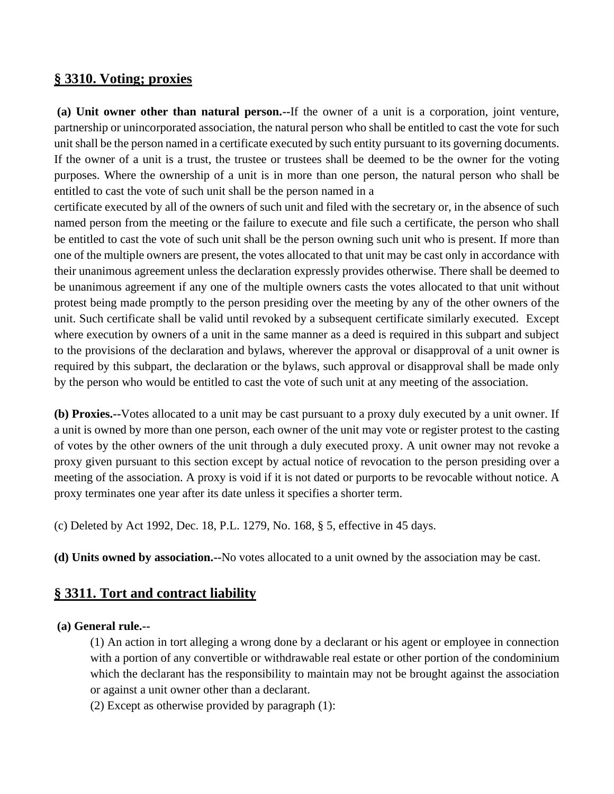### **§ 3310. Voting; proxies**

**(a) Unit owner other than natural person.--**If the owner of a unit is a corporation, joint venture, partnership or unincorporated association, the natural person who shall be entitled to cast the vote for such unit shall be the person named in a certificate executed by such entity pursuant to its governing documents. If the owner of a unit is a trust, the trustee or trustees shall be deemed to be the owner for the voting purposes. Where the ownership of a unit is in more than one person, the natural person who shall be entitled to cast the vote of such unit shall be the person named in a

certificate executed by all of the owners of such unit and filed with the secretary or, in the absence of such named person from the meeting or the failure to execute and file such a certificate, the person who shall be entitled to cast the vote of such unit shall be the person owning such unit who is present. If more than one of the multiple owners are present, the votes allocated to that unit may be cast only in accordance with their unanimous agreement unless the declaration expressly provides otherwise. There shall be deemed to be unanimous agreement if any one of the multiple owners casts the votes allocated to that unit without protest being made promptly to the person presiding over the meeting by any of the other owners of the unit. Such certificate shall be valid until revoked by a subsequent certificate similarly executed. Except where execution by owners of a unit in the same manner as a deed is required in this subpart and subject to the provisions of the declaration and bylaws, wherever the approval or disapproval of a unit owner is required by this subpart, the declaration or the bylaws, such approval or disapproval shall be made only by the person who would be entitled to cast the vote of such unit at any meeting of the association.

**(b) Proxies.--**Votes allocated to a unit may be cast pursuant to a proxy duly executed by a unit owner. If a unit is owned by more than one person, each owner of the unit may vote or register protest to the casting of votes by the other owners of the unit through a duly executed proxy. A unit owner may not revoke a proxy given pursuant to this section except by actual notice of revocation to the person presiding over a meeting of the association. A proxy is void if it is not dated or purports to be revocable without notice. A proxy terminates one year after its date unless it specifies a shorter term.

(c) Deleted by Act 1992, Dec. 18, P.L. 1279, No. 168, § 5, effective in 45 days.

**(d) Units owned by association.--**No votes allocated to a unit owned by the association may be cast.

### **§ 3311. Tort and contract liability**

#### **(a) General rule.--**

(1) An action in tort alleging a wrong done by a declarant or his agent or employee in connection with a portion of any convertible or withdrawable real estate or other portion of the condominium which the declarant has the responsibility to maintain may not be brought against the association or against a unit owner other than a declarant.

(2) Except as otherwise provided by paragraph (1):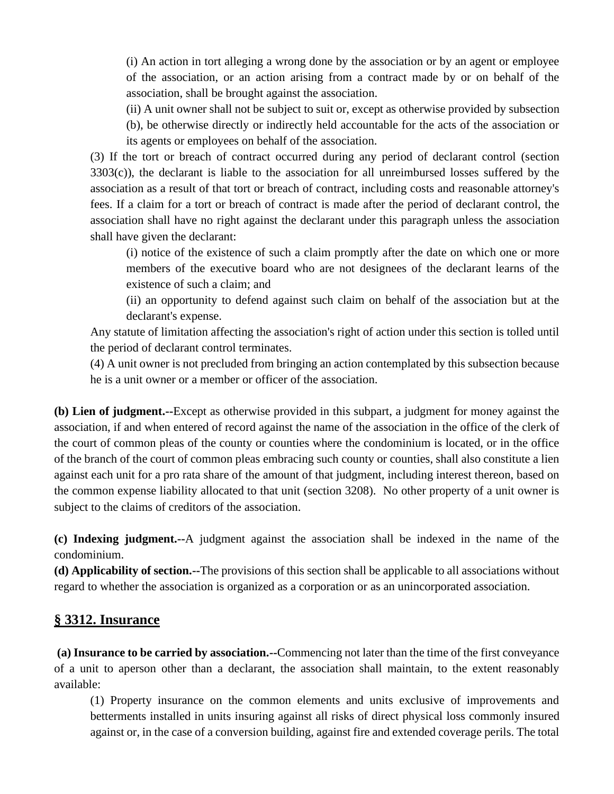(i) An action in tort alleging a wrong done by the association or by an agent or employee of the association, or an action arising from a contract made by or on behalf of the association, shall be brought against the association.

(ii) A unit owner shall not be subject to suit or, except as otherwise provided by subsection

(b), be otherwise directly or indirectly held accountable for the acts of the association or its agents or employees on behalf of the association.

(3) If the tort or breach of contract occurred during any period of declarant control (section 3303(c)), the declarant is liable to the association for all unreimbursed losses suffered by the association as a result of that tort or breach of contract, including costs and reasonable attorney's fees. If a claim for a tort or breach of contract is made after the period of declarant control, the association shall have no right against the declarant under this paragraph unless the association shall have given the declarant:

(i) notice of the existence of such a claim promptly after the date on which one or more members of the executive board who are not designees of the declarant learns of the existence of such a claim; and

(ii) an opportunity to defend against such claim on behalf of the association but at the declarant's expense.

Any statute of limitation affecting the association's right of action under this section is tolled until the period of declarant control terminates.

(4) A unit owner is not precluded from bringing an action contemplated by this subsection because he is a unit owner or a member or officer of the association.

**(b) Lien of judgment.--**Except as otherwise provided in this subpart, a judgment for money against the association, if and when entered of record against the name of the association in the office of the clerk of the court of common pleas of the county or counties where the condominium is located, or in the office of the branch of the court of common pleas embracing such county or counties, shall also constitute a lien against each unit for a pro rata share of the amount of that judgment, including interest thereon, based on the common expense liability allocated to that unit (section 3208). No other property of a unit owner is subject to the claims of creditors of the association.

**(c) Indexing judgment.--**A judgment against the association shall be indexed in the name of the condominium.

**(d) Applicability of section.--**The provisions of this section shall be applicable to all associations without regard to whether the association is organized as a corporation or as an unincorporated association.

### **§ 3312. Insurance**

**(a) Insurance to be carried by association.--**Commencing not later than the time of the first conveyance of a unit to aperson other than a declarant, the association shall maintain, to the extent reasonably available:

(1) Property insurance on the common elements and units exclusive of improvements and betterments installed in units insuring against all risks of direct physical loss commonly insured against or, in the case of a conversion building, against fire and extended coverage perils. The total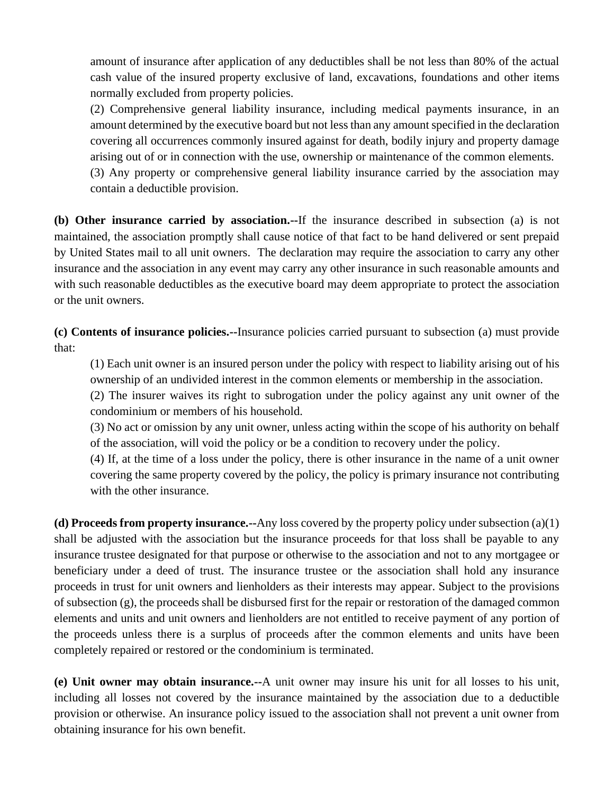amount of insurance after application of any deductibles shall be not less than 80% of the actual cash value of the insured property exclusive of land, excavations, foundations and other items normally excluded from property policies.

(2) Comprehensive general liability insurance, including medical payments insurance, in an amount determined by the executive board but not less than any amount specified in the declaration covering all occurrences commonly insured against for death, bodily injury and property damage arising out of or in connection with the use, ownership or maintenance of the common elements.

(3) Any property or comprehensive general liability insurance carried by the association may contain a deductible provision.

**(b) Other insurance carried by association.--**If the insurance described in subsection (a) is not maintained, the association promptly shall cause notice of that fact to be hand delivered or sent prepaid by United States mail to all unit owners. The declaration may require the association to carry any other insurance and the association in any event may carry any other insurance in such reasonable amounts and with such reasonable deductibles as the executive board may deem appropriate to protect the association or the unit owners.

**(c) Contents of insurance policies.--**Insurance policies carried pursuant to subsection (a) must provide that:

(1) Each unit owner is an insured person under the policy with respect to liability arising out of his ownership of an undivided interest in the common elements or membership in the association.

(2) The insurer waives its right to subrogation under the policy against any unit owner of the condominium or members of his household.

(3) No act or omission by any unit owner, unless acting within the scope of his authority on behalf of the association, will void the policy or be a condition to recovery under the policy.

(4) If, at the time of a loss under the policy, there is other insurance in the name of a unit owner covering the same property covered by the policy, the policy is primary insurance not contributing with the other insurance.

**(d) Proceeds from property insurance.--**Any loss covered by the property policy under subsection (a)(1) shall be adjusted with the association but the insurance proceeds for that loss shall be payable to any insurance trustee designated for that purpose or otherwise to the association and not to any mortgagee or beneficiary under a deed of trust. The insurance trustee or the association shall hold any insurance proceeds in trust for unit owners and lienholders as their interests may appear. Subject to the provisions of subsection (g), the proceeds shall be disbursed first for the repair or restoration of the damaged common elements and units and unit owners and lienholders are not entitled to receive payment of any portion of the proceeds unless there is a surplus of proceeds after the common elements and units have been completely repaired or restored or the condominium is terminated.

**(e) Unit owner may obtain insurance.--**A unit owner may insure his unit for all losses to his unit, including all losses not covered by the insurance maintained by the association due to a deductible provision or otherwise. An insurance policy issued to the association shall not prevent a unit owner from obtaining insurance for his own benefit.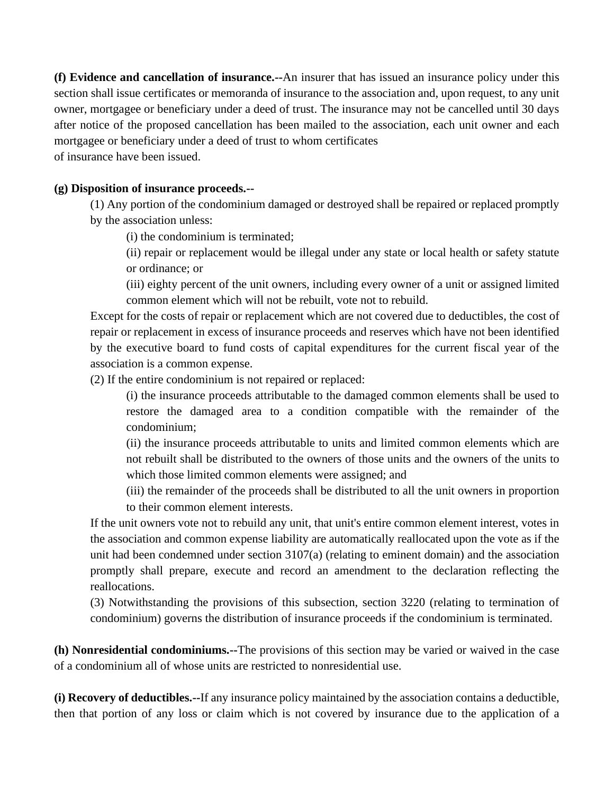**(f) Evidence and cancellation of insurance.--**An insurer that has issued an insurance policy under this section shall issue certificates or memoranda of insurance to the association and, upon request, to any unit owner, mortgagee or beneficiary under a deed of trust. The insurance may not be cancelled until 30 days after notice of the proposed cancellation has been mailed to the association, each unit owner and each mortgagee or beneficiary under a deed of trust to whom certificates

of insurance have been issued.

#### **(g) Disposition of insurance proceeds.--**

(1) Any portion of the condominium damaged or destroyed shall be repaired or replaced promptly by the association unless:

(i) the condominium is terminated;

(ii) repair or replacement would be illegal under any state or local health or safety statute or ordinance; or

(iii) eighty percent of the unit owners, including every owner of a unit or assigned limited common element which will not be rebuilt, vote not to rebuild.

Except for the costs of repair or replacement which are not covered due to deductibles, the cost of repair or replacement in excess of insurance proceeds and reserves which have not been identified by the executive board to fund costs of capital expenditures for the current fiscal year of the association is a common expense.

(2) If the entire condominium is not repaired or replaced:

(i) the insurance proceeds attributable to the damaged common elements shall be used to restore the damaged area to a condition compatible with the remainder of the condominium;

(ii) the insurance proceeds attributable to units and limited common elements which are not rebuilt shall be distributed to the owners of those units and the owners of the units to which those limited common elements were assigned; and

(iii) the remainder of the proceeds shall be distributed to all the unit owners in proportion to their common element interests.

If the unit owners vote not to rebuild any unit, that unit's entire common element interest, votes in the association and common expense liability are automatically reallocated upon the vote as if the unit had been condemned under section 3107(a) (relating to eminent domain) and the association promptly shall prepare, execute and record an amendment to the declaration reflecting the reallocations.

(3) Notwithstanding the provisions of this subsection, section 3220 (relating to termination of condominium) governs the distribution of insurance proceeds if the condominium is terminated.

**(h) Nonresidential condominiums.--**The provisions of this section may be varied or waived in the case of a condominium all of whose units are restricted to nonresidential use.

**(i) Recovery of deductibles.--**If any insurance policy maintained by the association contains a deductible, then that portion of any loss or claim which is not covered by insurance due to the application of a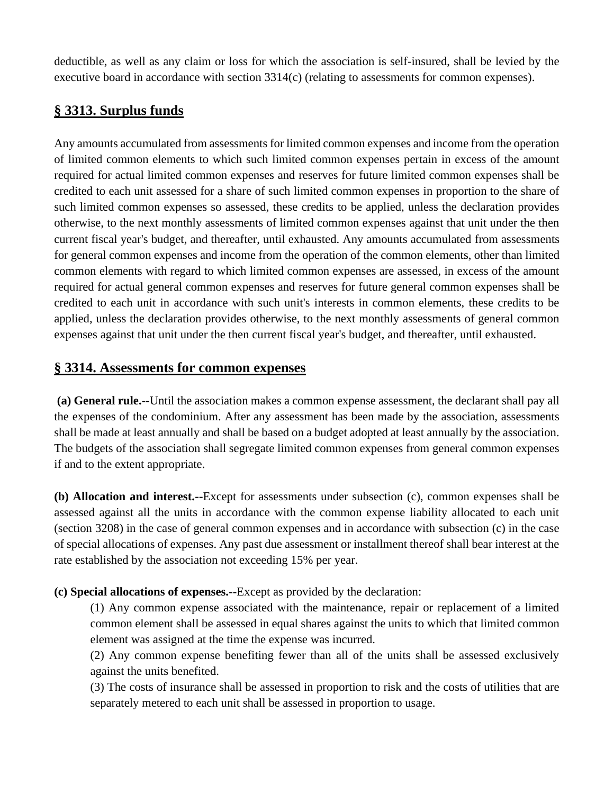deductible, as well as any claim or loss for which the association is self-insured, shall be levied by the executive board in accordance with section 3314(c) (relating to assessments for common expenses).

## **§ 3313. Surplus funds**

Any amounts accumulated from assessments for limited common expenses and income from the operation of limited common elements to which such limited common expenses pertain in excess of the amount required for actual limited common expenses and reserves for future limited common expenses shall be credited to each unit assessed for a share of such limited common expenses in proportion to the share of such limited common expenses so assessed, these credits to be applied, unless the declaration provides otherwise, to the next monthly assessments of limited common expenses against that unit under the then current fiscal year's budget, and thereafter, until exhausted. Any amounts accumulated from assessments for general common expenses and income from the operation of the common elements, other than limited common elements with regard to which limited common expenses are assessed, in excess of the amount required for actual general common expenses and reserves for future general common expenses shall be credited to each unit in accordance with such unit's interests in common elements, these credits to be applied, unless the declaration provides otherwise, to the next monthly assessments of general common expenses against that unit under the then current fiscal year's budget, and thereafter, until exhausted.

### **§ 3314. Assessments for common expenses**

**(a) General rule.--**Until the association makes a common expense assessment, the declarant shall pay all the expenses of the condominium. After any assessment has been made by the association, assessments shall be made at least annually and shall be based on a budget adopted at least annually by the association. The budgets of the association shall segregate limited common expenses from general common expenses if and to the extent appropriate.

**(b) Allocation and interest.--**Except for assessments under subsection (c), common expenses shall be assessed against all the units in accordance with the common expense liability allocated to each unit (section 3208) in the case of general common expenses and in accordance with subsection (c) in the case of special allocations of expenses. Any past due assessment or installment thereof shall bear interest at the rate established by the association not exceeding 15% per year.

**(c) Special allocations of expenses.--**Except as provided by the declaration:

(1) Any common expense associated with the maintenance, repair or replacement of a limited common element shall be assessed in equal shares against the units to which that limited common element was assigned at the time the expense was incurred.

(2) Any common expense benefiting fewer than all of the units shall be assessed exclusively against the units benefited.

(3) The costs of insurance shall be assessed in proportion to risk and the costs of utilities that are separately metered to each unit shall be assessed in proportion to usage.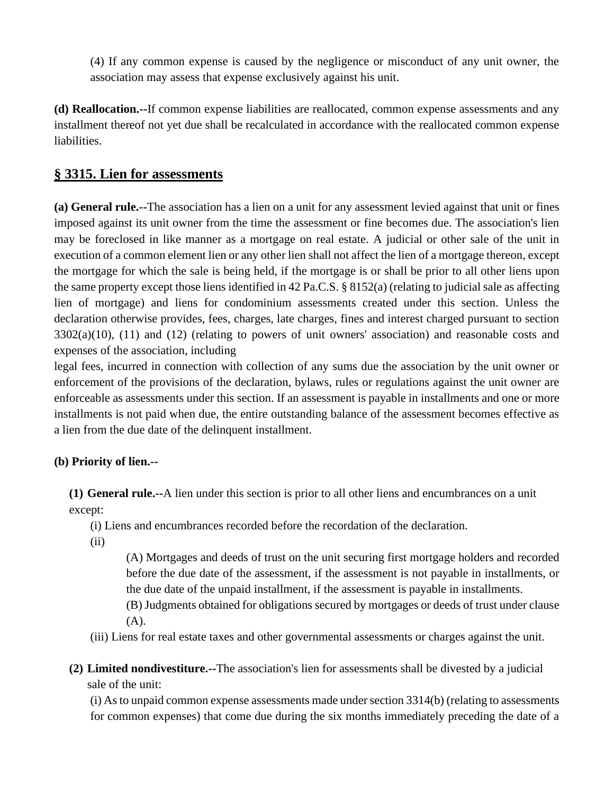(4) If any common expense is caused by the negligence or misconduct of any unit owner, the association may assess that expense exclusively against his unit.

**(d) Reallocation.--**If common expense liabilities are reallocated, common expense assessments and any installment thereof not yet due shall be recalculated in accordance with the reallocated common expense liabilities.

## **§ 3315. Lien for assessments**

**(a) General rule.--**The association has a lien on a unit for any assessment levied against that unit or fines imposed against its unit owner from the time the assessment or fine becomes due. The association's lien may be foreclosed in like manner as a mortgage on real estate. A judicial or other sale of the unit in execution of a common element lien or any other lien shall not affect the lien of a mortgage thereon, except the mortgage for which the sale is being held, if the mortgage is or shall be prior to all other liens upon the same property except those liens identified in 42 Pa.C.S. § 8152(a) (relating to judicial sale as affecting lien of mortgage) and liens for condominium assessments created under this section. Unless the declaration otherwise provides, fees, charges, late charges, fines and interest charged pursuant to section 3302(a)(10), (11) and (12) (relating to powers of unit owners' association) and reasonable costs and expenses of the association, including

legal fees, incurred in connection with collection of any sums due the association by the unit owner or enforcement of the provisions of the declaration, bylaws, rules or regulations against the unit owner are enforceable as assessments under this section. If an assessment is payable in installments and one or more installments is not paid when due, the entire outstanding balance of the assessment becomes effective as a lien from the due date of the delinquent installment.

#### **(b) Priority of lien.--**

**(1) General rule.--**A lien under this section is prior to all other liens and encumbrances on a unit except:

(i) Liens and encumbrances recorded before the recordation of the declaration.

(ii)

(A) Mortgages and deeds of trust on the unit securing first mortgage holders and recorded before the due date of the assessment, if the assessment is not payable in installments, or the due date of the unpaid installment, if the assessment is payable in installments.

(B) Judgments obtained for obligations secured by mortgages or deeds of trust under clause (A).

(iii) Liens for real estate taxes and other governmental assessments or charges against the unit.

**(2) Limited nondivestiture.--**The association's lien for assessments shall be divested by a judicial sale of the unit:

(i) As to unpaid common expense assessments made under section 3314(b) (relating to assessments for common expenses) that come due during the six months immediately preceding the date of a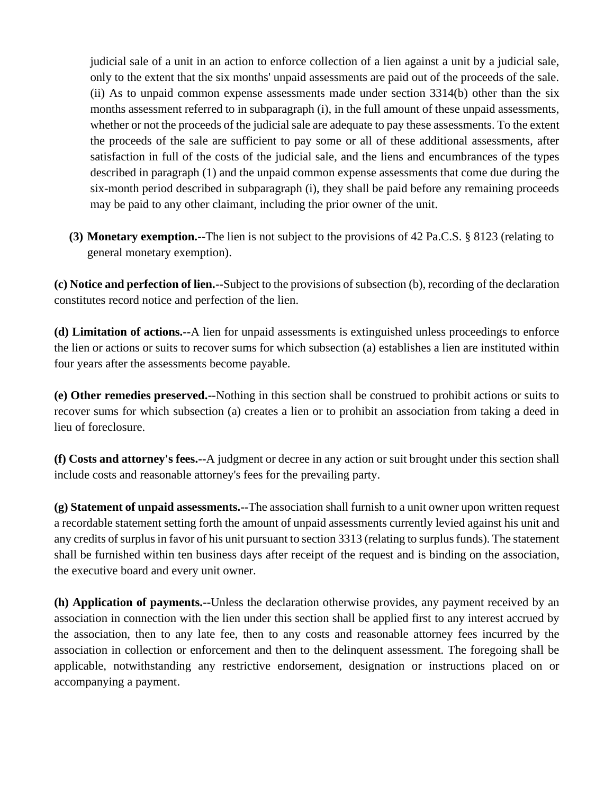judicial sale of a unit in an action to enforce collection of a lien against a unit by a judicial sale, only to the extent that the six months' unpaid assessments are paid out of the proceeds of the sale. (ii) As to unpaid common expense assessments made under section 3314(b) other than the six months assessment referred to in subparagraph (i), in the full amount of these unpaid assessments, whether or not the proceeds of the judicial sale are adequate to pay these assessments. To the extent the proceeds of the sale are sufficient to pay some or all of these additional assessments, after satisfaction in full of the costs of the judicial sale, and the liens and encumbrances of the types described in paragraph (1) and the unpaid common expense assessments that come due during the six-month period described in subparagraph (i), they shall be paid before any remaining proceeds may be paid to any other claimant, including the prior owner of the unit.

**(3) Monetary exemption.--**The lien is not subject to the provisions of 42 Pa.C.S. § 8123 (relating to general monetary exemption).

**(c) Notice and perfection of lien.--**Subject to the provisions of subsection (b), recording of the declaration constitutes record notice and perfection of the lien.

**(d) Limitation of actions.--**A lien for unpaid assessments is extinguished unless proceedings to enforce the lien or actions or suits to recover sums for which subsection (a) establishes a lien are instituted within four years after the assessments become payable.

**(e) Other remedies preserved.--**Nothing in this section shall be construed to prohibit actions or suits to recover sums for which subsection (a) creates a lien or to prohibit an association from taking a deed in lieu of foreclosure.

**(f) Costs and attorney's fees.--**A judgment or decree in any action or suit brought under this section shall include costs and reasonable attorney's fees for the prevailing party.

**(g) Statement of unpaid assessments.--**The association shall furnish to a unit owner upon written request a recordable statement setting forth the amount of unpaid assessments currently levied against his unit and any credits of surplus in favor of his unit pursuant to section 3313 (relating to surplus funds). The statement shall be furnished within ten business days after receipt of the request and is binding on the association, the executive board and every unit owner.

**(h) Application of payments.--**Unless the declaration otherwise provides, any payment received by an association in connection with the lien under this section shall be applied first to any interest accrued by the association, then to any late fee, then to any costs and reasonable attorney fees incurred by the association in collection or enforcement and then to the delinquent assessment. The foregoing shall be applicable, notwithstanding any restrictive endorsement, designation or instructions placed on or accompanying a payment.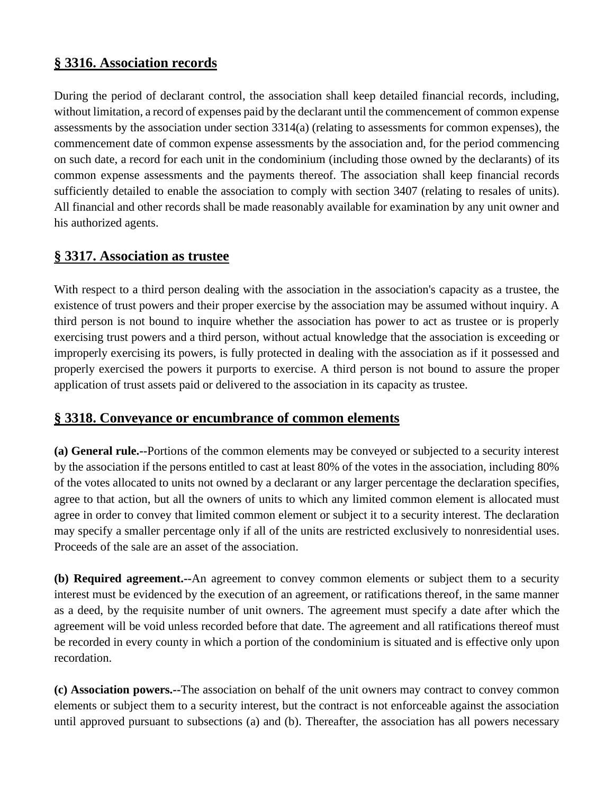## **§ 3316. Association records**

During the period of declarant control, the association shall keep detailed financial records, including, without limitation, a record of expenses paid by the declarant until the commencement of common expense assessments by the association under section 3314(a) (relating to assessments for common expenses), the commencement date of common expense assessments by the association and, for the period commencing on such date, a record for each unit in the condominium (including those owned by the declarants) of its common expense assessments and the payments thereof. The association shall keep financial records sufficiently detailed to enable the association to comply with section 3407 (relating to resales of units). All financial and other records shall be made reasonably available for examination by any unit owner and his authorized agents.

### **§ 3317. Association as trustee**

With respect to a third person dealing with the association in the association's capacity as a trustee, the existence of trust powers and their proper exercise by the association may be assumed without inquiry. A third person is not bound to inquire whether the association has power to act as trustee or is properly exercising trust powers and a third person, without actual knowledge that the association is exceeding or improperly exercising its powers, is fully protected in dealing with the association as if it possessed and properly exercised the powers it purports to exercise. A third person is not bound to assure the proper application of trust assets paid or delivered to the association in its capacity as trustee.

## **§ 3318. Conveyance or encumbrance of common elements**

**(a) General rule.--**Portions of the common elements may be conveyed or subjected to a security interest by the association if the persons entitled to cast at least 80% of the votes in the association, including 80% of the votes allocated to units not owned by a declarant or any larger percentage the declaration specifies, agree to that action, but all the owners of units to which any limited common element is allocated must agree in order to convey that limited common element or subject it to a security interest. The declaration may specify a smaller percentage only if all of the units are restricted exclusively to nonresidential uses. Proceeds of the sale are an asset of the association.

**(b) Required agreement.--**An agreement to convey common elements or subject them to a security interest must be evidenced by the execution of an agreement, or ratifications thereof, in the same manner as a deed, by the requisite number of unit owners. The agreement must specify a date after which the agreement will be void unless recorded before that date. The agreement and all ratifications thereof must be recorded in every county in which a portion of the condominium is situated and is effective only upon recordation.

**(c) Association powers.--**The association on behalf of the unit owners may contract to convey common elements or subject them to a security interest, but the contract is not enforceable against the association until approved pursuant to subsections (a) and (b). Thereafter, the association has all powers necessary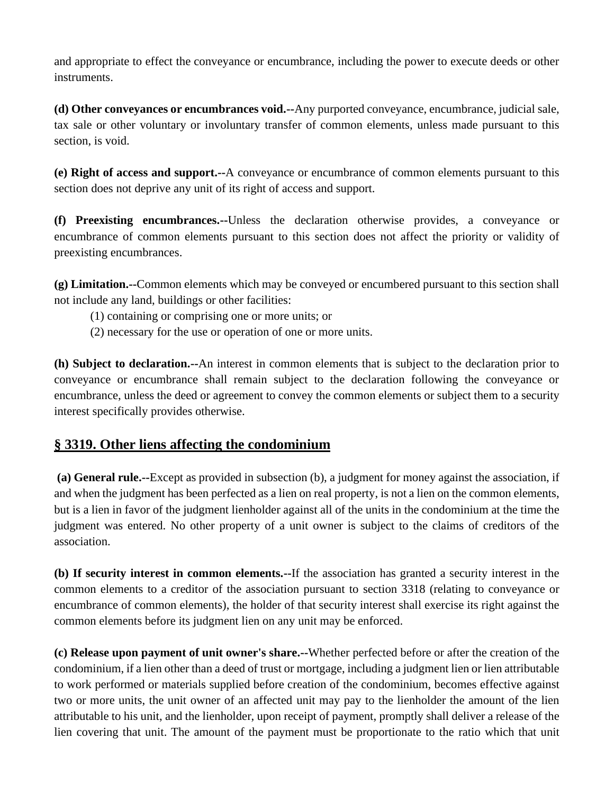and appropriate to effect the conveyance or encumbrance, including the power to execute deeds or other instruments.

**(d) Other conveyances or encumbrances void.--**Any purported conveyance, encumbrance, judicial sale, tax sale or other voluntary or involuntary transfer of common elements, unless made pursuant to this section, is void.

**(e) Right of access and support.--**A conveyance or encumbrance of common elements pursuant to this section does not deprive any unit of its right of access and support.

**(f) Preexisting encumbrances.--**Unless the declaration otherwise provides, a conveyance or encumbrance of common elements pursuant to this section does not affect the priority or validity of preexisting encumbrances.

**(g) Limitation.--**Common elements which may be conveyed or encumbered pursuant to this section shall not include any land, buildings or other facilities:

(1) containing or comprising one or more units; or

(2) necessary for the use or operation of one or more units.

**(h) Subject to declaration.--**An interest in common elements that is subject to the declaration prior to conveyance or encumbrance shall remain subject to the declaration following the conveyance or encumbrance, unless the deed or agreement to convey the common elements or subject them to a security interest specifically provides otherwise.

## **§ 3319. Other liens affecting the condominium**

**(a) General rule.--**Except as provided in subsection (b), a judgment for money against the association, if and when the judgment has been perfected as a lien on real property, is not a lien on the common elements, but is a lien in favor of the judgment lienholder against all of the units in the condominium at the time the judgment was entered. No other property of a unit owner is subject to the claims of creditors of the association.

**(b) If security interest in common elements.--**If the association has granted a security interest in the common elements to a creditor of the association pursuant to section 3318 (relating to conveyance or encumbrance of common elements), the holder of that security interest shall exercise its right against the common elements before its judgment lien on any unit may be enforced.

**(c) Release upon payment of unit owner's share.--**Whether perfected before or after the creation of the condominium, if a lien other than a deed of trust or mortgage, including a judgment lien or lien attributable to work performed or materials supplied before creation of the condominium, becomes effective against two or more units, the unit owner of an affected unit may pay to the lienholder the amount of the lien attributable to his unit, and the lienholder, upon receipt of payment, promptly shall deliver a release of the lien covering that unit. The amount of the payment must be proportionate to the ratio which that unit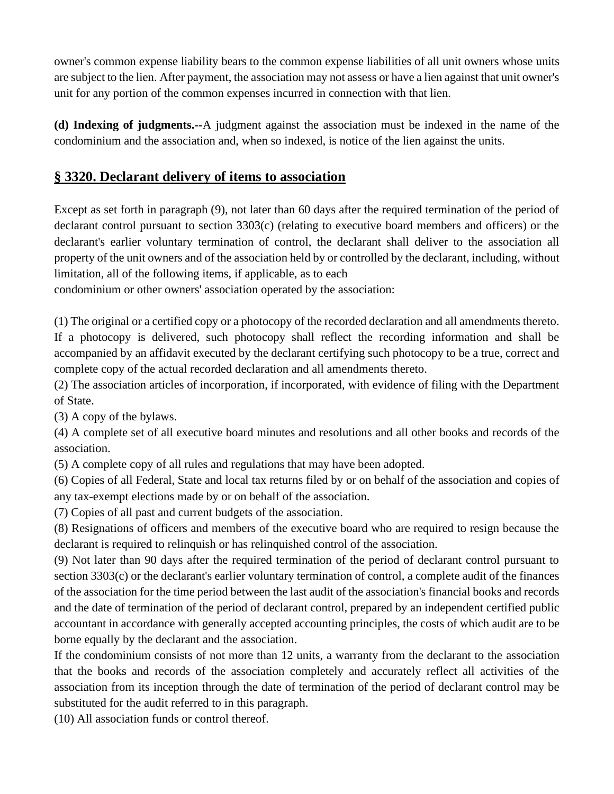owner's common expense liability bears to the common expense liabilities of all unit owners whose units are subject to the lien. After payment, the association may not assess or have a lien against that unit owner's unit for any portion of the common expenses incurred in connection with that lien.

**(d) Indexing of judgments.--**A judgment against the association must be indexed in the name of the condominium and the association and, when so indexed, is notice of the lien against the units.

## **§ 3320. Declarant delivery of items to association**

Except as set forth in paragraph (9), not later than 60 days after the required termination of the period of declarant control pursuant to section 3303(c) (relating to executive board members and officers) or the declarant's earlier voluntary termination of control, the declarant shall deliver to the association all property of the unit owners and of the association held by or controlled by the declarant, including, without limitation, all of the following items, if applicable, as to each

condominium or other owners' association operated by the association:

(1) The original or a certified copy or a photocopy of the recorded declaration and all amendments thereto. If a photocopy is delivered, such photocopy shall reflect the recording information and shall be accompanied by an affidavit executed by the declarant certifying such photocopy to be a true, correct and complete copy of the actual recorded declaration and all amendments thereto.

(2) The association articles of incorporation, if incorporated, with evidence of filing with the Department of State.

(3) A copy of the bylaws.

(4) A complete set of all executive board minutes and resolutions and all other books and records of the association.

(5) A complete copy of all rules and regulations that may have been adopted.

(6) Copies of all Federal, State and local tax returns filed by or on behalf of the association and copies of any tax-exempt elections made by or on behalf of the association.

(7) Copies of all past and current budgets of the association.

(8) Resignations of officers and members of the executive board who are required to resign because the declarant is required to relinquish or has relinquished control of the association.

(9) Not later than 90 days after the required termination of the period of declarant control pursuant to section 3303(c) or the declarant's earlier voluntary termination of control, a complete audit of the finances of the association for the time period between the last audit of the association's financial books and records and the date of termination of the period of declarant control, prepared by an independent certified public accountant in accordance with generally accepted accounting principles, the costs of which audit are to be borne equally by the declarant and the association.

If the condominium consists of not more than 12 units, a warranty from the declarant to the association that the books and records of the association completely and accurately reflect all activities of the association from its inception through the date of termination of the period of declarant control may be substituted for the audit referred to in this paragraph.

(10) All association funds or control thereof.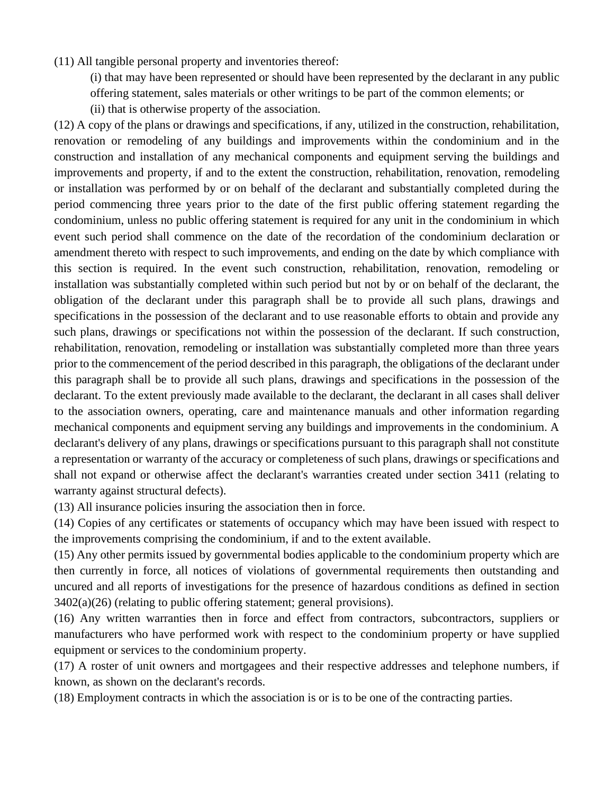- (11) All tangible personal property and inventories thereof:
	- (i) that may have been represented or should have been represented by the declarant in any public offering statement, sales materials or other writings to be part of the common elements; or
	- (ii) that is otherwise property of the association.

(12) A copy of the plans or drawings and specifications, if any, utilized in the construction, rehabilitation, renovation or remodeling of any buildings and improvements within the condominium and in the construction and installation of any mechanical components and equipment serving the buildings and improvements and property, if and to the extent the construction, rehabilitation, renovation, remodeling or installation was performed by or on behalf of the declarant and substantially completed during the period commencing three years prior to the date of the first public offering statement regarding the condominium, unless no public offering statement is required for any unit in the condominium in which event such period shall commence on the date of the recordation of the condominium declaration or amendment thereto with respect to such improvements, and ending on the date by which compliance with this section is required. In the event such construction, rehabilitation, renovation, remodeling or installation was substantially completed within such period but not by or on behalf of the declarant, the obligation of the declarant under this paragraph shall be to provide all such plans, drawings and specifications in the possession of the declarant and to use reasonable efforts to obtain and provide any such plans, drawings or specifications not within the possession of the declarant. If such construction, rehabilitation, renovation, remodeling or installation was substantially completed more than three years prior to the commencement of the period described in this paragraph, the obligations of the declarant under this paragraph shall be to provide all such plans, drawings and specifications in the possession of the declarant. To the extent previously made available to the declarant, the declarant in all cases shall deliver to the association owners, operating, care and maintenance manuals and other information regarding mechanical components and equipment serving any buildings and improvements in the condominium. A declarant's delivery of any plans, drawings or specifications pursuant to this paragraph shall not constitute a representation or warranty of the accuracy or completeness of such plans, drawings or specifications and shall not expand or otherwise affect the declarant's warranties created under section 3411 (relating to warranty against structural defects).

(13) All insurance policies insuring the association then in force.

(14) Copies of any certificates or statements of occupancy which may have been issued with respect to the improvements comprising the condominium, if and to the extent available.

(15) Any other permits issued by governmental bodies applicable to the condominium property which are then currently in force, all notices of violations of governmental requirements then outstanding and uncured and all reports of investigations for the presence of hazardous conditions as defined in section 3402(a)(26) (relating to public offering statement; general provisions).

(16) Any written warranties then in force and effect from contractors, subcontractors, suppliers or manufacturers who have performed work with respect to the condominium property or have supplied equipment or services to the condominium property.

(17) A roster of unit owners and mortgagees and their respective addresses and telephone numbers, if known, as shown on the declarant's records.

(18) Employment contracts in which the association is or is to be one of the contracting parties.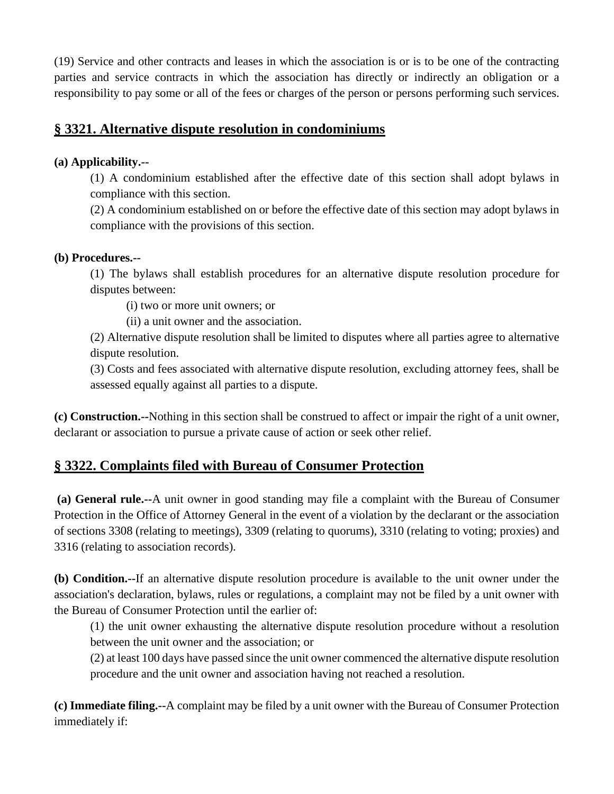(19) Service and other contracts and leases in which the association is or is to be one of the contracting parties and service contracts in which the association has directly or indirectly an obligation or a responsibility to pay some or all of the fees or charges of the person or persons performing such services.

### **§ 3321. Alternative dispute resolution in condominiums**

#### **(a) Applicability.--**

(1) A condominium established after the effective date of this section shall adopt bylaws in compliance with this section.

(2) A condominium established on or before the effective date of this section may adopt bylaws in compliance with the provisions of this section.

#### **(b) Procedures.--**

(1) The bylaws shall establish procedures for an alternative dispute resolution procedure for disputes between:

(i) two or more unit owners; or

(ii) a unit owner and the association.

(2) Alternative dispute resolution shall be limited to disputes where all parties agree to alternative dispute resolution.

(3) Costs and fees associated with alternative dispute resolution, excluding attorney fees, shall be assessed equally against all parties to a dispute.

**(c) Construction.--**Nothing in this section shall be construed to affect or impair the right of a unit owner, declarant or association to pursue a private cause of action or seek other relief.

## **§ 3322. Complaints filed with Bureau of Consumer Protection**

**(a) General rule.--**A unit owner in good standing may file a complaint with the Bureau of Consumer Protection in the Office of Attorney General in the event of a violation by the declarant or the association of sections 3308 (relating to meetings), 3309 (relating to quorums), 3310 (relating to voting; proxies) and 3316 (relating to association records).

**(b) Condition.--**If an alternative dispute resolution procedure is available to the unit owner under the association's declaration, bylaws, rules or regulations, a complaint may not be filed by a unit owner with the Bureau of Consumer Protection until the earlier of:

(1) the unit owner exhausting the alternative dispute resolution procedure without a resolution between the unit owner and the association; or

(2) at least 100 days have passed since the unit owner commenced the alternative dispute resolution procedure and the unit owner and association having not reached a resolution.

**(c) Immediate filing.--**A complaint may be filed by a unit owner with the Bureau of Consumer Protection immediately if: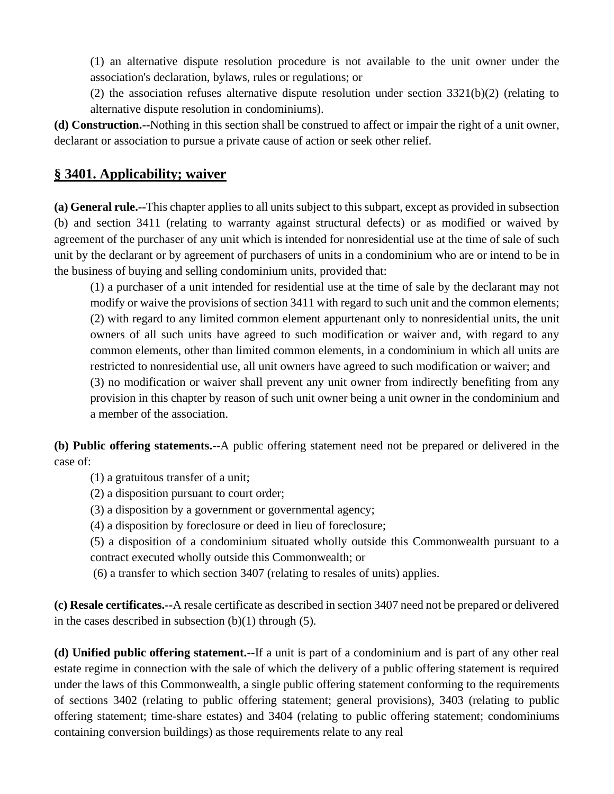(1) an alternative dispute resolution procedure is not available to the unit owner under the association's declaration, bylaws, rules or regulations; or

(2) the association refuses alternative dispute resolution under section 3321(b)(2) (relating to alternative dispute resolution in condominiums).

**(d) Construction.--**Nothing in this section shall be construed to affect or impair the right of a unit owner, declarant or association to pursue a private cause of action or seek other relief.

## **§ 3401. Applicability; waiver**

**(a) General rule.--**This chapter applies to all units subject to this subpart, except as provided in subsection (b) and section 3411 (relating to warranty against structural defects) or as modified or waived by agreement of the purchaser of any unit which is intended for nonresidential use at the time of sale of such unit by the declarant or by agreement of purchasers of units in a condominium who are or intend to be in the business of buying and selling condominium units, provided that:

(1) a purchaser of a unit intended for residential use at the time of sale by the declarant may not modify or waive the provisions of section 3411 with regard to such unit and the common elements; (2) with regard to any limited common element appurtenant only to nonresidential units, the unit owners of all such units have agreed to such modification or waiver and, with regard to any common elements, other than limited common elements, in a condominium in which all units are restricted to nonresidential use, all unit owners have agreed to such modification or waiver; and (3) no modification or waiver shall prevent any unit owner from indirectly benefiting from any provision in this chapter by reason of such unit owner being a unit owner in the condominium and a member of the association.

**(b) Public offering statements.--**A public offering statement need not be prepared or delivered in the case of:

(1) a gratuitous transfer of a unit;

(2) a disposition pursuant to court order;

(3) a disposition by a government or governmental agency;

(4) a disposition by foreclosure or deed in lieu of foreclosure;

(5) a disposition of a condominium situated wholly outside this Commonwealth pursuant to a contract executed wholly outside this Commonwealth; or

(6) a transfer to which section 3407 (relating to resales of units) applies.

**(c) Resale certificates.--**A resale certificate as described in section 3407 need not be prepared or delivered in the cases described in subsection  $(b)(1)$  through  $(5)$ .

**(d) Unified public offering statement.--**If a unit is part of a condominium and is part of any other real estate regime in connection with the sale of which the delivery of a public offering statement is required under the laws of this Commonwealth, a single public offering statement conforming to the requirements of sections 3402 (relating to public offering statement; general provisions), 3403 (relating to public offering statement; time-share estates) and 3404 (relating to public offering statement; condominiums containing conversion buildings) as those requirements relate to any real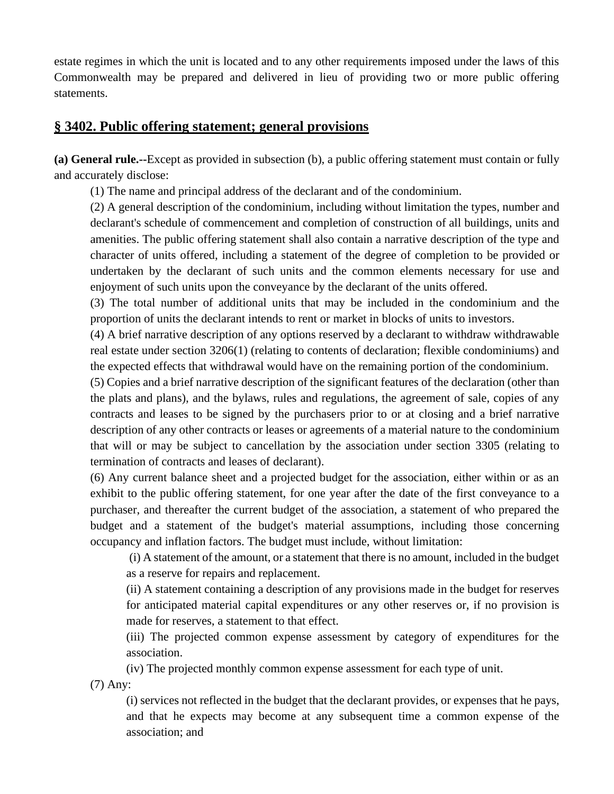estate regimes in which the unit is located and to any other requirements imposed under the laws of this Commonwealth may be prepared and delivered in lieu of providing two or more public offering statements.

### **§ 3402. Public offering statement; general provisions**

**(a) General rule.--**Except as provided in subsection (b), a public offering statement must contain or fully and accurately disclose:

(1) The name and principal address of the declarant and of the condominium.

(2) A general description of the condominium, including without limitation the types, number and declarant's schedule of commencement and completion of construction of all buildings, units and amenities. The public offering statement shall also contain a narrative description of the type and character of units offered, including a statement of the degree of completion to be provided or undertaken by the declarant of such units and the common elements necessary for use and enjoyment of such units upon the conveyance by the declarant of the units offered.

(3) The total number of additional units that may be included in the condominium and the proportion of units the declarant intends to rent or market in blocks of units to investors.

(4) A brief narrative description of any options reserved by a declarant to withdraw withdrawable real estate under section 3206(1) (relating to contents of declaration; flexible condominiums) and the expected effects that withdrawal would have on the remaining portion of the condominium.

(5) Copies and a brief narrative description of the significant features of the declaration (other than the plats and plans), and the bylaws, rules and regulations, the agreement of sale, copies of any contracts and leases to be signed by the purchasers prior to or at closing and a brief narrative description of any other contracts or leases or agreements of a material nature to the condominium that will or may be subject to cancellation by the association under section 3305 (relating to termination of contracts and leases of declarant).

(6) Any current balance sheet and a projected budget for the association, either within or as an exhibit to the public offering statement, for one year after the date of the first conveyance to a purchaser, and thereafter the current budget of the association, a statement of who prepared the budget and a statement of the budget's material assumptions, including those concerning occupancy and inflation factors. The budget must include, without limitation:

(i) A statement of the amount, or a statement that there is no amount, included in the budget as a reserve for repairs and replacement.

(ii) A statement containing a description of any provisions made in the budget for reserves for anticipated material capital expenditures or any other reserves or, if no provision is made for reserves, a statement to that effect.

(iii) The projected common expense assessment by category of expenditures for the association.

(iv) The projected monthly common expense assessment for each type of unit.

(7) Any:

(i) services not reflected in the budget that the declarant provides, or expenses that he pays, and that he expects may become at any subsequent time a common expense of the association; and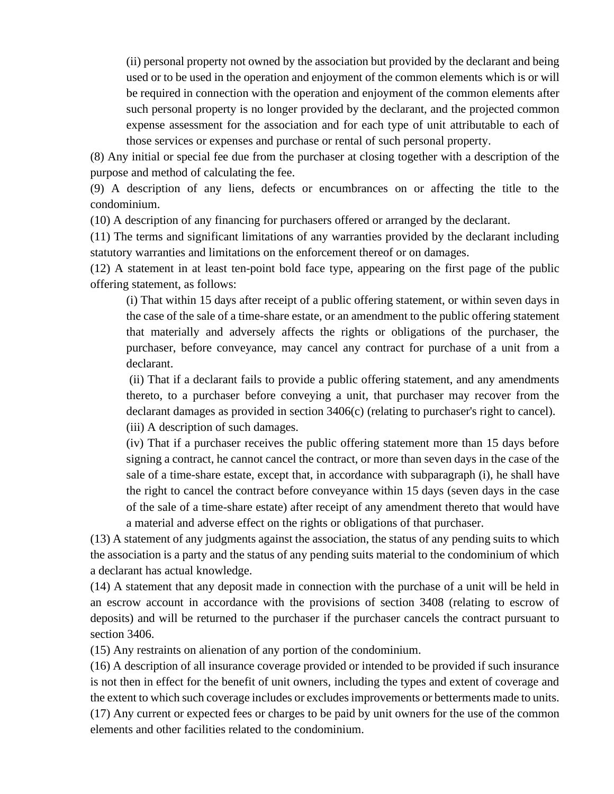(ii) personal property not owned by the association but provided by the declarant and being used or to be used in the operation and enjoyment of the common elements which is or will be required in connection with the operation and enjoyment of the common elements after such personal property is no longer provided by the declarant, and the projected common expense assessment for the association and for each type of unit attributable to each of those services or expenses and purchase or rental of such personal property.

(8) Any initial or special fee due from the purchaser at closing together with a description of the purpose and method of calculating the fee.

(9) A description of any liens, defects or encumbrances on or affecting the title to the condominium.

(10) A description of any financing for purchasers offered or arranged by the declarant.

(11) The terms and significant limitations of any warranties provided by the declarant including statutory warranties and limitations on the enforcement thereof or on damages.

(12) A statement in at least ten-point bold face type, appearing on the first page of the public offering statement, as follows:

(i) That within 15 days after receipt of a public offering statement, or within seven days in the case of the sale of a time-share estate, or an amendment to the public offering statement that materially and adversely affects the rights or obligations of the purchaser, the purchaser, before conveyance, may cancel any contract for purchase of a unit from a declarant.

(ii) That if a declarant fails to provide a public offering statement, and any amendments thereto, to a purchaser before conveying a unit, that purchaser may recover from the declarant damages as provided in section 3406(c) (relating to purchaser's right to cancel). (iii) A description of such damages.

(iv) That if a purchaser receives the public offering statement more than 15 days before signing a contract, he cannot cancel the contract, or more than seven days in the case of the sale of a time-share estate, except that, in accordance with subparagraph (i), he shall have the right to cancel the contract before conveyance within 15 days (seven days in the case of the sale of a time-share estate) after receipt of any amendment thereto that would have a material and adverse effect on the rights or obligations of that purchaser.

(13) A statement of any judgments against the association, the status of any pending suits to which the association is a party and the status of any pending suits material to the condominium of which a declarant has actual knowledge.

(14) A statement that any deposit made in connection with the purchase of a unit will be held in an escrow account in accordance with the provisions of section 3408 (relating to escrow of deposits) and will be returned to the purchaser if the purchaser cancels the contract pursuant to section 3406.

(15) Any restraints on alienation of any portion of the condominium.

(16) A description of all insurance coverage provided or intended to be provided if such insurance is not then in effect for the benefit of unit owners, including the types and extent of coverage and the extent to which such coverage includes or excludes improvements or betterments made to units.

(17) Any current or expected fees or charges to be paid by unit owners for the use of the common elements and other facilities related to the condominium.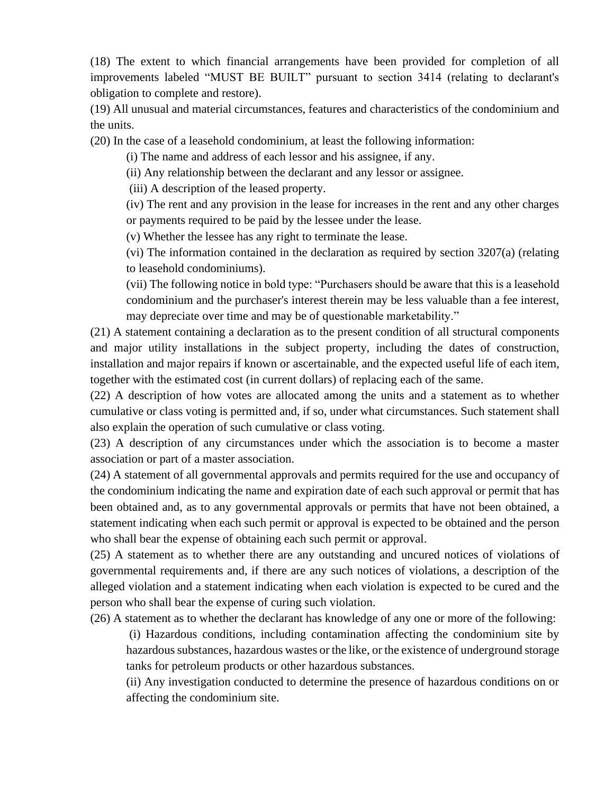(18) The extent to which financial arrangements have been provided for completion of all improvements labeled "MUST BE BUILT" pursuant to section 3414 (relating to declarant's obligation to complete and restore).

(19) All unusual and material circumstances, features and characteristics of the condominium and the units.

(20) In the case of a leasehold condominium, at least the following information:

(i) The name and address of each lessor and his assignee, if any.

(ii) Any relationship between the declarant and any lessor or assignee.

(iii) A description of the leased property.

(iv) The rent and any provision in the lease for increases in the rent and any other charges or payments required to be paid by the lessee under the lease.

(v) Whether the lessee has any right to terminate the lease.

(vi) The information contained in the declaration as required by section 3207(a) (relating to leasehold condominiums).

(vii) The following notice in bold type: "Purchasers should be aware that this is a leasehold condominium and the purchaser's interest therein may be less valuable than a fee interest, may depreciate over time and may be of questionable marketability."

(21) A statement containing a declaration as to the present condition of all structural components and major utility installations in the subject property, including the dates of construction, installation and major repairs if known or ascertainable, and the expected useful life of each item, together with the estimated cost (in current dollars) of replacing each of the same.

(22) A description of how votes are allocated among the units and a statement as to whether cumulative or class voting is permitted and, if so, under what circumstances. Such statement shall also explain the operation of such cumulative or class voting.

(23) A description of any circumstances under which the association is to become a master association or part of a master association.

(24) A statement of all governmental approvals and permits required for the use and occupancy of the condominium indicating the name and expiration date of each such approval or permit that has been obtained and, as to any governmental approvals or permits that have not been obtained, a statement indicating when each such permit or approval is expected to be obtained and the person who shall bear the expense of obtaining each such permit or approval.

(25) A statement as to whether there are any outstanding and uncured notices of violations of governmental requirements and, if there are any such notices of violations, a description of the alleged violation and a statement indicating when each violation is expected to be cured and the person who shall bear the expense of curing such violation.

(26) A statement as to whether the declarant has knowledge of any one or more of the following:

(i) Hazardous conditions, including contamination affecting the condominium site by hazardous substances, hazardous wastes or the like, or the existence of underground storage tanks for petroleum products or other hazardous substances.

(ii) Any investigation conducted to determine the presence of hazardous conditions on or affecting the condominium site.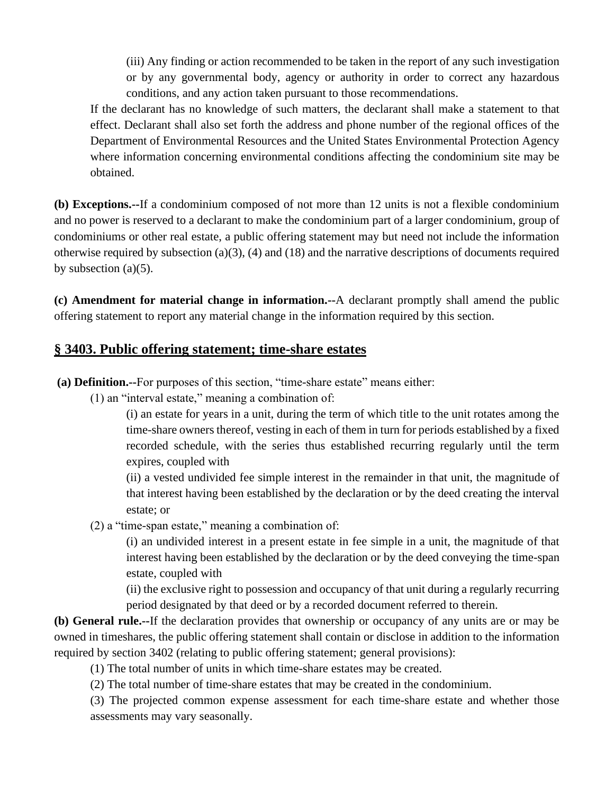(iii) Any finding or action recommended to be taken in the report of any such investigation or by any governmental body, agency or authority in order to correct any hazardous conditions, and any action taken pursuant to those recommendations.

If the declarant has no knowledge of such matters, the declarant shall make a statement to that effect. Declarant shall also set forth the address and phone number of the regional offices of the Department of Environmental Resources and the United States Environmental Protection Agency where information concerning environmental conditions affecting the condominium site may be obtained.

**(b) Exceptions.--**If a condominium composed of not more than 12 units is not a flexible condominium and no power is reserved to a declarant to make the condominium part of a larger condominium, group of condominiums or other real estate, a public offering statement may but need not include the information otherwise required by subsection (a)(3), (4) and (18) and the narrative descriptions of documents required by subsection  $(a)(5)$ .

**(c) Amendment for material change in information.--**A declarant promptly shall amend the public offering statement to report any material change in the information required by this section.

## **§ 3403. Public offering statement; time-share estates**

**(a) Definition.--**For purposes of this section, "time-share estate" means either:

(1) an "interval estate," meaning a combination of:

(i) an estate for years in a unit, during the term of which title to the unit rotates among the time-share owners thereof, vesting in each of them in turn for periods established by a fixed recorded schedule, with the series thus established recurring regularly until the term expires, coupled with

(ii) a vested undivided fee simple interest in the remainder in that unit, the magnitude of that interest having been established by the declaration or by the deed creating the interval estate; or

(2) a "time-span estate," meaning a combination of:

(i) an undivided interest in a present estate in fee simple in a unit, the magnitude of that interest having been established by the declaration or by the deed conveying the time-span estate, coupled with

(ii) the exclusive right to possession and occupancy of that unit during a regularly recurring period designated by that deed or by a recorded document referred to therein.

**(b) General rule.--**If the declaration provides that ownership or occupancy of any units are or may be owned in timeshares, the public offering statement shall contain or disclose in addition to the information required by section 3402 (relating to public offering statement; general provisions):

(1) The total number of units in which time-share estates may be created.

(2) The total number of time-share estates that may be created in the condominium.

(3) The projected common expense assessment for each time-share estate and whether those assessments may vary seasonally.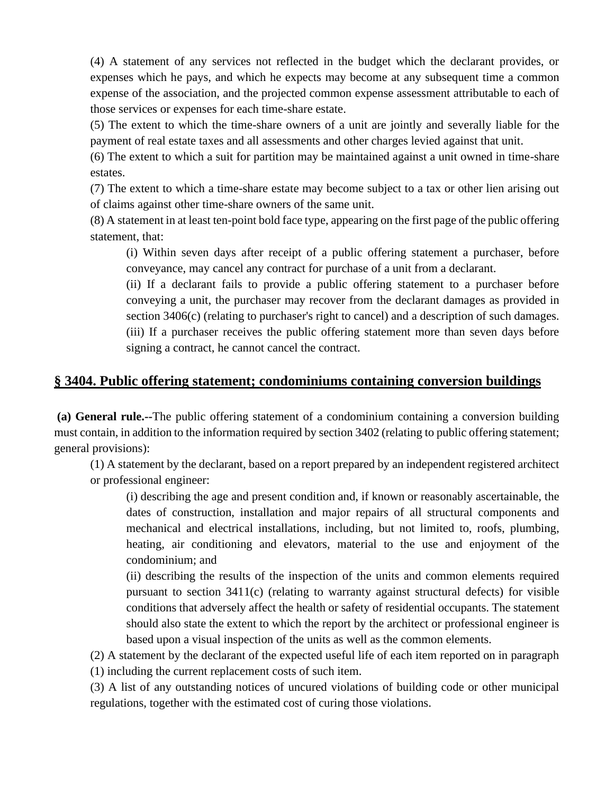(4) A statement of any services not reflected in the budget which the declarant provides, or expenses which he pays, and which he expects may become at any subsequent time a common expense of the association, and the projected common expense assessment attributable to each of those services or expenses for each time-share estate.

(5) The extent to which the time-share owners of a unit are jointly and severally liable for the payment of real estate taxes and all assessments and other charges levied against that unit.

(6) The extent to which a suit for partition may be maintained against a unit owned in time-share estates.

(7) The extent to which a time-share estate may become subject to a tax or other lien arising out of claims against other time-share owners of the same unit.

(8) A statement in at least ten-point bold face type, appearing on the first page of the public offering statement, that:

(i) Within seven days after receipt of a public offering statement a purchaser, before conveyance, may cancel any contract for purchase of a unit from a declarant.

(ii) If a declarant fails to provide a public offering statement to a purchaser before conveying a unit, the purchaser may recover from the declarant damages as provided in section 3406(c) (relating to purchaser's right to cancel) and a description of such damages. (iii) If a purchaser receives the public offering statement more than seven days before signing a contract, he cannot cancel the contract.

## **§ 3404. Public offering statement; condominiums containing conversion buildings**

**(a) General rule.--**The public offering statement of a condominium containing a conversion building must contain, in addition to the information required by section 3402 (relating to public offering statement; general provisions):

(1) A statement by the declarant, based on a report prepared by an independent registered architect or professional engineer:

(i) describing the age and present condition and, if known or reasonably ascertainable, the dates of construction, installation and major repairs of all structural components and mechanical and electrical installations, including, but not limited to, roofs, plumbing, heating, air conditioning and elevators, material to the use and enjoyment of the condominium; and

(ii) describing the results of the inspection of the units and common elements required pursuant to section  $3411(c)$  (relating to warranty against structural defects) for visible conditions that adversely affect the health or safety of residential occupants. The statement should also state the extent to which the report by the architect or professional engineer is based upon a visual inspection of the units as well as the common elements.

(2) A statement by the declarant of the expected useful life of each item reported on in paragraph (1) including the current replacement costs of such item.

(3) A list of any outstanding notices of uncured violations of building code or other municipal regulations, together with the estimated cost of curing those violations.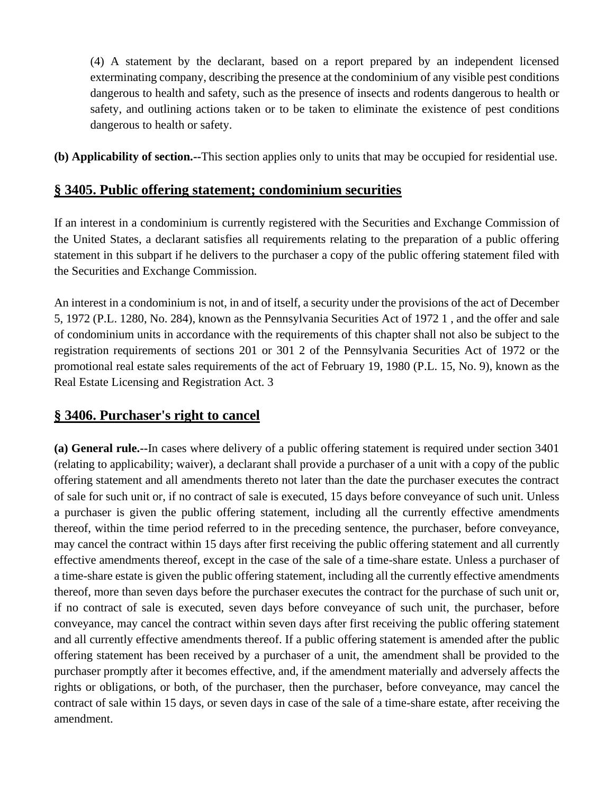(4) A statement by the declarant, based on a report prepared by an independent licensed exterminating company, describing the presence at the condominium of any visible pest conditions dangerous to health and safety, such as the presence of insects and rodents dangerous to health or safety, and outlining actions taken or to be taken to eliminate the existence of pest conditions dangerous to health or safety.

**(b) Applicability of section.--**This section applies only to units that may be occupied for residential use.

## **§ 3405. Public offering statement; condominium securities**

If an interest in a condominium is currently registered with the Securities and Exchange Commission of the United States, a declarant satisfies all requirements relating to the preparation of a public offering statement in this subpart if he delivers to the purchaser a copy of the public offering statement filed with the Securities and Exchange Commission.

An interest in a condominium is not, in and of itself, a security under the provisions of the act of December 5, 1972 (P.L. 1280, No. 284), known as the Pennsylvania Securities Act of 1972 1 , and the offer and sale of condominium units in accordance with the requirements of this chapter shall not also be subject to the registration requirements of sections 201 or 301 2 of the Pennsylvania Securities Act of 1972 or the promotional real estate sales requirements of the act of February 19, 1980 (P.L. 15, No. 9), known as the Real Estate Licensing and Registration Act. 3

# **§ 3406. Purchaser's right to cancel**

**(a) General rule.--**In cases where delivery of a public offering statement is required under section 3401 (relating to applicability; waiver), a declarant shall provide a purchaser of a unit with a copy of the public offering statement and all amendments thereto not later than the date the purchaser executes the contract of sale for such unit or, if no contract of sale is executed, 15 days before conveyance of such unit. Unless a purchaser is given the public offering statement, including all the currently effective amendments thereof, within the time period referred to in the preceding sentence, the purchaser, before conveyance, may cancel the contract within 15 days after first receiving the public offering statement and all currently effective amendments thereof, except in the case of the sale of a time-share estate. Unless a purchaser of a time-share estate is given the public offering statement, including all the currently effective amendments thereof, more than seven days before the purchaser executes the contract for the purchase of such unit or, if no contract of sale is executed, seven days before conveyance of such unit, the purchaser, before conveyance, may cancel the contract within seven days after first receiving the public offering statement and all currently effective amendments thereof. If a public offering statement is amended after the public offering statement has been received by a purchaser of a unit, the amendment shall be provided to the purchaser promptly after it becomes effective, and, if the amendment materially and adversely affects the rights or obligations, or both, of the purchaser, then the purchaser, before conveyance, may cancel the contract of sale within 15 days, or seven days in case of the sale of a time-share estate, after receiving the amendment.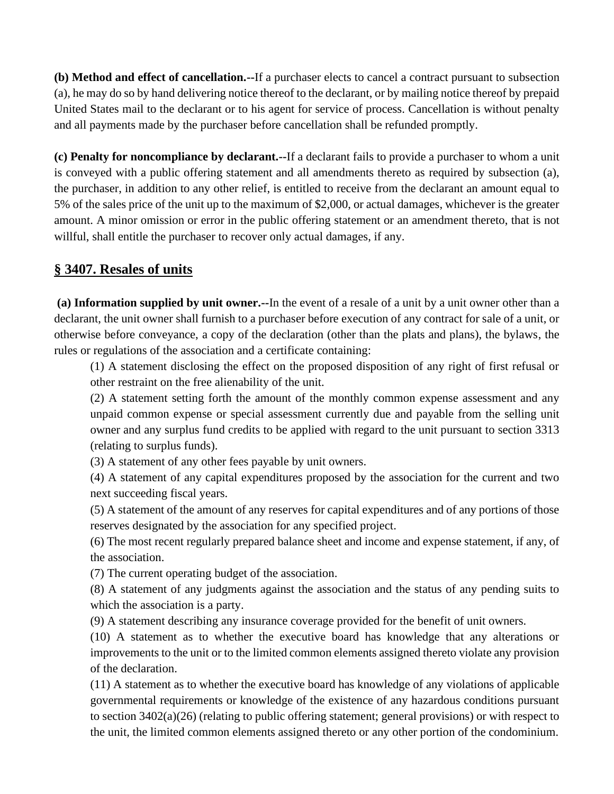**(b) Method and effect of cancellation.--**If a purchaser elects to cancel a contract pursuant to subsection (a), he may do so by hand delivering notice thereof to the declarant, or by mailing notice thereof by prepaid United States mail to the declarant or to his agent for service of process. Cancellation is without penalty and all payments made by the purchaser before cancellation shall be refunded promptly.

**(c) Penalty for noncompliance by declarant.--**If a declarant fails to provide a purchaser to whom a unit is conveyed with a public offering statement and all amendments thereto as required by subsection (a), the purchaser, in addition to any other relief, is entitled to receive from the declarant an amount equal to 5% of the sales price of the unit up to the maximum of \$2,000, or actual damages, whichever is the greater amount. A minor omission or error in the public offering statement or an amendment thereto, that is not willful, shall entitle the purchaser to recover only actual damages, if any.

## **§ 3407. Resales of units**

**(a) Information supplied by unit owner.--**In the event of a resale of a unit by a unit owner other than a declarant, the unit owner shall furnish to a purchaser before execution of any contract for sale of a unit, or otherwise before conveyance, a copy of the declaration (other than the plats and plans), the bylaws, the rules or regulations of the association and a certificate containing:

(1) A statement disclosing the effect on the proposed disposition of any right of first refusal or other restraint on the free alienability of the unit.

(2) A statement setting forth the amount of the monthly common expense assessment and any unpaid common expense or special assessment currently due and payable from the selling unit owner and any surplus fund credits to be applied with regard to the unit pursuant to section 3313 (relating to surplus funds).

(3) A statement of any other fees payable by unit owners.

(4) A statement of any capital expenditures proposed by the association for the current and two next succeeding fiscal years.

(5) A statement of the amount of any reserves for capital expenditures and of any portions of those reserves designated by the association for any specified project.

(6) The most recent regularly prepared balance sheet and income and expense statement, if any, of the association.

(7) The current operating budget of the association.

(8) A statement of any judgments against the association and the status of any pending suits to which the association is a party.

(9) A statement describing any insurance coverage provided for the benefit of unit owners.

(10) A statement as to whether the executive board has knowledge that any alterations or improvements to the unit or to the limited common elements assigned thereto violate any provision of the declaration.

(11) A statement as to whether the executive board has knowledge of any violations of applicable governmental requirements or knowledge of the existence of any hazardous conditions pursuant to section 3402(a)(26) (relating to public offering statement; general provisions) or with respect to the unit, the limited common elements assigned thereto or any other portion of the condominium.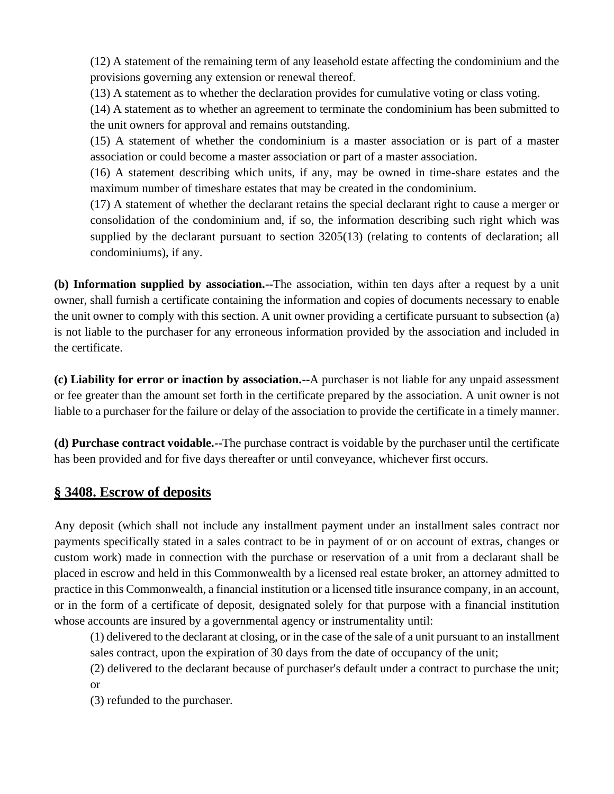(12) A statement of the remaining term of any leasehold estate affecting the condominium and the provisions governing any extension or renewal thereof.

(13) A statement as to whether the declaration provides for cumulative voting or class voting.

(14) A statement as to whether an agreement to terminate the condominium has been submitted to the unit owners for approval and remains outstanding.

(15) A statement of whether the condominium is a master association or is part of a master association or could become a master association or part of a master association.

(16) A statement describing which units, if any, may be owned in time-share estates and the maximum number of timeshare estates that may be created in the condominium.

(17) A statement of whether the declarant retains the special declarant right to cause a merger or consolidation of the condominium and, if so, the information describing such right which was supplied by the declarant pursuant to section 3205(13) (relating to contents of declaration; all condominiums), if any.

**(b) Information supplied by association.--**The association, within ten days after a request by a unit owner, shall furnish a certificate containing the information and copies of documents necessary to enable the unit owner to comply with this section. A unit owner providing a certificate pursuant to subsection (a) is not liable to the purchaser for any erroneous information provided by the association and included in the certificate.

**(c) Liability for error or inaction by association.--**A purchaser is not liable for any unpaid assessment or fee greater than the amount set forth in the certificate prepared by the association. A unit owner is not liable to a purchaser for the failure or delay of the association to provide the certificate in a timely manner.

**(d) Purchase contract voidable.--**The purchase contract is voidable by the purchaser until the certificate has been provided and for five days thereafter or until conveyance, whichever first occurs.

## **§ 3408. Escrow of deposits**

Any deposit (which shall not include any installment payment under an installment sales contract nor payments specifically stated in a sales contract to be in payment of or on account of extras, changes or custom work) made in connection with the purchase or reservation of a unit from a declarant shall be placed in escrow and held in this Commonwealth by a licensed real estate broker, an attorney admitted to practice in this Commonwealth, a financial institution or a licensed title insurance company, in an account, or in the form of a certificate of deposit, designated solely for that purpose with a financial institution whose accounts are insured by a governmental agency or instrumentality until:

(1) delivered to the declarant at closing, or in the case of the sale of a unit pursuant to an installment sales contract, upon the expiration of 30 days from the date of occupancy of the unit;

(2) delivered to the declarant because of purchaser's default under a contract to purchase the unit; or

(3) refunded to the purchaser.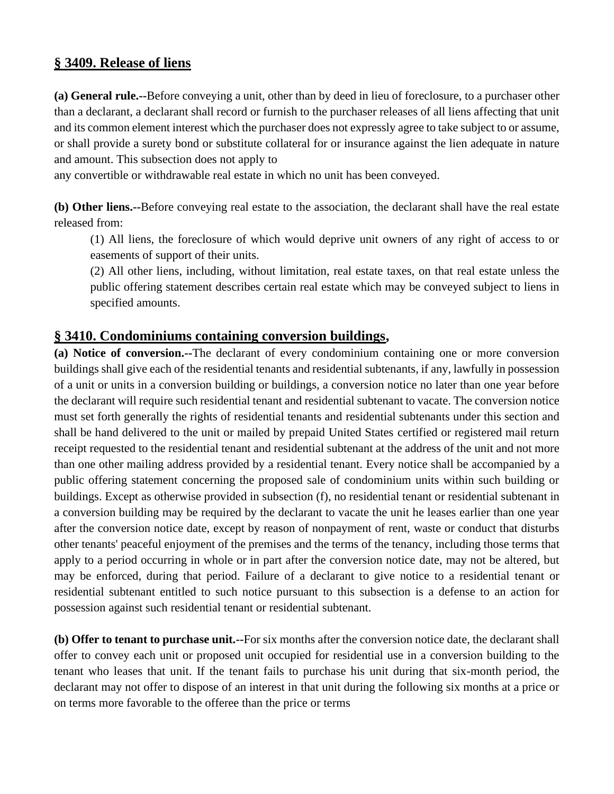## **§ 3409. Release of liens**

**(a) General rule.--**Before conveying a unit, other than by deed in lieu of foreclosure, to a purchaser other than a declarant, a declarant shall record or furnish to the purchaser releases of all liens affecting that unit and its common element interest which the purchaser does not expressly agree to take subject to or assume, or shall provide a surety bond or substitute collateral for or insurance against the lien adequate in nature and amount. This subsection does not apply to

any convertible or withdrawable real estate in which no unit has been conveyed.

**(b) Other liens.--**Before conveying real estate to the association, the declarant shall have the real estate released from:

(1) All liens, the foreclosure of which would deprive unit owners of any right of access to or easements of support of their units.

(2) All other liens, including, without limitation, real estate taxes, on that real estate unless the public offering statement describes certain real estate which may be conveyed subject to liens in specified amounts.

### **§ 3410. Condominiums containing conversion buildings,**

**(a) Notice of conversion.--**The declarant of every condominium containing one or more conversion buildings shall give each of the residential tenants and residential subtenants, if any, lawfully in possession of a unit or units in a conversion building or buildings, a conversion notice no later than one year before the declarant will require such residential tenant and residential subtenant to vacate. The conversion notice must set forth generally the rights of residential tenants and residential subtenants under this section and shall be hand delivered to the unit or mailed by prepaid United States certified or registered mail return receipt requested to the residential tenant and residential subtenant at the address of the unit and not more than one other mailing address provided by a residential tenant. Every notice shall be accompanied by a public offering statement concerning the proposed sale of condominium units within such building or buildings. Except as otherwise provided in subsection (f), no residential tenant or residential subtenant in a conversion building may be required by the declarant to vacate the unit he leases earlier than one year after the conversion notice date, except by reason of nonpayment of rent, waste or conduct that disturbs other tenants' peaceful enjoyment of the premises and the terms of the tenancy, including those terms that apply to a period occurring in whole or in part after the conversion notice date, may not be altered, but may be enforced, during that period. Failure of a declarant to give notice to a residential tenant or residential subtenant entitled to such notice pursuant to this subsection is a defense to an action for possession against such residential tenant or residential subtenant.

**(b) Offer to tenant to purchase unit.--**For six months after the conversion notice date, the declarant shall offer to convey each unit or proposed unit occupied for residential use in a conversion building to the tenant who leases that unit. If the tenant fails to purchase his unit during that six-month period, the declarant may not offer to dispose of an interest in that unit during the following six months at a price or on terms more favorable to the offeree than the price or terms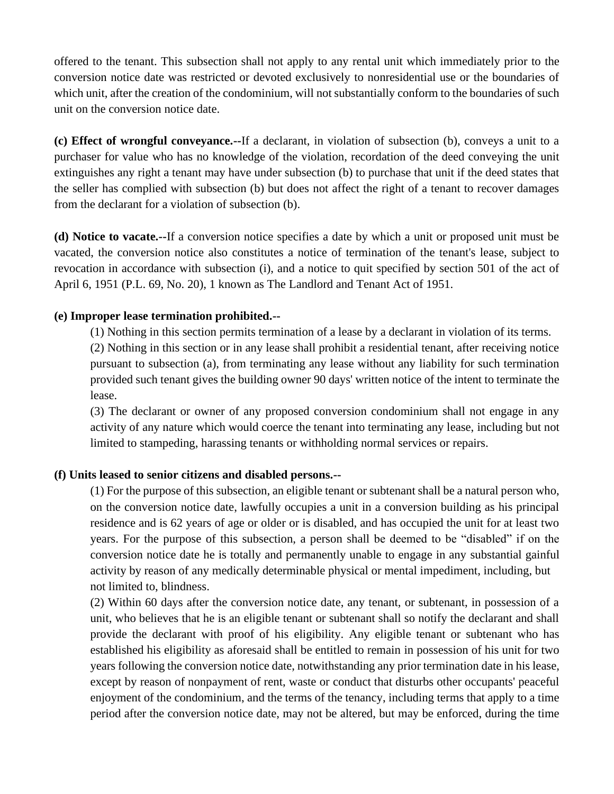offered to the tenant. This subsection shall not apply to any rental unit which immediately prior to the conversion notice date was restricted or devoted exclusively to nonresidential use or the boundaries of which unit, after the creation of the condominium, will not substantially conform to the boundaries of such unit on the conversion notice date.

**(c) Effect of wrongful conveyance.--**If a declarant, in violation of subsection (b), conveys a unit to a purchaser for value who has no knowledge of the violation, recordation of the deed conveying the unit extinguishes any right a tenant may have under subsection (b) to purchase that unit if the deed states that the seller has complied with subsection (b) but does not affect the right of a tenant to recover damages from the declarant for a violation of subsection (b).

**(d) Notice to vacate.--**If a conversion notice specifies a date by which a unit or proposed unit must be vacated, the conversion notice also constitutes a notice of termination of the tenant's lease, subject to revocation in accordance with subsection (i), and a notice to quit specified by section 501 of the act of April 6, 1951 (P.L. 69, No. 20), 1 known as The Landlord and Tenant Act of 1951.

#### **(e) Improper lease termination prohibited.--**

(1) Nothing in this section permits termination of a lease by a declarant in violation of its terms.

(2) Nothing in this section or in any lease shall prohibit a residential tenant, after receiving notice pursuant to subsection (a), from terminating any lease without any liability for such termination provided such tenant gives the building owner 90 days' written notice of the intent to terminate the lease.

(3) The declarant or owner of any proposed conversion condominium shall not engage in any activity of any nature which would coerce the tenant into terminating any lease, including but not limited to stampeding, harassing tenants or withholding normal services or repairs.

#### **(f) Units leased to senior citizens and disabled persons.--**

(1) For the purpose of this subsection, an eligible tenant or subtenant shall be a natural person who, on the conversion notice date, lawfully occupies a unit in a conversion building as his principal residence and is 62 years of age or older or is disabled, and has occupied the unit for at least two years. For the purpose of this subsection, a person shall be deemed to be "disabled" if on the conversion notice date he is totally and permanently unable to engage in any substantial gainful activity by reason of any medically determinable physical or mental impediment, including, but not limited to, blindness.

(2) Within 60 days after the conversion notice date, any tenant, or subtenant, in possession of a unit, who believes that he is an eligible tenant or subtenant shall so notify the declarant and shall provide the declarant with proof of his eligibility. Any eligible tenant or subtenant who has established his eligibility as aforesaid shall be entitled to remain in possession of his unit for two years following the conversion notice date, notwithstanding any prior termination date in his lease, except by reason of nonpayment of rent, waste or conduct that disturbs other occupants' peaceful enjoyment of the condominium, and the terms of the tenancy, including terms that apply to a time period after the conversion notice date, may not be altered, but may be enforced, during the time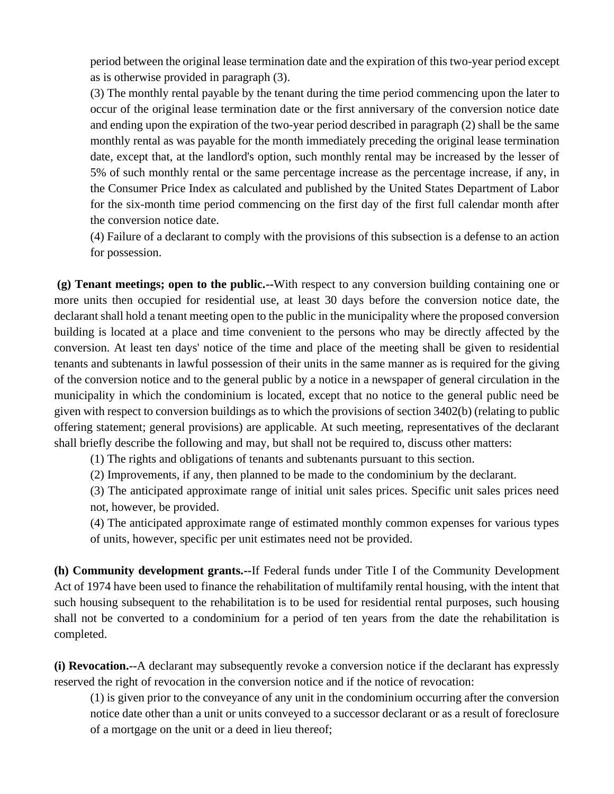period between the original lease termination date and the expiration of this two-year period except as is otherwise provided in paragraph (3).

(3) The monthly rental payable by the tenant during the time period commencing upon the later to occur of the original lease termination date or the first anniversary of the conversion notice date and ending upon the expiration of the two-year period described in paragraph (2) shall be the same monthly rental as was payable for the month immediately preceding the original lease termination date, except that, at the landlord's option, such monthly rental may be increased by the lesser of 5% of such monthly rental or the same percentage increase as the percentage increase, if any, in the Consumer Price Index as calculated and published by the United States Department of Labor for the six-month time period commencing on the first day of the first full calendar month after the conversion notice date.

(4) Failure of a declarant to comply with the provisions of this subsection is a defense to an action for possession.

**(g) Tenant meetings; open to the public.--**With respect to any conversion building containing one or more units then occupied for residential use, at least 30 days before the conversion notice date, the declarant shall hold a tenant meeting open to the public in the municipality where the proposed conversion building is located at a place and time convenient to the persons who may be directly affected by the conversion. At least ten days' notice of the time and place of the meeting shall be given to residential tenants and subtenants in lawful possession of their units in the same manner as is required for the giving of the conversion notice and to the general public by a notice in a newspaper of general circulation in the municipality in which the condominium is located, except that no notice to the general public need be given with respect to conversion buildings as to which the provisions of section 3402(b) (relating to public offering statement; general provisions) are applicable. At such meeting, representatives of the declarant shall briefly describe the following and may, but shall not be required to, discuss other matters:

(1) The rights and obligations of tenants and subtenants pursuant to this section.

(2) Improvements, if any, then planned to be made to the condominium by the declarant.

(3) The anticipated approximate range of initial unit sales prices. Specific unit sales prices need not, however, be provided.

(4) The anticipated approximate range of estimated monthly common expenses for various types of units, however, specific per unit estimates need not be provided.

**(h) Community development grants.--**If Federal funds under Title I of the Community Development Act of 1974 have been used to finance the rehabilitation of multifamily rental housing, with the intent that such housing subsequent to the rehabilitation is to be used for residential rental purposes, such housing shall not be converted to a condominium for a period of ten years from the date the rehabilitation is completed.

**(i) Revocation.--**A declarant may subsequently revoke a conversion notice if the declarant has expressly reserved the right of revocation in the conversion notice and if the notice of revocation:

(1) is given prior to the conveyance of any unit in the condominium occurring after the conversion notice date other than a unit or units conveyed to a successor declarant or as a result of foreclosure of a mortgage on the unit or a deed in lieu thereof;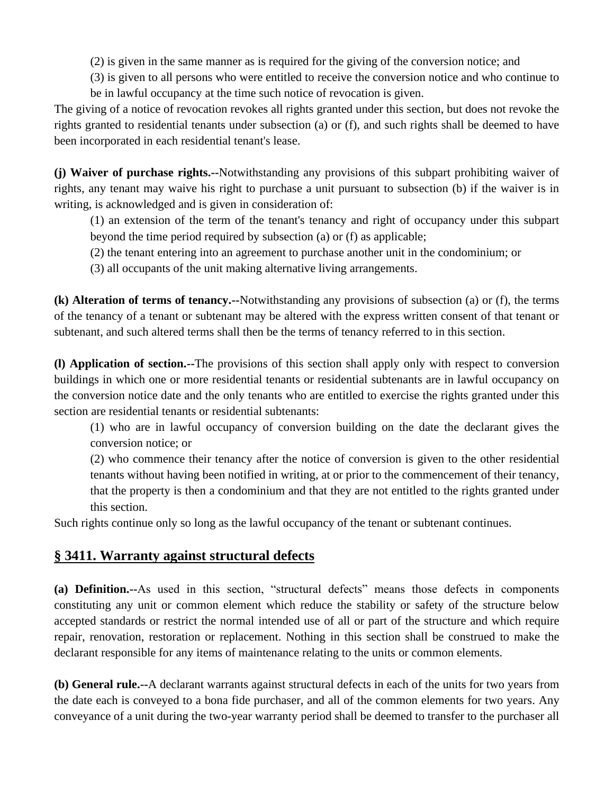(2) is given in the same manner as is required for the giving of the conversion notice; and

(3) is given to all persons who were entitled to receive the conversion notice and who continue to

be in lawful occupancy at the time such notice of revocation is given.

The giving of a notice of revocation revokes all rights granted under this section, but does not revoke the rights granted to residential tenants under subsection (a) or (f), and such rights shall be deemed to have been incorporated in each residential tenant's lease.

**(j) Waiver of purchase rights.--**Notwithstanding any provisions of this subpart prohibiting waiver of rights, any tenant may waive his right to purchase a unit pursuant to subsection (b) if the waiver is in writing, is acknowledged and is given in consideration of:

(1) an extension of the term of the tenant's tenancy and right of occupancy under this subpart beyond the time period required by subsection (a) or (f) as applicable;

(2) the tenant entering into an agreement to purchase another unit in the condominium; or

(3) all occupants of the unit making alternative living arrangements.

**(k) Alteration of terms of tenancy.--**Notwithstanding any provisions of subsection (a) or (f), the terms of the tenancy of a tenant or subtenant may be altered with the express written consent of that tenant or subtenant, and such altered terms shall then be the terms of tenancy referred to in this section.

**(l) Application of section.--**The provisions of this section shall apply only with respect to conversion buildings in which one or more residential tenants or residential subtenants are in lawful occupancy on the conversion notice date and the only tenants who are entitled to exercise the rights granted under this section are residential tenants or residential subtenants:

(1) who are in lawful occupancy of conversion building on the date the declarant gives the conversion notice; or

(2) who commence their tenancy after the notice of conversion is given to the other residential tenants without having been notified in writing, at or prior to the commencement of their tenancy, that the property is then a condominium and that they are not entitled to the rights granted under this section.

Such rights continue only so long as the lawful occupancy of the tenant or subtenant continues.

# **§ 3411. Warranty against structural defects**

**(a) Definition.--**As used in this section, "structural defects" means those defects in components constituting any unit or common element which reduce the stability or safety of the structure below accepted standards or restrict the normal intended use of all or part of the structure and which require repair, renovation, restoration or replacement. Nothing in this section shall be construed to make the declarant responsible for any items of maintenance relating to the units or common elements.

**(b) General rule.--**A declarant warrants against structural defects in each of the units for two years from the date each is conveyed to a bona fide purchaser, and all of the common elements for two years. Any conveyance of a unit during the two-year warranty period shall be deemed to transfer to the purchaser all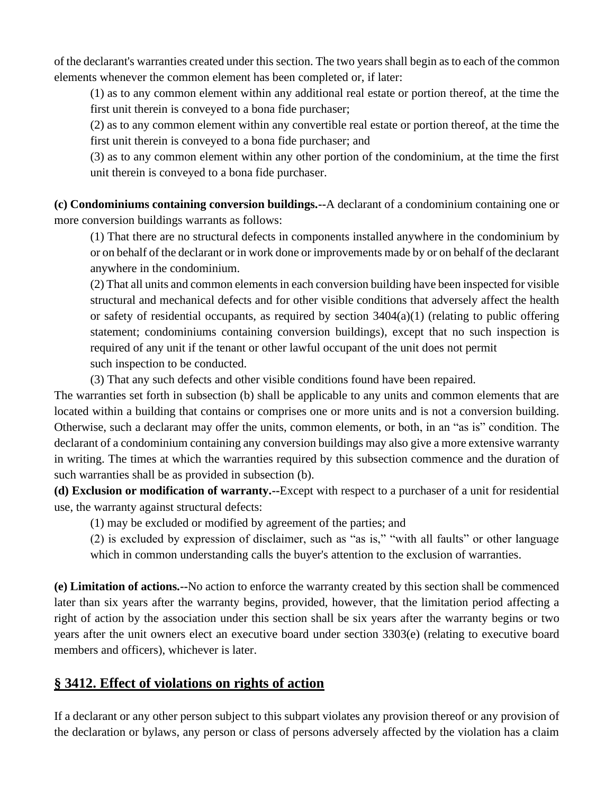of the declarant's warranties created under this section. The two years shall begin as to each of the common elements whenever the common element has been completed or, if later:

(1) as to any common element within any additional real estate or portion thereof, at the time the first unit therein is conveyed to a bona fide purchaser;

(2) as to any common element within any convertible real estate or portion thereof, at the time the first unit therein is conveyed to a bona fide purchaser; and

(3) as to any common element within any other portion of the condominium, at the time the first unit therein is conveyed to a bona fide purchaser.

**(c) Condominiums containing conversion buildings.--**A declarant of a condominium containing one or more conversion buildings warrants as follows:

(1) That there are no structural defects in components installed anywhere in the condominium by or on behalf of the declarant or in work done or improvements made by or on behalf of the declarant anywhere in the condominium.

(2) That all units and common elements in each conversion building have been inspected for visible structural and mechanical defects and for other visible conditions that adversely affect the health or safety of residential occupants, as required by section  $3404(a)(1)$  (relating to public offering statement; condominiums containing conversion buildings), except that no such inspection is required of any unit if the tenant or other lawful occupant of the unit does not permit such inspection to be conducted.

(3) That any such defects and other visible conditions found have been repaired.

The warranties set forth in subsection (b) shall be applicable to any units and common elements that are located within a building that contains or comprises one or more units and is not a conversion building. Otherwise, such a declarant may offer the units, common elements, or both, in an "as is" condition. The declarant of a condominium containing any conversion buildings may also give a more extensive warranty in writing. The times at which the warranties required by this subsection commence and the duration of such warranties shall be as provided in subsection (b).

**(d) Exclusion or modification of warranty.--**Except with respect to a purchaser of a unit for residential use, the warranty against structural defects:

(1) may be excluded or modified by agreement of the parties; and

(2) is excluded by expression of disclaimer, such as "as is," "with all faults" or other language which in common understanding calls the buyer's attention to the exclusion of warranties.

**(e) Limitation of actions.--**No action to enforce the warranty created by this section shall be commenced later than six years after the warranty begins, provided, however, that the limitation period affecting a right of action by the association under this section shall be six years after the warranty begins or two years after the unit owners elect an executive board under section 3303(e) (relating to executive board members and officers), whichever is later.

## **§ 3412. Effect of violations on rights of action**

If a declarant or any other person subject to this subpart violates any provision thereof or any provision of the declaration or bylaws, any person or class of persons adversely affected by the violation has a claim